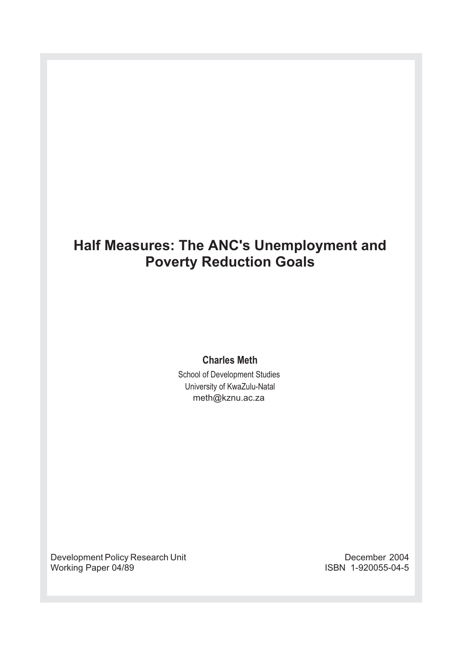# **Half Measures: The ANC's Unemployment and Poverty Reduction Goals**

## **Charles Meth**

School of Development Studies University of KwaZulu-Natal meth@kznu.ac.za

Development Policy Research Unit Development Policy Research Unit December 2004<br>1-920055-04-5 ISBN 1-920055-04-5 Working Paper 04/89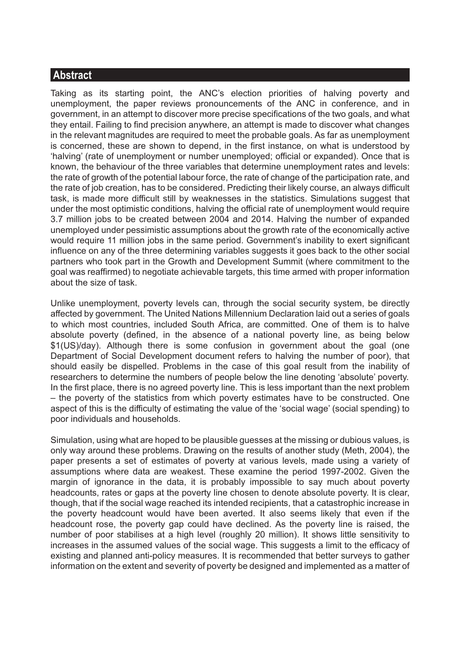# **Abstract**

Taking as its starting point, the ANC's election priorities of halving poverty and unemployment, the paper reviews pronouncements of the ANC in conference, and in government, in an attempt to discover more precise specifications of the two goals, and what they entail. Failing to find precision anywhere, an attempt is made to discover what changes in the relevant magnitudes are required to meet the probable goals. As far as unemployment is concerned, these are shown to depend, in the first instance, on what is understood by 'halving' (rate of unemployment or number unemployed; official or expanded). Once that is known, the behaviour of the three variables that determine unemployment rates and levels: the rate of growth of the potential labour force, the rate of change of the participation rate, and the rate of job creation, has to be considered. Predicting their likely course, an always difficult task, is made more difficult still by weaknesses in the statistics. Simulations suggest that under the most optimistic conditions, halving the official rate of unemployment would require 3.7 million jobs to be created between 2004 and 2014. Halving the number of expanded unemployed under pessimistic assumptions about the growth rate of the economically active would require 11 million jobs in the same period. Government's inability to exert significant influence on any of the three determining variables suggests it goes back to the other social partners who took part in the Growth and Development Summit (where commitment to the goal was reaffirmed) to negotiate achievable targets, this time armed with proper information about the size of task.

Unlike unemployment, poverty levels can, through the social security system, be directly affected by government. The United Nations Millennium Declaration laid out a series of goals to which most countries, included South Africa, are committed. One of them is to halve absolute poverty (defined, in the absence of a national poverty line, as being below \$1(US)/day). Although there is some confusion in government about the goal (one Department of Social Development document refers to halving the number of poor), that should easily be dispelled. Problems in the case of this goal result from the inability of researchers to determine the numbers of people below the line denoting 'absolute' poverty. In the first place, there is no agreed poverty line. This is less important than the next problem – the poverty of the statistics from which poverty estimates have to be constructed. One aspect of this is the difficulty of estimating the value of the 'social wage' (social spending) to poor individuals and households.

Simulation, using what are hoped to be plausible guesses at the missing or dubious values, is only way around these problems. Drawing on the results of another study (Meth, 2004), the paper presents a set of estimates of poverty at various levels, made using a variety of assumptions where data are weakest. These examine the period 1997-2002. Given the margin of ignorance in the data, it is probably impossible to say much about poverty headcounts, rates or gaps at the poverty line chosen to denote absolute poverty. It is clear, though, that if the social wage reached its intended recipients, that a catastrophic increase in the poverty headcount would have been averted. It also seems likely that even if the headcount rose, the poverty gap could have declined. As the poverty line is raised, the number of poor stabilises at a high level (roughly 20 million). It shows little sensitivity to increases in the assumed values of the social wage. This suggests a limit to the efficacy of existing and planned anti-policy measures. It is recommended that better surveys to gather information on the extent and severity of poverty be designed and implemented as a matter of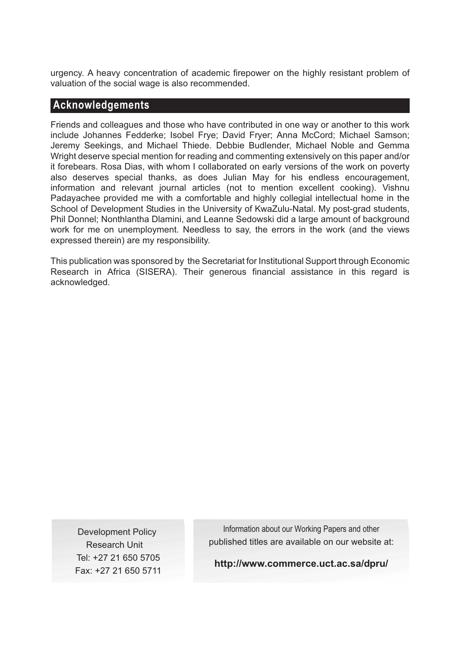urgency. A heavy concentration of academic firepower on the highly resistant problem of valuation of the social wage is also recommended.

### **Acknowledgements**

Friends and colleagues and those who have contributed in one way or another to this work include Johannes Fedderke; Isobel Frye; David Fryer; Anna McCord; Michael Samson; Jeremy Seekings, and Michael Thiede. Debbie Budlender, Michael Noble and Gemma Wright deserve special mention for reading and commenting extensively on this paper and/or it forebears. Rosa Dias, with whom I collaborated on early versions of the work on poverty also deserves special thanks, as does Julian May for his endless encouragement, information and relevant journal articles (not to mention excellent cooking). Vishnu Padayachee provided me with a comfortable and highly collegial intellectual home in the School of Development Studies in the University of KwaZulu-Natal. My post-grad students, Phil Donnel; Nonthlantha Dlamini, and Leanne Sedowski did a large amount of background work for me on unemployment. Needless to say, the errors in the work (and the views expressed therein) are my responsibility.

This publication was sponsored by the Secretariat for Institutional Support through Economic Research in Africa (SISERA). Their generous financial assistance in this regard is acknowledged.

Development Policy Research Unit Tel: +27 21 650 5705 Fax: +27 21 650 5711

Information about our Working Papers and other published titles are available on our website at:

**http://www.commerce.uct.ac.sa/dpru/**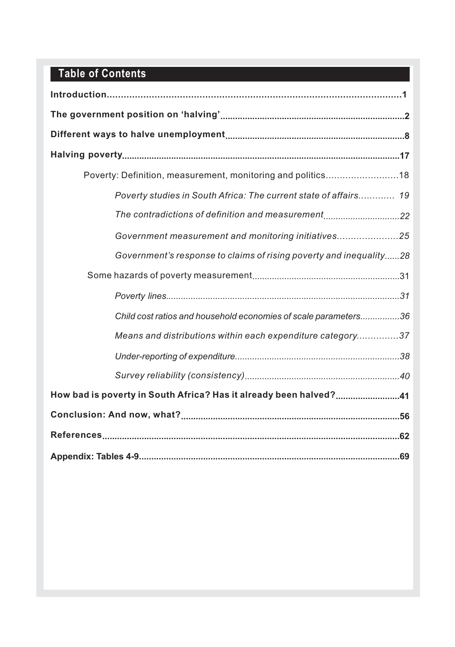# **Table of Contents**

| Poverty: Definition, measurement, monitoring and politics18        |
|--------------------------------------------------------------------|
| Poverty studies in South Africa: The current state of affairs 19   |
| The contradictions of definition and measurement22                 |
| Government measurement and monitoring initiatives25                |
| Government's response to claims of rising poverty and inequality28 |
|                                                                    |
|                                                                    |
| Child cost ratios and household economies of scale parameters36    |
| Means and distributions within each expenditure category37         |
|                                                                    |
|                                                                    |
| How bad is poverty in South Africa? Has it already been halved?41  |
|                                                                    |
|                                                                    |
|                                                                    |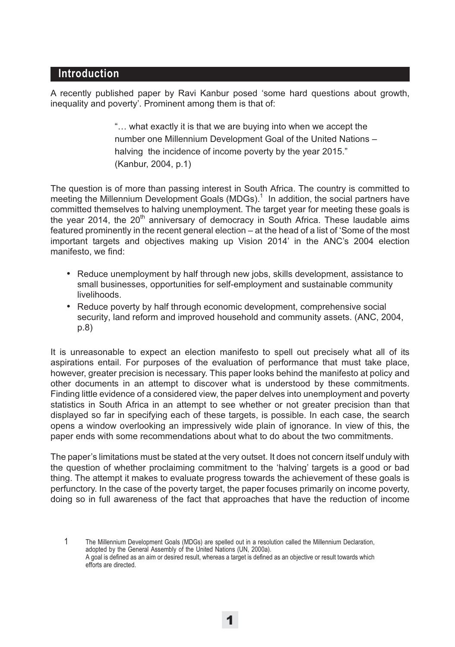## **Introduction**

A recently published paper by Ravi Kanbur posed 'some hard questions about growth, inequality and poverty'. Prominent among them is that of:

> "… what exactly it is that we are buying into when we accept the number one Millennium Development Goal of the United Nations – halving the incidence of income poverty by the year 2015." (Kanbur, 2004, p.1)

The question is of more than passing interest in South Africa. The country is committed to meeting the Millennium Development Goals (MDGs).<sup>1</sup> In addition, the social partners have committed themselves to halving unemployment. The target year for meeting these goals is the year 2014, the  $20<sup>th</sup>$  anniversary of democracy in South Africa. These laudable aims featured prominently in the recent general election – at the head of a list of 'Some of the most important targets and objectives making up Vision 2014' in the ANC's 2004 election manifesto, we find:

- Reduce unemployment by half through new jobs, skills development, assistance to small businesses, opportunities for self-employment and sustainable community livelihoods.
- Reduce poverty by half through economic development, comprehensive social security, land reform and improved household and community assets. (ANC, 2004, p.8)

It is unreasonable to expect an election manifesto to spell out precisely what all of its aspirations entail. For purposes of the evaluation of performance that must take place, however, greater precision is necessary. This paper looks behind the manifesto at policy and other documents in an attempt to discover what is understood by these commitments. Finding little evidence of a considered view, the paper delves into unemployment and poverty statistics in South Africa in an attempt to see whether or not greater precision than that displayed so far in specifying each of these targets, is possible. In each case, the search opens a window overlooking an impressively wide plain of ignorance. In view of this, the paper ends with some recommendations about what to do about the two commitments.

The paper's limitations must be stated at the very outset. It does not concern itself unduly with the question of whether proclaiming commitment to the 'halving' targets is a good or bad thing. The attempt it makes to evaluate progress towards the achievement of these goals is perfunctory. In the case of the poverty target, the paper focuses primarily on income poverty, doing so in full awareness of the fact that approaches that have the reduction of income

1 The Millennium Development Goals (MDGs) are spelled out in a resolution called the Millennium Declaration, adopted by the General Assembly of the United Nations (UN, 2000a). A goal is defined as an aim or desired result, whereas a target is defined as an objective or result towards which efforts are directed.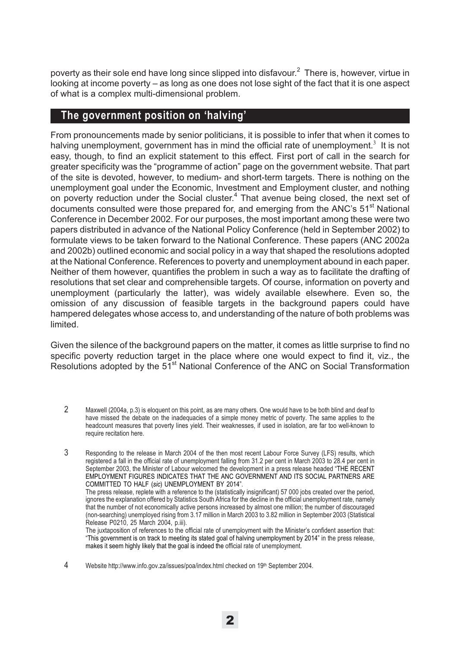poverty as their sole end have long since slipped into disfavour. $^2\,$  There is, however, virtue in looking at income poverty – as long as one does not lose sight of the fact that it is one aspect of what is a complex multi-dimensional problem.

### **The government position on 'halving'**

From pronouncements made by senior politicians, it is possible to infer that when it comes to halving unemployment, government has in mind the official rate of unemployment.<sup>3</sup> It is not easy, though, to find an explicit statement to this effect. First port of call in the search for greater specificity was the "programme of action" page on the government website. That part of the site is devoted, however, to medium- and short-term targets. There is nothing on the unemployment goal under the Economic, Investment and Employment cluster, and nothing on poverty reduction under the Social cluster.<sup>4</sup> That avenue being closed, the next set of documents consulted were those prepared for, and emerging from the ANC's  $51<sup>st</sup>$  National Conference in December 2002. For our purposes, the most important among these were two papers distributed in advance of the National Policy Conference (held in September 2002) to formulate views to be taken forward to the National Conference. These papers (ANC 2002a and 2002b) outlined economic and social policy in a way that shaped the resolutions adopted at the National Conference. References to poverty and unemployment abound in each paper. Neither of them however, quantifies the problem in such a way as to facilitate the drafting of resolutions that set clear and comprehensible targets. Of course, information on poverty and unemployment (particularly the latter), was widely available elsewhere. Even so, the omission of any discussion of feasible targets in the background papers could have hampered delegates whose access to, and understanding of the nature of both problems was limited.

Given the silence of the background papers on the matter, it comes as little surprise to find no specific poverty reduction target in the place where one would expect to find it, viz., the Resolutions adopted by the 51<sup>st</sup> National Conference of the ANC on Social Transformation

- 2 Maxwell (2004a, p.3) is eloquent on this point, as are many others. One would have to be both blind and deaf to have missed the debate on the inadequacies of a simple money metric of poverty. The same applies to the headcount measures that poverty lines yield. Their weaknesses, if used in isolation, are far too well-known to require recitation here.
- 3 Responding to the release in March 2004 of the then most recent Labour Force Survey (LFS) results, which registered a fall in the official rate of unemployment falling from 31.2 per cent in March 2003 to 28.4 per cent in September 2003, the Minister of Labour welcomed the development in a press release headed "THE RECENT EMPLOYMENT FIGURES INDICATES THAT THE ANC GOVERNMENT AND ITS SOCIAL PARTNERS ARE COMMITTED TO HALF (*sic*) UNEMPLOYMENT BY 2014". The press release, replete with a reference to the (statistically insignificant) 57 000 jobs created over the period, ignores the explanation offered by Statistics South Africa for the decline in the official unemployment rate, namely

that the number of not economically active persons increased by almost one million; the number of discouraged (non-searching) unemployed rising from 3.17 million in March 2003 to 3.82 million in September 2003 (Statistical Release P0210, 25 March 2004, p.iii).

The juxtaposition of references to the official rate of unemployment with the Minister's confident assertion that: "This government is on track to meeting its stated goal of halving unemployment by 2014" in the press release, makes it seem highly likely that the goal is indeed the official rate of unemployment.

4 Website http://www.info.gov.za/issues/poa/index.html checked on 19<sup>th</sup> September 2004.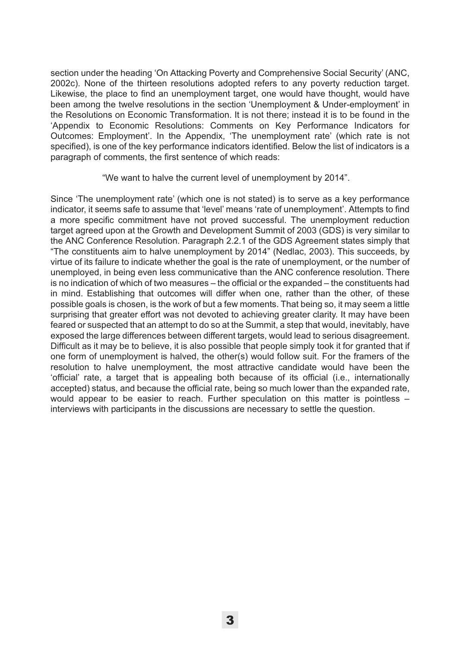section under the heading 'On Attacking Poverty and Comprehensive Social Security' (ANC, 2002c). None of the thirteen resolutions adopted refers to any poverty reduction target. Likewise, the place to find an unemployment target, one would have thought, would have been among the twelve resolutions in the section 'Unemployment & Under-employment' in the Resolutions on Economic Transformation. It is not there; instead it is to be found in the 'Appendix to Economic Resolutions: Comments on Key Performance Indicators for Outcomes: Employment'. In the Appendix, 'The unemployment rate' (which rate is not specified), is one of the key performance indicators identified. Below the list of indicators is a paragraph of comments, the first sentence of which reads:

"We want to halve the current level of unemployment by 2014".

Since 'The unemployment rate' (which one is not stated) is to serve as a key performance indicator, it seems safe to assume that 'level' means 'rate of unemployment'. Attempts to find a more specific commitment have not proved successful. The unemployment reduction target agreed upon at the Growth and Development Summit of 2003 (GDS) is very similar to the ANC Conference Resolution. Paragraph 2.2.1 of the GDS Agreement states simply that "The constituents aim to halve unemployment by 2014" (Nedlac, 2003). This succeeds, by virtue of its failure to indicate whether the goal is the rate of unemployment, or the number of unemployed, in being even less communicative than the ANC conference resolution. There is no indication of which of two measures – the official or the expanded – the constituents had in mind. Establishing that outcomes will differ when one, rather than the other, of these possible goals is chosen, is the work of but a few moments. That being so, it may seem a little surprising that greater effort was not devoted to achieving greater clarity. It may have been feared or suspected that an attempt to do so at the Summit, a step that would, inevitably, have exposed the large differences between different targets, would lead to serious disagreement. Difficult as it may be to believe, it is also possible that people simply took it for granted that if one form of unemployment is halved, the other(s) would follow suit. For the framers of the resolution to halve unemployment, the most attractive candidate would have been the 'official' rate, a target that is appealing both because of its official (i.e., internationally accepted) status, and because the official rate, being so much lower than the expanded rate, would appear to be easier to reach. Further speculation on this matter is pointless – interviews with participants in the discussions are necessary to settle the question.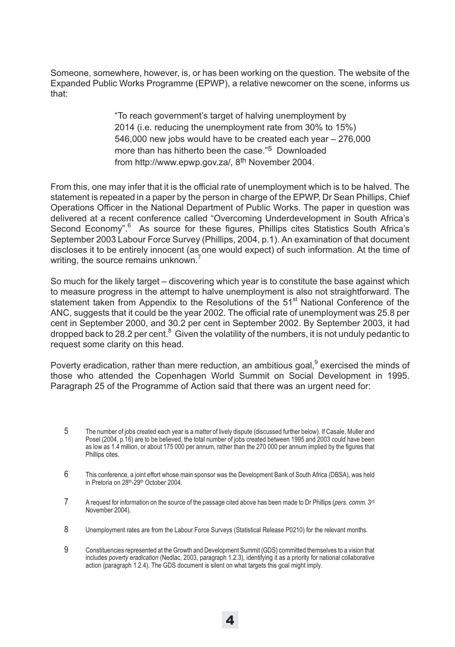Someone, somewhere, however, is, or has been working on the question. The website of the Expanded Public Works Programme (EPWP), a relative newcomer on the scene, informs us that:

> "To reach government's target of halving unemployment by 2014 (i.e. reducing the unemployment rate from 30% to 15%) 546,000 new jobs would have to be created each year – 276,000 more than has hitherto been the case."5 Downloaded from http://www.epwp.gov.za/, 8th November 2004.

From this, one may infer that it is the official rate of unemployment which is to be halved. The statement is repeated in a paper by the person in charge of the EPWP, Dr Sean Phillips, Chief Operations Officer in the National Department of Public Works. The paper in question was delivered at a recent conference called "Overcoming Underdevelopment in South Africa's Second Economy".<sup>6</sup> As source for these figures, Phillips cites Statistics South Africa's September 2003 Labour Force Survey (Phillips, 2004, p.1). An examination of that document discloses it to be entirely innocent (as one would expect) of such information. At the time of writing, the source remains unknown.<sup>7</sup>

So much for the likely target – discovering which year is to constitute the base against which to measure progress in the attempt to halve unemployment is also not straightforward. The statement taken from Appendix to the Resolutions of the 51<sup>st</sup> National Conference of the ANC, suggests that it could be the year 2002. The official rate of unemployment was 25.8 per cent in September 2000, and 30.2 per cent in September 2002. By September 2003, it had dropped back to 28.2 per cent.<sup>8</sup> Given the volatility of the numbers, it is not unduly pedantic to request some clarity on this head.

Poverty eradication, rather than mere reduction, an ambitious goal,<sup>9</sup> exercised the minds of those who attended the Copenhagen World Summit on Social Development in 1995. Paragraph 25 of the Programme of Action said that there was an urgent need for:

- 5 The number of jobs created each year is a matter of lively dispute (discussed further below). If Casale, Muller and Posel (2004, p.16) are to be believed, the total number of jobs created between 1995 and 2003 could have been as low as 1.4 million, or about 175 000 per annum, rather than the 270 000 per annum implied by the figures that Phillips cites.
- 6 This conference, a joint effort whose main sponsor was the Development Bank of South Africa (DBSA), was held in Pretoria on 28<sup>th</sup>-29<sup>th</sup> October 2004.
- 7 A request for information on the source of the passage cited above has been made to Dr Phillips (*pers. comm*. 3rd November 2004).
- 8 Unemployment rates are from the Labour Force Surveys (Statistical Release P0210) for the relevant months.
- 9 Constituencies represented at the Growth and Development Summit (GDS) committed themselves to a vision that includes *poverty eradication* (Nedlac, 2003, paragraph 1.2.3), identifying it as a priority for national collaborative action (paragraph 1.2.4). The GDS document is silent on what targets this goal might imply.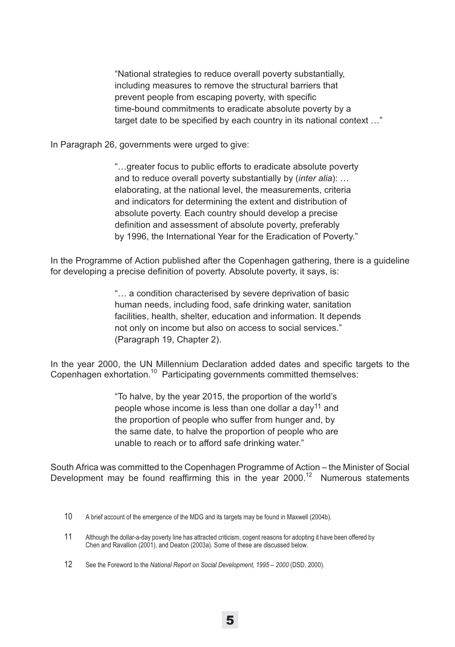"National strategies to reduce overall poverty substantially, including measures to remove the structural barriers that prevent people from escaping poverty, with specific time-bound commitments to eradicate absolute poverty by a target date to be specified by each country in its national context …"

In Paragraph 26, governments were urged to give:

"…greater focus to public efforts to eradicate absolute poverty and to reduce overall poverty substantially by (*inter alia*): … elaborating, at the national level, the measurements, criteria and indicators for determining the extent and distribution of absolute poverty. Each country should develop a precise definition and assessment of absolute poverty, preferably by 1996, the International Year for the Eradication of Poverty."

In the Programme of Action published after the Copenhagen gathering, there is a guideline for developing a precise definition of poverty. Absolute poverty, it says, is:

> "… a condition characterised by severe deprivation of basic human needs, including food, safe drinking water, sanitation facilities, health, shelter, education and information. It depends not only on income but also on access to social services." (Paragraph 19, Chapter 2).

In the year 2000, the UN Millennium Declaration added dates and specific targets to the Copenhagen exhortation.<sup>10</sup> Participating governments committed themselves:

> "To halve, by the year 2015, the proportion of the world's people whose income is less than one dollar a day<sup>11</sup> and the proportion of people who suffer from hunger and, by the same date, to halve the proportion of people who are unable to reach or to afford safe drinking water."

South Africa was committed to the Copenhagen Programme of Action – the Minister of Social Development may be found reaffirming this in the year  $2000$ .<sup>12</sup> Numerous statements

<sup>10</sup> A brief account of the emergence of the MDG and its targets may be found in Maxwell (2004b).

<sup>11</sup> Although the dollar-a-day poverty line has attracted criticism, cogent reasons for adopting it have been offered by Chen and Ravallion (2001), and Deaton (2003a). Some of these are discussed below.

<sup>12</sup> See the Foreword to the *National Report on Social Development, 1995 – 2000* (DSD, 2000).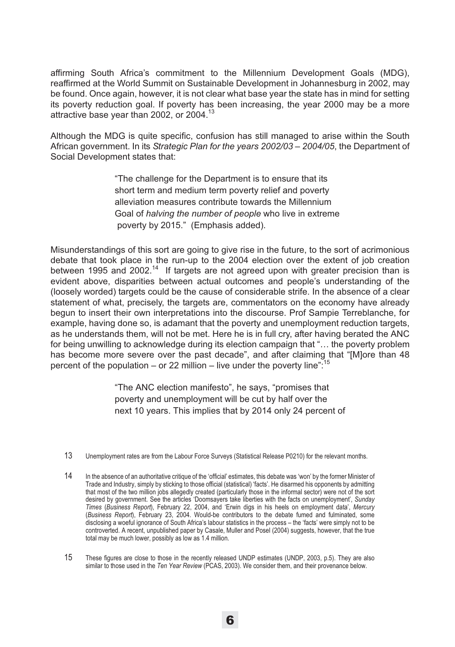affirming South Africa's commitment to the Millennium Development Goals (MDG), reaffirmed at the World Summit on Sustainable Development in Johannesburg in 2002, may be found. Once again, however, it is not clear what base year the state has in mind for setting its poverty reduction goal. If poverty has been increasing, the year 2000 may be a more attractive base year than 2002, or 2004.<sup>13</sup>

Although the MDG is quite specific, confusion has still managed to arise within the South African government. In its *Strategic Plan for the years 2002/03 – 2004/05*, the Department of Social Development states that:

> "The challenge for the Department is to ensure that its short term and medium term poverty relief and poverty alleviation measures contribute towards the Millennium Goal of *halving the number of people* who live in extreme poverty by 2015." (Emphasis added).

Misunderstandings of this sort are going to give rise in the future, to the sort of acrimonious debate that took place in the run-up to the 2004 election over the extent of job creation between 1995 and 2002.14 If targets are not agreed upon with greater precision than is evident above, disparities between actual outcomes and people's understanding of the (loosely worded) targets could be the cause of considerable strife. In the absence of a clear statement of what, precisely, the targets are, commentators on the economy have already begun to insert their own interpretations into the discourse. Prof Sampie Terreblanche, for example, having done so, is adamant that the poverty and unemployment reduction targets, as he understands them, will not be met. Here he is in full cry, after having berated the ANC for being unwilling to acknowledge during its election campaign that "… the poverty problem has become more severe over the past decade", and after claiming that "[M]ore than 48 percent of the population – or 22 million – live under the poverty line":<sup>15</sup>

> "The ANC election manifesto", he says, "promises that poverty and unemployment will be cut by half over the next 10 years. This implies that by 2014 only 24 percent of

13 Unemployment rates are from the Labour Force Surveys (Statistical Release P0210) for the relevant months.

15 These figures are close to those in the recently released UNDP estimates (UNDP, 2003, p.5). They are also similar to those used in the *Ten Year Review* (PCAS, 2003). We consider them, and their provenance below.

<sup>14</sup> In the absence of an authoritative critique of the 'official' estimates, this debate was 'won' by the former Minister of Trade and Industry, simply by sticking to those official (statistical) 'facts'. He disarmed his opponents by admitting that most of the two million jobs allegedly created (particularly those in the informal sector) were not of the sort desired by government. See the articles 'Doomsayers take liberties with the facts on unemployment', *Sunday Times* (*Business Report*), February 22, 2004, and 'Erwin digs in his heels on employment data', *Mercury* (*Business Report*), February 23, 2004. Would-be contributors to the debate fumed and fulminated, some disclosing a woeful ignorance of South Africa's labour statistics in the process – the 'facts' were simply not to be controverted. A recent, unpublished paper by Casale, Muller and Posel (2004) suggests, however, that the true total may be much lower, possibly as low as 1.4 million.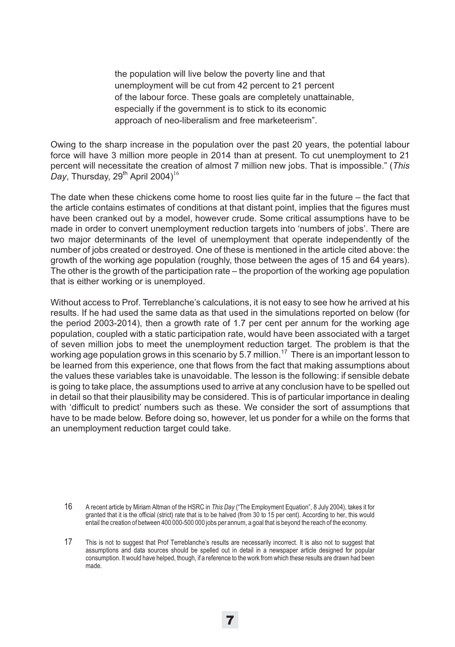the population will live below the poverty line and that unemployment will be cut from 42 percent to 21 percent of the labour force. These goals are completely unattainable, especially if the government is to stick to its economic approach of neo-liberalism and free marketeerism".

Owing to the sharp increase in the population over the past 20 years, the potential labour force will have 3 million more people in 2014 than at present. To cut unemployment to 21 percent will necessitate the creation of almost 7 million new jobs. That is impossible." (*This* Day, Thursday,  $29<sup>th</sup>$  April 2004)<sup>16</sup>

The date when these chickens come home to roost lies quite far in the future – the fact that the article contains estimates of conditions at that distant point, implies that the figures must have been cranked out by a model, however crude. Some critical assumptions have to be made in order to convert unemployment reduction targets into 'numbers of jobs'. There are two major determinants of the level of unemployment that operate independently of the number of jobs created or destroyed. One of these is mentioned in the article cited above: the growth of the working age population (roughly, those between the ages of 15 and 64 years). The other is the growth of the participation rate – the proportion of the working age population that is either working or is unemployed.

Without access to Prof. Terreblanche's calculations, it is not easy to see how he arrived at his results. If he had used the same data as that used in the simulations reported on below (for the period 2003-2014), then a growth rate of 1.7 per cent per annum for the working age population, coupled with a static participation rate, would have been associated with a target of seven million jobs to meet the unemployment reduction target. The problem is that the working age population grows in this scenario by 5.7 million.<sup>17</sup> There is an important lesson to be learned from this experience, one that flows from the fact that making assumptions about the values these variables take is unavoidable. The lesson is the following: if sensible debate is going to take place, the assumptions used to arrive at any conclusion have to be spelled out in detail so that their plausibility may be considered. This is of particular importance in dealing with 'difficult to predict' numbers such as these. We consider the sort of assumptions that have to be made below. Before doing so, however, let us ponder for a while on the forms that an unemployment reduction target could take.

<sup>16</sup> A recent article by Miriam Altman of the HSRC in *This Day* ("The Employment Equation", 8 July 2004), takes it for granted that it is the official (strict) rate that is to be halved (from 30 to 15 per cent). According to her, this would entail the creation of between 400 000-500 000 jobs per annum, a goal that is beyond the reach of the economy.

<sup>17</sup> This is not to suggest that Prof Terreblanche's results are necessarily incorrect. It is also not to suggest that assumptions and data sources should be spelled out in detail in a newspaper article designed for popular consumption. It would have helped, though, if a reference to the work from which these results are drawn had been made.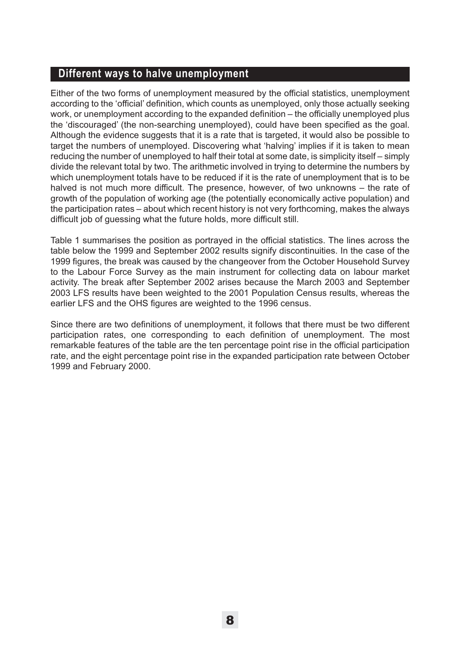# **Different ways to halve unemployment**

Either of the two forms of unemployment measured by the official statistics, unemployment according to the 'official' definition, which counts as unemployed, only those actually seeking work, or unemployment according to the expanded definition – the officially unemployed plus the 'discouraged' (the non-searching unemployed), could have been specified as the goal. Although the evidence suggests that it is a rate that is targeted, it would also be possible to target the numbers of unemployed. Discovering what 'halving' implies if it is taken to mean reducing the number of unemployed to half their total at some date, is simplicity itself – simply divide the relevant total by two. The arithmetic involved in trying to determine the numbers by which unemployment totals have to be reduced if it is the rate of unemployment that is to be halved is not much more difficult. The presence, however, of two unknowns – the rate of growth of the population of working age (the potentially economically active population) and the participation rates – about which recent history is not very forthcoming, makes the always difficult job of guessing what the future holds, more difficult still.

Table 1 summarises the position as portrayed in the official statistics. The lines across the table below the 1999 and September 2002 results signify discontinuities. In the case of the 1999 figures, the break was caused by the changeover from the October Household Survey to the Labour Force Survey as the main instrument for collecting data on labour market activity. The break after September 2002 arises because the March 2003 and September 2003 LFS results have been weighted to the 2001 Population Census results, whereas the earlier LFS and the OHS figures are weighted to the 1996 census.

Since there are two definitions of unemployment, it follows that there must be two different participation rates, one corresponding to each definition of unemployment. The most remarkable features of the table are the ten percentage point rise in the official participation rate, and the eight percentage point rise in the expanded participation rate between October 1999 and February 2000.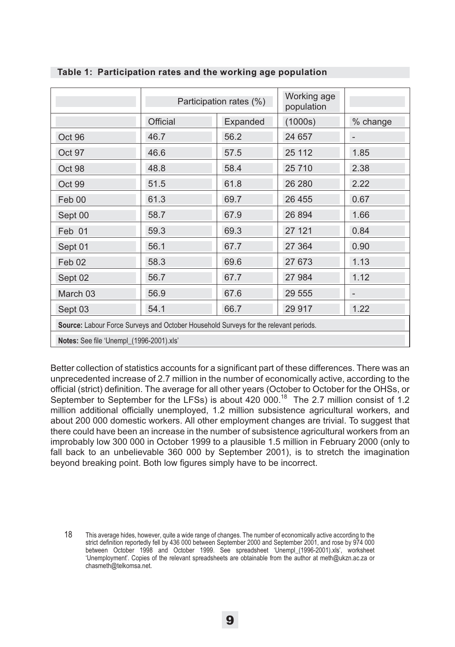|                                                                                      | Participation rates (%) |          | Working age<br>population |          |  |
|--------------------------------------------------------------------------------------|-------------------------|----------|---------------------------|----------|--|
|                                                                                      | Official                | Expanded | (1000s)                   | % change |  |
| Oct 96                                                                               | 46.7                    | 56.2     | 24 657                    |          |  |
| Oct 97                                                                               | 46.6                    | 57.5     | 25 112                    | 1.85     |  |
| Oct 98                                                                               | 48.8                    | 58.4     | 25 710                    | 2.38     |  |
| Oct 99                                                                               | 51.5                    | 61.8     | 26 280                    | 2.22     |  |
| Feb 00                                                                               | 61.3                    | 69.7     | 26 455                    | 0.67     |  |
| Sept 00                                                                              | 58.7                    | 67.9     | 26 894                    | 1.66     |  |
| Feb 01                                                                               | 59.3                    | 69.3     | 27 121                    | 0.84     |  |
| Sept 01                                                                              | 56.1                    | 67.7     | 27 364                    | 0.90     |  |
| Feb 02                                                                               | 58.3                    | 69.6     | 27 673                    | 1.13     |  |
| Sept 02                                                                              | 56.7                    | 67.7     | 27 984                    | 1.12     |  |
| March 03                                                                             | 56.9                    | 67.6     | 29 555                    | -        |  |
| Sept 03                                                                              | 54.1                    | 66.7     | 29 917                    | 1.22     |  |
| Source: Labour Force Surveys and October Household Surveys for the relevant periods. |                         |          |                           |          |  |
| Notes: See file 'Unempl_(1996-2001).xls'                                             |                         |          |                           |          |  |

#### **Table 1: Participation rates and the working age population**

Better collection of statistics accounts for a significant part of these differences. There was an unprecedented increase of 2.7 million in the number of economically active, according to the official (strict) definition. The average for all other years (October to October for the OHSs, or September to September for the LFSs) is about 420 000.<sup>18</sup> The 2.7 million consist of 1.2 million additional officially unemployed, 1.2 million subsistence agricultural workers, and about 200 000 domestic workers. All other employment changes are trivial. To suggest that there could have been an increase in the number of subsistence agricultural workers from an improbably low 300 000 in October 1999 to a plausible 1.5 million in February 2000 (only to fall back to an unbelievable 360 000 by September 2001), is to stretch the imagination beyond breaking point. Both low figures simply have to be incorrect.

18 This average hides, however, quite a wide range of changes. The number of economically active according to the strict definition reportedly fell by 436 000 between September 2000 and September 2001, and rose by 974 000 between October 1998 and October 1999. See spreadsheet 'Unempl\_(1996-2001).xls', worksheet 'Unemployment'. Copies of the relevant spreadsheets are obtainable from the author at meth@ukzn.ac.za or chasmeth@telkomsa.net.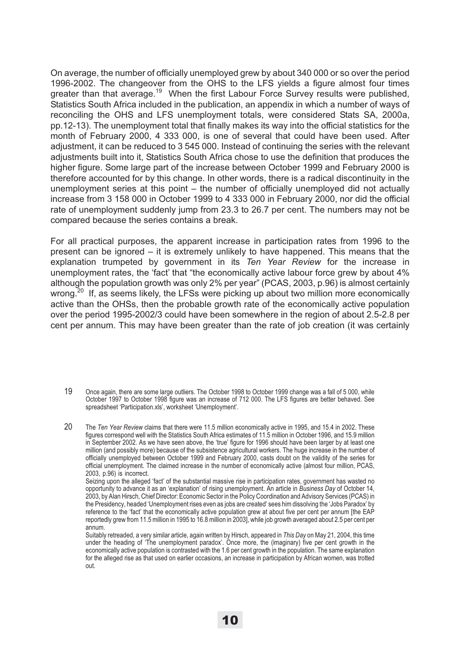On average, the number of officially unemployed grew by about 340 000 or so over the period 1996-2002. The changeover from the OHS to the LFS yields a figure almost four times greater than that average.<sup>19</sup> When the first Labour Force Survey results were published, Statistics South Africa included in the publication, an appendix in which a number of ways of reconciling the OHS and LFS unemployment totals, were considered Stats SA, 2000a, pp.12-13). The unemployment total that finally makes its way into the official statistics for the month of February 2000, 4 333 000, is one of several that could have been used. After adjustment, it can be reduced to 3 545 000. Instead of continuing the series with the relevant adjustments built into it, Statistics South Africa chose to use the definition that produces the higher figure. Some large part of the increase between October 1999 and February 2000 is therefore accounted for by this change. In other words, there is a radical discontinuity in the unemployment series at this point – the number of officially unemployed did not actually increase from 3 158 000 in October 1999 to 4 333 000 in February 2000, nor did the official rate of unemployment suddenly jump from 23.3 to 26.7 per cent. The numbers may not be compared because the series contains a break.

For all practical purposes, the apparent increase in participation rates from 1996 to the present can be ignored – it is extremely unlikely to have happened. This means that the explanation trumpeted by government in its *Ten Year Review* for the increase in unemployment rates, the 'fact' that "the economically active labour force grew by about 4% although the population growth was only 2% per year" (PCAS, 2003, p.96) is almost certainly wrong.<sup>20</sup> If, as seems likely, the LFSs were picking up about two million more economically active than the OHSs, then the probable growth rate of the economically active population over the period 1995-2002/3 could have been somewhere in the region of about 2.5-2.8 per cent per annum. This may have been greater than the rate of job creation (it was certainly

Seizing upon the alleged 'fact' of the substantial massive rise in participation rates, government has wasted no opportunity to advance it as an 'explanation' of rising unemployment. An article in *Business Day* of October 14, 2003, by Alan Hirsch, Chief Director: Economic Sector in the Policy Coordination and Advisory Services (PCAS) in the Presidency, headed 'Unemployment rises even as jobs are created' sees him dissolving the 'Jobs Paradox' by reference to the 'fact' that the economically active population grew at about five per cent per annum [the EAP reportedly grew from 11.5 million in 1995 to 16.8 million in 2003], while job growth averaged about 2.5 per cent per annum.

Suitably retreaded, a very similar article, again written by Hirsch, appeared in *This Day* on May 21, 2004, this time under the heading of 'The unemployment paradox'. Once more, the (imaginary) five per cent growth in the economically active population is contrasted with the 1.6 per cent growth in the population. The same explanation for the alleged rise as that used on earlier occasions, an increase in participation by African women, was trotted out.

<sup>19</sup> Once again, there are some large outliers. The October 1998 to October 1999 change was a fall of 5 000, while October 1997 to October 1998 figure was an increase of 712 000. The LFS figures are better behaved. See spreadsheet 'Participation.xls', worksheet 'Unemployment'.

<sup>20</sup> The *Ten Year Review* claims that there were 11.5 million economically active in 1995, and 15.4 in 2002. These figures correspond well with the Statistics South Africa estimates of 11.5 million in October 1996, and 15.9 million in September 2002. As we have seen above, the 'true' figure for 1996 should have been larger by at least one million (and possibly more) because of the subsistence agricultural workers. The huge increase in the number of officially unemployed between October 1999 and February 2000, casts doubt on the validity of the series for official unemployment. The claimed increase in the number of economically active (almost four million, PCAS, 2003, p.96) is incorrect.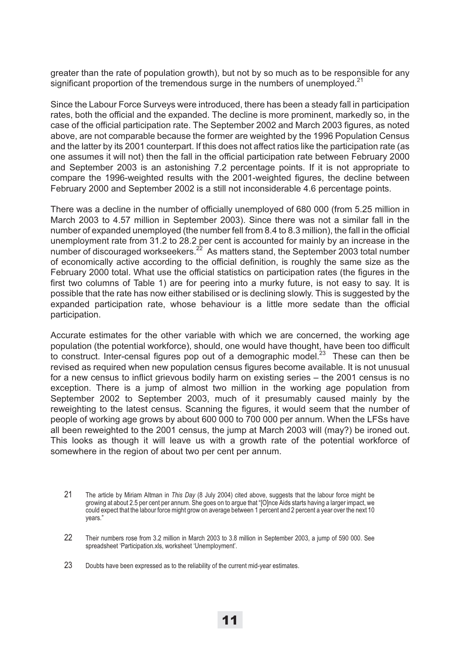greater than the rate of population growth), but not by so much as to be responsible for any significant proportion of the tremendous surge in the numbers of unemployed. $2<sup>1</sup>$ 

Since the Labour Force Surveys were introduced, there has been a steady fall in participation rates, both the official and the expanded. The decline is more prominent, markedly so, in the case of the official participation rate. The September 2002 and March 2003 figures, as noted above, are not comparable because the former are weighted by the 1996 Population Census and the latter by its 2001 counterpart. If this does not affect ratios like the participation rate (as one assumes it will not) then the fall in the official participation rate between February 2000 and September 2003 is an astonishing 7.2 percentage points. If it is not appropriate to compare the 1996-weighted results with the 2001-weighted figures, the decline between February 2000 and September 2002 is a still not inconsiderable 4.6 percentage points.

There was a decline in the number of officially unemployed of 680 000 (from 5.25 million in March 2003 to 4.57 million in September 2003). Since there was not a similar fall in the number of expanded unemployed (the number fell from 8.4 to 8.3 million), the fall in the official unemployment rate from 31.2 to 28.2 per cent is accounted for mainly by an increase in the number of discouraged workseekers. $^{22}$  As matters stand, the September 2003 total number of economically active according to the official definition, is roughly the same size as the February 2000 total. What use the official statistics on participation rates (the figures in the first two columns of Table 1) are for peering into a murky future, is not easy to say. It is possible that the rate has now either stabilised or is declining slowly. This is suggested by the expanded participation rate, whose behaviour is a little more sedate than the official participation.

Accurate estimates for the other variable with which we are concerned, the working age population (the potential workforce), should, one would have thought, have been too difficult to construct. Inter-censal figures pop out of a demographic model.<sup>23</sup> These can then be revised as required when new population census figures become available. It is not unusual for a new census to inflict grievous bodily harm on existing series – the 2001 census is no exception. There is a jump of almost two million in the working age population from September 2002 to September 2003, much of it presumably caused mainly by the reweighting to the latest census. Scanning the figures, it would seem that the number of people of working age grows by about 600 000 to 700 000 per annum. When the LFSs have all been reweighted to the 2001 census, the jump at March 2003 will (may?) be ironed out. This looks as though it will leave us with a growth rate of the potential workforce of somewhere in the region of about two per cent per annum.

<sup>21</sup> The article by Miriam Altman in *This Day* (8 July 2004) cited above, suggests that the labour force might be growing at about 2.5 per cent per annum. She goes on to argue that "[O]nce Aids starts having a larger impact, we could expect that the labour force might grow on average between 1 percent and 2 percent a year over the next 10 years."

<sup>22</sup> Their numbers rose from 3.2 million in March 2003 to 3.8 million in September 2003, a jump of 590 000. See spreadsheet 'Participation.xls, worksheet 'Unemployment'.

<sup>23</sup> Doubts have been expressed as to the reliability of the current mid-year estimates.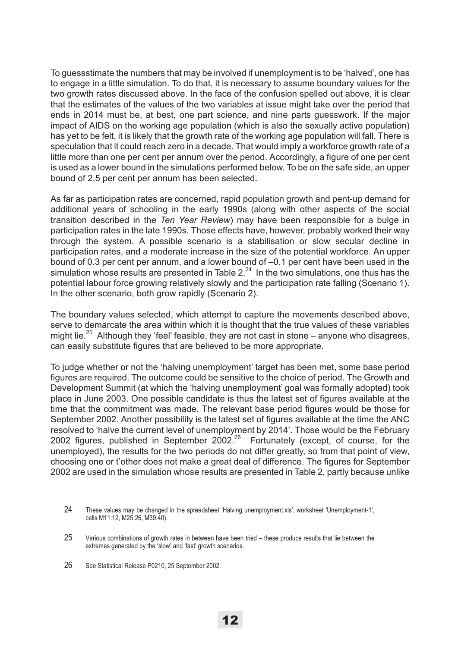To guessstimate the numbers that may be involved if unemployment is to be 'halved', one has to engage in a little simulation. To do that, it is necessary to assume boundary values for the two growth rates discussed above. In the face of the confusion spelled out above, it is clear that the estimates of the values of the two variables at issue might take over the period that ends in 2014 must be, at best, one part science, and nine parts guesswork. If the major impact of AIDS on the working age population (which is also the sexually active population) has yet to be felt, it is likely that the growth rate of the working age population will fall. There is speculation that it could reach zero in a decade. That would imply a workforce growth rate of a little more than one per cent per annum over the period. Accordingly, a figure of one per cent is used as a lower bound in the simulations performed below. To be on the safe side, an upper bound of 2.5 per cent per annum has been selected.

As far as participation rates are concerned, rapid population growth and pent-up demand for additional years of schooling in the early 1990s (along with other aspects of the social transition described in the *Ten Year Review*) may have been responsible for a bulge in participation rates in the late 1990s. Those effects have, however, probably worked their way through the system. A possible scenario is a stabilisation or slow secular decline in participation rates, and a moderate increase in the size of the potential workforce. An upper bound of 0.3 per cent per annum, and a lower bound of –0.1 per cent have been used in the simulation whose results are presented in Table 2. $^{24}$  In the two simulations, one thus has the potential labour force growing relatively slowly and the participation rate falling (Scenario 1). In the other scenario, both grow rapidly (Scenario 2).

The boundary values selected, which attempt to capture the movements described above, serve to demarcate the area within which it is thought that the true values of these variables might lie.<sup>25</sup> Although they 'feel' feasible, they are not cast in stone – anyone who disagrees, can easily substitute figures that are believed to be more appropriate.

To judge whether or not the 'halving unemployment' target has been met, some base period figures are required. The outcome could be sensitive to the choice of period. The Growth and Development Summit (at which the 'halving unemployment' goal was formally adopted) took place in June 2003. One possible candidate is thus the latest set of figures available at the time that the commitment was made. The relevant base period figures would be those for September 2002. Another possibility is the latest set of figures available at the time the ANC resolved to 'halve the current level of unemployment by 2014'. Those would be the February 2002 figures, published in September 2002. $^{26}$  Fortunately (except, of course, for the unemployed), the results for the two periods do not differ greatly, so from that point of view, choosing one or t'other does not make a great deal of difference. The figures for September 2002 are used in the simulation whose results are presented in Table 2, partly because unlike

<sup>24</sup> These values may be changed in the spreadsheet 'Halving unemployment.xls', worksheet 'Unemployment-1', cells M11:12, M25:26, M39:40).

<sup>25</sup> Various combinations of growth rates in between have been tried – these produce results that lie between the extremes generated by the 'slow' and 'fast' growth scenarios.

<sup>26</sup> See Statistical Release P0210, 25 September 2002.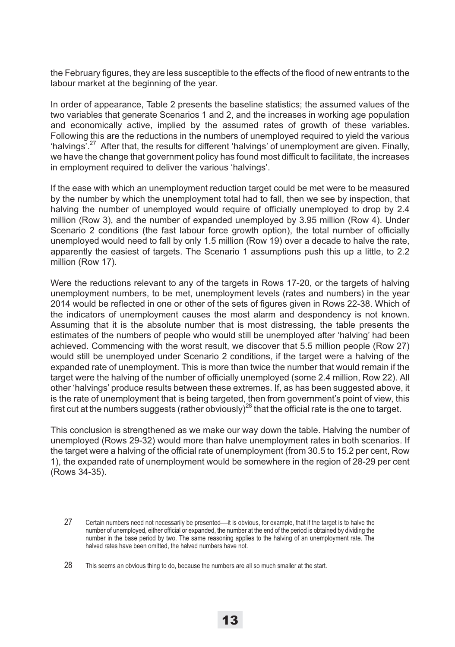the February figures, they are less susceptible to the effects of the flood of new entrants to the labour market at the beginning of the year.

In order of appearance, Table 2 presents the baseline statistics; the assumed values of the two variables that generate Scenarios 1 and 2, and the increases in working age population and economically active, implied by the assumed rates of growth of these variables. Following this are the reductions in the numbers of unemployed required to yield the various 'halvings'.27 After that, the results for different 'halvings' of unemployment are given. Finally, we have the change that government policy has found most difficult to facilitate, the increases in employment required to deliver the various 'halvings'.

If the ease with which an unemployment reduction target could be met were to be measured by the number by which the unemployment total had to fall, then we see by inspection, that halving the number of unemployed would require of officially unemployed to drop by 2.4 million (Row 3), and the number of expanded unemployed by 3.95 million (Row 4). Under Scenario 2 conditions (the fast labour force growth option), the total number of officially unemployed would need to fall by only 1.5 million (Row 19) over a decade to halve the rate, apparently the easiest of targets. The Scenario 1 assumptions push this up a little, to 2.2 million (Row 17).

Were the reductions relevant to any of the targets in Rows 17-20, or the targets of halving unemployment numbers, to be met, unemployment levels (rates and numbers) in the year 2014 would be reflected in one or other of the sets of figures given in Rows 22-38. Which of the indicators of unemployment causes the most alarm and despondency is not known. Assuming that it is the absolute number that is most distressing, the table presents the estimates of the numbers of people who would still be unemployed after 'halving' had been achieved. Commencing with the worst result, we discover that 5.5 million people (Row 27) would still be unemployed under Scenario 2 conditions, if the target were a halving of the expanded rate of unemployment. This is more than twice the number that would remain if the target were the halving of the number of officially unemployed (some 2.4 million, Row 22). All other 'halvings' produce results between these extremes. If, as has been suggested above, it is the rate of unemployment that is being targeted, then from government's point of view, this first cut at the numbers suggests (rather obviously)<sup>28</sup> that the official rate is the one to target.

This conclusion is strengthened as we make our way down the table. Halving the number of unemployed (Rows 29-32) would more than halve unemployment rates in both scenarios. If the target were a halving of the official rate of unemployment (from 30.5 to 15.2 per cent, Row 1), the expanded rate of unemployment would be somewhere in the region of 28-29 per cent (Rows 34-35).

<sup>27</sup> Certain numbers need not necessarily be presented—it is obvious, for example, that if the target is to halve the number of unemployed, either official or expanded, the number at the end of the period is obtained by dividing the number in the base period by two. The same reasoning applies to the halving of an unemployment rate. The halved rates have been omitted, the halved numbers have not.

<sup>28</sup> This seems an obvious thing to do, because the numbers are all so much smaller at the start.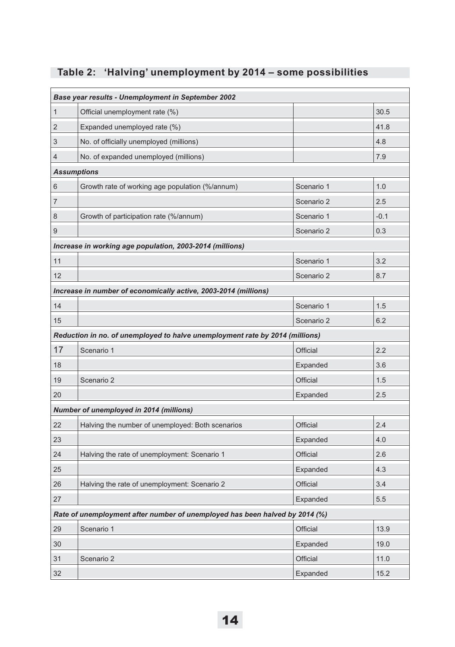|  |  |  |  |  |  | Table 2: 'Halving' unemployment by 2014 - some possibilities |
|--|--|--|--|--|--|--------------------------------------------------------------|
|--|--|--|--|--|--|--------------------------------------------------------------|

| Base year results - Unemployment in September 2002                          |                                                                              |            |        |  |
|-----------------------------------------------------------------------------|------------------------------------------------------------------------------|------------|--------|--|
| 1                                                                           | Official unemployment rate (%)                                               |            | 30.5   |  |
| 2                                                                           | Expanded unemployed rate (%)                                                 |            | 41.8   |  |
| 3                                                                           | No. of officially unemployed (millions)                                      |            | 4.8    |  |
| 4                                                                           | No. of expanded unemployed (millions)                                        |            | 7.9    |  |
|                                                                             | <b>Assumptions</b>                                                           |            |        |  |
| 6                                                                           | Growth rate of working age population (%/annum)                              | Scenario 1 | 1.0    |  |
| 7                                                                           |                                                                              | Scenario 2 | 2.5    |  |
| 8                                                                           | Growth of participation rate (%/annum)                                       | Scenario 1 | $-0.1$ |  |
| 9                                                                           |                                                                              | Scenario 2 | 0.3    |  |
|                                                                             | Increase in working age population, 2003-2014 (millions)                     |            |        |  |
| 11                                                                          |                                                                              | Scenario 1 | 3.2    |  |
| 12                                                                          |                                                                              | Scenario 2 | 8.7    |  |
| Increase in number of economically active, 2003-2014 (millions)             |                                                                              |            |        |  |
| 14                                                                          |                                                                              | Scenario 1 | 1.5    |  |
| 15                                                                          |                                                                              | Scenario 2 | 6.2    |  |
|                                                                             | Reduction in no. of unemployed to halve unemployment rate by 2014 (millions) |            |        |  |
| 17                                                                          | Scenario 1                                                                   | Official   | 2.2    |  |
| 18                                                                          |                                                                              | Expanded   | 3.6    |  |
| 19                                                                          | Scenario 2                                                                   | Official   | 1.5    |  |
| 20                                                                          |                                                                              | Expanded   | 2.5    |  |
|                                                                             | Number of unemployed in 2014 (millions)                                      |            |        |  |
| 22                                                                          | Halving the number of unemployed: Both scenarios                             | Official   | 2.4    |  |
| 23                                                                          |                                                                              | Expanded   | 4.0    |  |
| 24                                                                          | Halving the rate of unemployment: Scenario 1                                 | Official   | 2.6    |  |
| 25                                                                          |                                                                              | Expanded   | 4.3    |  |
| 26                                                                          | Halving the rate of unemployment: Scenario 2                                 | Official   | 3.4    |  |
| 27                                                                          |                                                                              | Expanded   | 5.5    |  |
| Rate of unemployment after number of unemployed has been halved by 2014 (%) |                                                                              |            |        |  |
| 29                                                                          | Scenario 1                                                                   | Official   | 13.9   |  |
| 30                                                                          |                                                                              | Expanded   | 19.0   |  |
| 31                                                                          | Scenario 2                                                                   | Official   | 11.0   |  |
| 32                                                                          |                                                                              | Expanded   | 15.2   |  |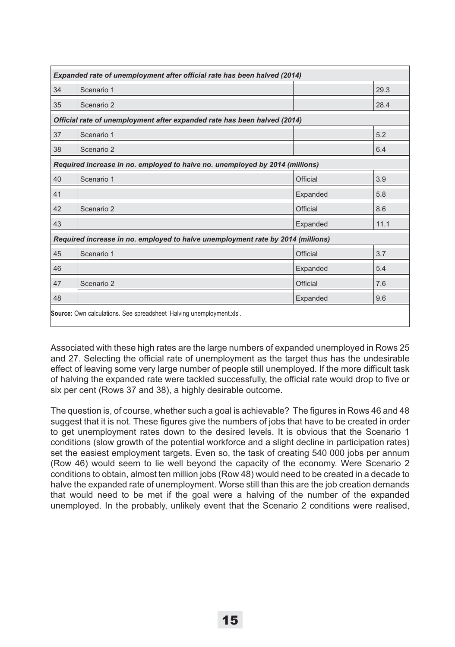| Expanded rate of unemployment after official rate has been halved (2014)        |                                                                          |          |      |  |  |
|---------------------------------------------------------------------------------|--------------------------------------------------------------------------|----------|------|--|--|
| 34                                                                              | Scenario 1                                                               |          | 29.3 |  |  |
| 35                                                                              | Scenario 2                                                               |          | 28.4 |  |  |
|                                                                                 | Official rate of unemployment after expanded rate has been halved (2014) |          |      |  |  |
| 37                                                                              | Scenario 1                                                               |          | 5.2  |  |  |
| 38                                                                              | Scenario 2                                                               |          | 6.4  |  |  |
| Required increase in no. employed to halve no. unemployed by 2014 (millions)    |                                                                          |          |      |  |  |
| 40                                                                              | Scenario 1                                                               | Official | 3.9  |  |  |
| 41                                                                              |                                                                          | Expanded | 5.8  |  |  |
| 42                                                                              | Scenario 2                                                               | Official | 8.6  |  |  |
| 43                                                                              |                                                                          | Expanded | 11.1 |  |  |
| Required increase in no. employed to halve unemployment rate by 2014 (millions) |                                                                          |          |      |  |  |
| 45                                                                              | Scenario 1                                                               | Official | 3.7  |  |  |
| 46                                                                              |                                                                          | Expanded | 5.4  |  |  |
| 47                                                                              | Scenario 2                                                               | Official | 7.6  |  |  |
| 48                                                                              |                                                                          | Expanded | 9.6  |  |  |
| <b>Source:</b> Own calculations. See spreadsheet 'Halving unemployment.xls'.    |                                                                          |          |      |  |  |

Associated with these high rates are the large numbers of expanded unemployed in Rows 25 and 27. Selecting the official rate of unemployment as the target thus has the undesirable effect of leaving some very large number of people still unemployed. If the more difficult task of halving the expanded rate were tackled successfully, the official rate would drop to five or six per cent (Rows 37 and 38), a highly desirable outcome.

The question is, of course, whether such a goal is achievable? The figures in Rows 46 and 48 suggest that it is not. These figures give the numbers of jobs that have to be created in order to get unemployment rates down to the desired levels. It is obvious that the Scenario 1 conditions (slow growth of the potential workforce and a slight decline in participation rates) set the easiest employment targets. Even so, the task of creating 540 000 jobs per annum (Row 46) would seem to lie well beyond the capacity of the economy. Were Scenario 2 conditions to obtain, almost ten million jobs (Row 48) would need to be created in a decade to halve the expanded rate of unemployment. Worse still than this are the job creation demands that would need to be met if the goal were a halving of the number of the expanded unemployed. In the probably, unlikely event that the Scenario 2 conditions were realised,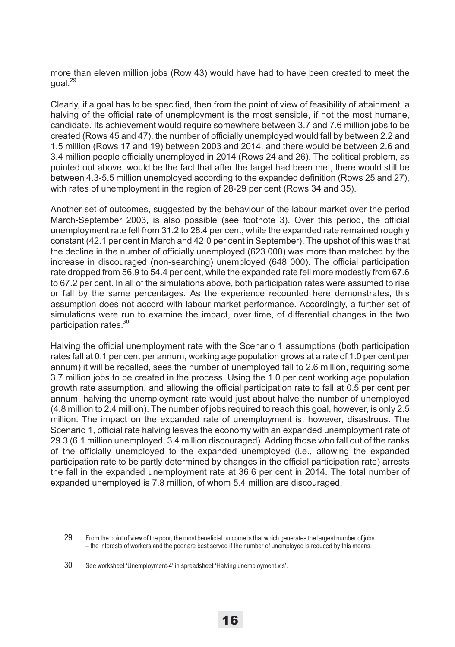more than eleven million jobs (Row 43) would have had to have been created to meet the goal.29

Clearly, if a goal has to be specified, then from the point of view of feasibility of attainment, a halving of the official rate of unemployment is the most sensible, if not the most humane, candidate. Its achievement would require somewhere between 3.7 and 7.6 million jobs to be created (Rows 45 and 47), the number of officially unemployed would fall by between 2.2 and 1.5 million (Rows 17 and 19) between 2003 and 2014, and there would be between 2.6 and 3.4 million people officially unemployed in 2014 (Rows 24 and 26). The political problem, as pointed out above, would be the fact that after the target had been met, there would still be between 4.3-5.5 million unemployed according to the expanded definition (Rows 25 and 27), with rates of unemployment in the region of 28-29 per cent (Rows 34 and 35).

Another set of outcomes, suggested by the behaviour of the labour market over the period March-September 2003, is also possible (see footnote 3). Over this period, the official unemployment rate fell from 31.2 to 28.4 per cent, while the expanded rate remained roughly constant (42.1 per cent in March and 42.0 per cent in September). The upshot of this was that the decline in the number of officially unemployed (623 000) was more than matched by the increase in discouraged (non-searching) unemployed (648 000). The official participation rate dropped from 56.9 to 54.4 per cent, while the expanded rate fell more modestly from 67.6 to 67.2 per cent. In all of the simulations above, both participation rates were assumed to rise or fall by the same percentages. As the experience recounted here demonstrates, this assumption does not accord with labour market performance. Accordingly, a further set of simulations were run to examine the impact, over time, of differential changes in the two participation rates.<sup>30</sup>

Halving the official unemployment rate with the Scenario 1 assumptions (both participation rates fall at 0.1 per cent per annum, working age population grows at a rate of 1.0 per cent per annum) it will be recalled, sees the number of unemployed fall to 2.6 million, requiring some 3.7 million jobs to be created in the process. Using the 1.0 per cent working age population growth rate assumption, and allowing the official participation rate to fall at 0.5 per cent per annum, halving the unemployment rate would just about halve the number of unemployed (4.8 million to 2.4 million). The number of jobs required to reach this goal, however, is only 2.5 million. The impact on the expanded rate of unemployment is, however, disastrous. The Scenario 1, official rate halving leaves the economy with an expanded unemployment rate of 29.3 (6.1 million unemployed; 3.4 million discouraged). Adding those who fall out of the ranks of the officially unemployed to the expanded unemployed (i.e., allowing the expanded participation rate to be partly determined by changes in the official participation rate) arrests the fall in the expanded unemployment rate at 36.6 per cent in 2014. The total number of expanded unemployed is 7.8 million, of whom 5.4 million are discouraged.

<sup>29</sup> From the point of view of the poor, the most beneficial outcome is that which generates the largest number of jobs – the interests of workers and the poor are best served if the number of unemployed is reduced by this means.

<sup>30</sup> See worksheet 'Unemployment-4' in spreadsheet 'Halving unemployment.xls'.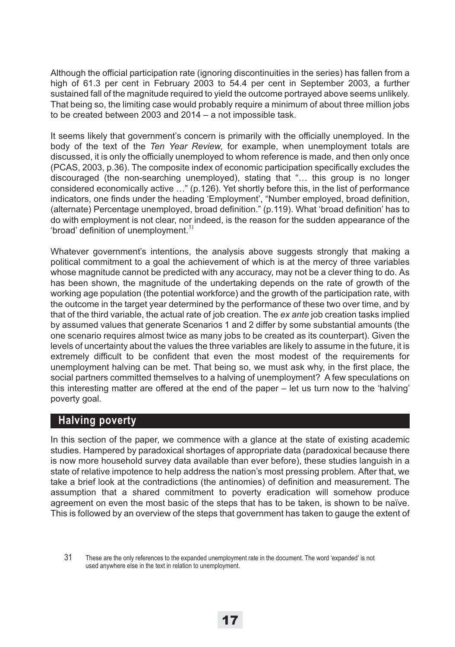Although the official participation rate (ignoring discontinuities in the series) has fallen from a high of 61.3 per cent in February 2003 to 54.4 per cent in September 2003, a further sustained fall of the magnitude required to yield the outcome portrayed above seems unlikely. That being so, the limiting case would probably require a minimum of about three million jobs to be created between 2003 and 2014 – a not impossible task.

It seems likely that government's concern is primarily with the officially unemployed. In the body of the text of the *Ten Year Review*, for example, when unemployment totals are discussed, it is only the officially unemployed to whom reference is made, and then only once (PCAS, 2003, p.36). The composite index of economic participation specifically excludes the discouraged (the non-searching unemployed), stating that "… this group is no longer considered economically active …" (p.126). Yet shortly before this, in the list of performance indicators, one finds under the heading 'Employment', "Number employed, broad definition, (alternate) Percentage unemployed, broad definition." (p.119). What 'broad definition' has to do with employment is not clear, nor indeed, is the reason for the sudden appearance of the 'broad' definition of unemployment. $31$ 

Whatever government's intentions, the analysis above suggests strongly that making a political commitment to a goal the achievement of which is at the mercy of three variables whose magnitude cannot be predicted with any accuracy, may not be a clever thing to do. As has been shown, the magnitude of the undertaking depends on the rate of growth of the working age population (the potential workforce) and the growth of the participation rate, with the outcome in the target year determined by the performance of these two over time, and by that of the third variable, the actual rate of job creation. The *ex ante* job creation tasks implied by assumed values that generate Scenarios 1 and 2 differ by some substantial amounts (the one scenario requires almost twice as many jobs to be created as its counterpart). Given the levels of uncertainty about the values the three variables are likely to assume in the future, it is extremely difficult to be confident that even the most modest of the requirements for unemployment halving can be met. That being so, we must ask why, in the first place, the social partners committed themselves to a halving of unemployment? A few speculations on this interesting matter are offered at the end of the paper – let us turn now to the 'halving' poverty goal.

# **Halving poverty**

In this section of the paper, we commence with a glance at the state of existing academic studies. Hampered by paradoxical shortages of appropriate data (paradoxical because there is now more household survey data available than ever before), these studies languish in a state of relative impotence to help address the nation's most pressing problem. After that, we take a brief look at the contradictions (the antinomies) of definition and measurement. The assumption that a shared commitment to poverty eradication will somehow produce agreement on even the most basic of the steps that has to be taken, is shown to be naïve. This is followed by an overview of the steps that government has taken to gauge the extent of

<sup>31</sup> These are the only references to the expanded unemployment rate in the document. The word 'expanded' is not used anywhere else in the text in relation to unemployment.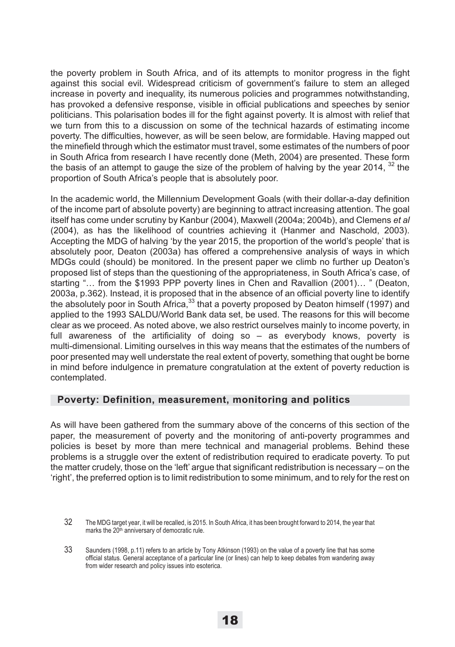the poverty problem in South Africa, and of its attempts to monitor progress in the fight against this social evil. Widespread criticism of government's failure to stem an alleged increase in poverty and inequality, its numerous policies and programmes notwithstanding, has provoked a defensive response, visible in official publications and speeches by senior politicians. This polarisation bodes ill for the fight against poverty. It is almost with relief that we turn from this to a discussion on some of the technical hazards of estimating income poverty. The difficulties, however, as will be seen below, are formidable. Having mapped out the minefield through which the estimator must travel, some estimates of the numbers of poor in South Africa from research I have recently done (Meth, 2004) are presented. These form the basis of an attempt to gauge the size of the problem of halving by the year 2014,  $32$  the proportion of South Africa's people that is absolutely poor.

In the academic world, the Millennium Development Goals (with their dollar-a-day definition of the income part of absolute poverty) are beginning to attract increasing attention. The goal itself has come under scrutiny by Kanbur (2004), Maxwell (2004a; 2004b), and Clemens *et al* (2004), as has the likelihood of countries achieving it (Hanmer and Naschold, 2003). Accepting the MDG of halving 'by the year 2015, the proportion of the world's people' that is absolutely poor, Deaton (2003a) has offered a comprehensive analysis of ways in which MDGs could (should) be monitored. In the present paper we climb no further up Deaton's proposed list of steps than the questioning of the appropriateness, in South Africa's case, of starting "… from the \$1993 PPP poverty lines in Chen and Ravallion (2001)… " (Deaton, 2003a, p.362). Instead, it is proposed that in the absence of an official poverty line to identify the absolutely poor in South Africa,<sup>33</sup> that a poverty proposed by Deaton himself (1997) and applied to the 1993 SALDU/World Bank data set, be used. The reasons for this will become clear as we proceed. As noted above, we also restrict ourselves mainly to income poverty, in full awareness of the artificiality of doing so – as everybody knows, poverty is multi-dimensional. Limiting ourselves in this way means that the estimates of the numbers of poor presented may well understate the real extent of poverty, something that ought be borne in mind before indulgence in premature congratulation at the extent of poverty reduction is contemplated.

### **Poverty: Definition, measurement, monitoring and politics**

As will have been gathered from the summary above of the concerns of this section of the paper, the measurement of poverty and the monitoring of anti-poverty programmes and policies is beset by more than mere technical and managerial problems. Behind these problems is a struggle over the extent of redistribution required to eradicate poverty. To put the matter crudely, those on the 'left' argue that significant redistribution is necessary – on the 'right', the preferred option is to limit redistribution to some minimum, and to rely for the rest on

<sup>32</sup> The MDG target year, it will be recalled, is 2015. In South Africa, it has been brought forward to 2014, the year that marks the 20<sup>th</sup> anniversary of democratic rule.

<sup>33</sup> Saunders (1998, p.11) refers to an article by Tony Atkinson (1993) on the value of a poverty line that has some official status. General acceptance of a particular line (or lines) can help to keep debates from wandering away from wider research and policy issues into esoterica.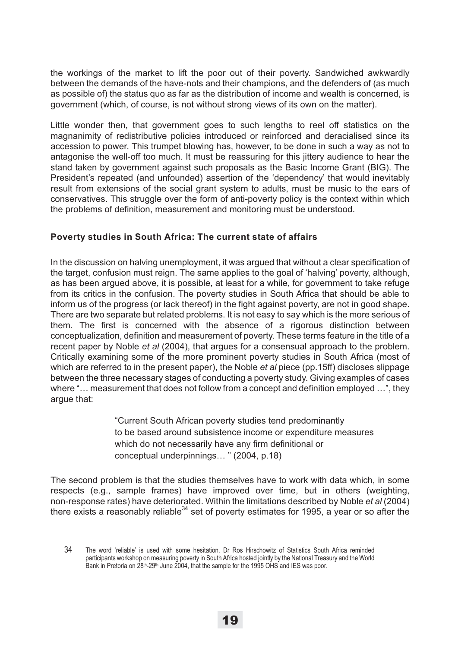the workings of the market to lift the poor out of their poverty. Sandwiched awkwardly between the demands of the have-nots and their champions, and the defenders of (as much as possible of) the status quo as far as the distribution of income and wealth is concerned, is government (which, of course, is not without strong views of its own on the matter).

Little wonder then, that government goes to such lengths to reel off statistics on the magnanimity of redistributive policies introduced or reinforced and deracialised since its accession to power. This trumpet blowing has, however, to be done in such a way as not to antagonise the well-off too much. It must be reassuring for this jittery audience to hear the stand taken by government against such proposals as the Basic Income Grant (BIG). The President's repeated (and unfounded) assertion of the 'dependency' that would inevitably result from extensions of the social grant system to adults, must be music to the ears of conservatives. This struggle over the form of anti-poverty policy is the context within which the problems of definition, measurement and monitoring must be understood.

### **Poverty studies in South Africa: The current state of affairs**

In the discussion on halving unemployment, it was argued that without a clear specification of the target, confusion must reign. The same applies to the goal of 'halving' poverty, although, as has been argued above, it is possible, at least for a while, for government to take refuge from its critics in the confusion. The poverty studies in South Africa that should be able to inform us of the progress (or lack thereof) in the fight against poverty, are not in good shape. There are two separate but related problems. It is not easy to say which is the more serious of them. The first is concerned with the absence of a rigorous distinction between conceptualization, definition and measurement of poverty. These terms feature in the title of a recent paper by Noble *et al* (2004), that argues for a consensual approach to the problem. Critically examining some of the more prominent poverty studies in South Africa (most of which are referred to in the present paper), the Noble *et al* piece (pp.15ff) discloses slippage between the three necessary stages of conducting a poverty study. Giving examples of cases where "… measurement that does not follow from a concept and definition employed …", they argue that:

> "Current South African poverty studies tend predominantly to be based around subsistence income or expenditure measures which do not necessarily have any firm definitional or conceptual underpinnings… " (2004, p.18)

The second problem is that the studies themselves have to work with data which, in some respects (e.g., sample frames) have improved over time, but in others (weighting, non-response rates) have deteriorated. Within the limitations described by Noble *et al* (2004) there exists a reasonably reliable<sup>34</sup> set of poverty estimates for 1995, a year or so after the

<sup>34</sup> The word 'reliable' is used with some hesitation. Dr Ros Hirschowitz of Statistics South Africa reminded participants workshop on measuring poverty in South Africa hosted jointly by the National Treasury and the World Bank in Pretoria on 28<sup>th</sup>-29<sup>th</sup> June 2004, that the sample for the 1995 OHS and IES was poor.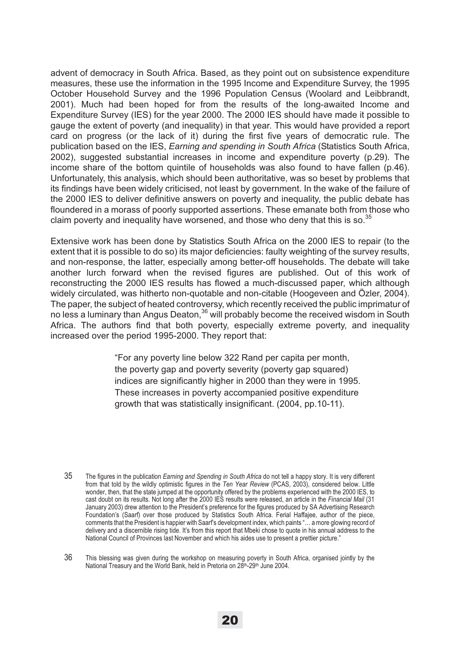advent of democracy in South Africa. Based, as they point out on subsistence expenditure measures, these use the information in the 1995 Income and Expenditure Survey, the 1995 October Household Survey and the 1996 Population Census (Woolard and Leibbrandt, 2001). Much had been hoped for from the results of the long-awaited Income and Expenditure Survey (IES) for the year 2000. The 2000 IES should have made it possible to gauge the extent of poverty (and inequality) in that year. This would have provided a report card on progress (or the lack of it) during the first five years of democratic rule. The publication based on the IES, *Earning and spending in South Africa* (Statistics South Africa, 2002), suggested substantial increases in income and expenditure poverty (p.29). The income share of the bottom quintile of households was also found to have fallen (p.46). Unfortunately, this analysis, which should been authoritative, was so beset by problems that its findings have been widely criticised, not least by government. In the wake of the failure of the 2000 IES to deliver definitive answers on poverty and inequality, the public debate has floundered in a morass of poorly supported assertions. These emanate both from those who claim poverty and inequality have worsened, and those who deny that this is so. $^{35}$ 

Extensive work has been done by Statistics South Africa on the 2000 IES to repair (to the extent that it is possible to do so) its major deficiencies: faulty weighting of the survey results, and non-response, the latter, especially among better-off households. The debate will take another lurch forward when the revised figures are published. Out of this work of reconstructing the 2000 IES results has flowed a much-discussed paper, which although widely circulated, was hitherto non-quotable and non-citable (Hoogeveen and Özler, 2004). The paper, the subject of heated controversy, which recently received the public imprimatur of no less a luminary than Angus Deaton,<sup>36</sup> will probably become the received wisdom in South Africa. The authors find that both poverty, especially extreme poverty, and inequality increased over the period 1995-2000. They report that:

> "For any poverty line below 322 Rand per capita per month, the poverty gap and poverty severity (poverty gap squared) indices are significantly higher in 2000 than they were in 1995. These increases in poverty accompanied positive expenditure growth that was statistically insignificant. (2004, pp.10-11).

<sup>35</sup> The figures in the publication *Earning and Spending in South Africa* do not tell a happy story. It is very different from that told by the wildly optimistic figures in the *Ten Year Review* (PCAS, 2003), considered below. Little wonder, then, that the state jumped at the opportunity offered by the problems experienced with the 2000 IES, to cast doubt on its results. Not long after the 2000 IES results were released, an article in the *Financial Mail* (31 January 2003) drew attention to the President's preference for the figures produced by SA Advertising Research Foundation's (Saarf) over those produced by Statistics South Africa. Ferial Haffajee, author of the piece, comments that the President is happier with Saarf's development index, which paints "… a more glowing record of delivery and a discernible rising tide. It's from this report that Mbeki chose to quote in his annual address to the National Council of Provinces last November and which his aides use to present a prettier picture."

<sup>36</sup> This blessing was given during the workshop on measuring poverty in South Africa, organised jointly by the National Treasury and the World Bank, held in Pretoria on 28th-29th June 2004.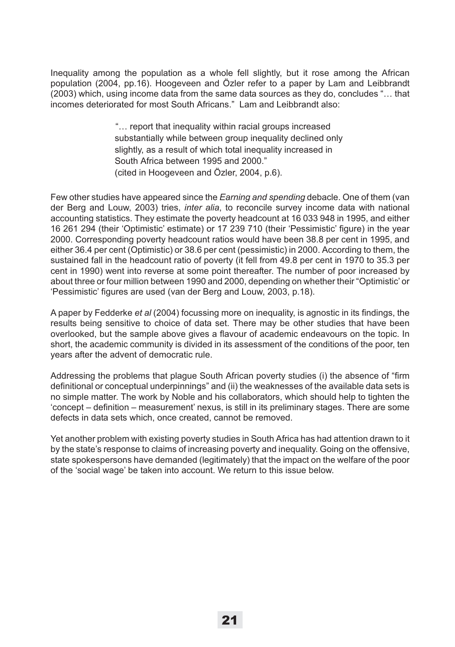Inequality among the population as a whole fell slightly, but it rose among the African population (2004, pp.16). Hoogeveen and Özler refer to a paper by Lam and Leibbrandt (2003) which, using income data from the same data sources as they do, concludes "… that incomes deteriorated for most South Africans." Lam and Leibbrandt also:

> "… report that inequality within racial groups increased substantially while between group inequality declined only slightly, as a result of which total inequality increased in South Africa between 1995 and 2000." (cited in Hoogeveen and Özler, 2004, p.6).

Few other studies have appeared since the *Earning and spending* debacle. One of them (van der Berg and Louw, 2003) tries, *inter alia*, to reconcile survey income data with national accounting statistics. They estimate the poverty headcount at 16 033 948 in 1995, and either 16 261 294 (their 'Optimistic' estimate) or 17 239 710 (their 'Pessimistic' figure) in the year 2000. Corresponding poverty headcount ratios would have been 38.8 per cent in 1995, and either 36.4 per cent (Optimistic) or 38.6 per cent (pessimistic) in 2000. According to them, the sustained fall in the headcount ratio of poverty (it fell from 49.8 per cent in 1970 to 35.3 per cent in 1990) went into reverse at some point thereafter. The number of poor increased by about three or four million between 1990 and 2000, depending on whether their "Optimistic' or 'Pessimistic' figures are used (van der Berg and Louw, 2003, p.18).

A paper by Fedderke *et al* (2004) focussing more on inequality, is agnostic in its findings, the results being sensitive to choice of data set. There may be other studies that have been overlooked, but the sample above gives a flavour of academic endeavours on the topic. In short, the academic community is divided in its assessment of the conditions of the poor, ten years after the advent of democratic rule.

Addressing the problems that plague South African poverty studies (i) the absence of "firm definitional or conceptual underpinnings" and (ii) the weaknesses of the available data sets is no simple matter. The work by Noble and his collaborators, which should help to tighten the 'concept – definition – measurement' nexus, is still in its preliminary stages. There are some defects in data sets which, once created, cannot be removed.

Yet another problem with existing poverty studies in South Africa has had attention drawn to it by the state's response to claims of increasing poverty and inequality. Going on the offensive, state spokespersons have demanded (legitimately) that the impact on the welfare of the poor of the 'social wage' be taken into account. We return to this issue below.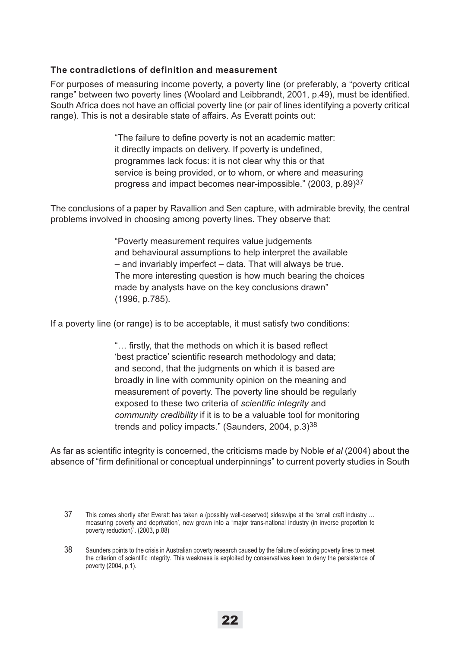### **The contradictions of definition and measurement**

For purposes of measuring income poverty, a poverty line (or preferably, a "poverty critical range" between two poverty lines (Woolard and Leibbrandt, 2001, p.49), must be identified. South Africa does not have an official poverty line (or pair of lines identifying a poverty critical range). This is not a desirable state of affairs. As Everatt points out:

> "The failure to define poverty is not an academic matter: it directly impacts on delivery. If poverty is undefined, programmes lack focus: it is not clear why this or that service is being provided, or to whom, or where and measuring progress and impact becomes near-impossible." (2003, p.89)37

The conclusions of a paper by Ravallion and Sen capture, with admirable brevity, the central problems involved in choosing among poverty lines. They observe that:

> "Poverty measurement requires value judgements and behavioural assumptions to help interpret the available – and invariably imperfect – data. That will always be true. The more interesting question is how much bearing the choices made by analysts have on the key conclusions drawn" (1996, p.785).

If a poverty line (or range) is to be acceptable, it must satisfy two conditions:

"… firstly, that the methods on which it is based reflect 'best practice' scientific research methodology and data; and second, that the judgments on which it is based are broadly in line with community opinion on the meaning and measurement of poverty. The poverty line should be regularly exposed to these two criteria of *scientific integrity* and *community credibility* if it is to be a valuable tool for monitoring trends and policy impacts." (Saunders, 2004,  $p.3$ )<sup>38</sup>

As far as scientific integrity is concerned, the criticisms made by Noble *et al* (2004) about the absence of "firm definitional or conceptual underpinnings" to current poverty studies in South

<sup>37</sup> This comes shortly after Everatt has taken a (possibly well-deserved) sideswipe at the 'small craft industry … measuring poverty and deprivation', now grown into a "major trans-national industry (in inverse proportion to poverty reduction)". (2003, p.88)

<sup>38</sup> Saunders points to the crisis in Australian poverty research caused by the failure of existing poverty lines to meet the criterion of scientific integrity. This weakness is exploited by conservatives keen to deny the persistence of poverty (2004, p.1).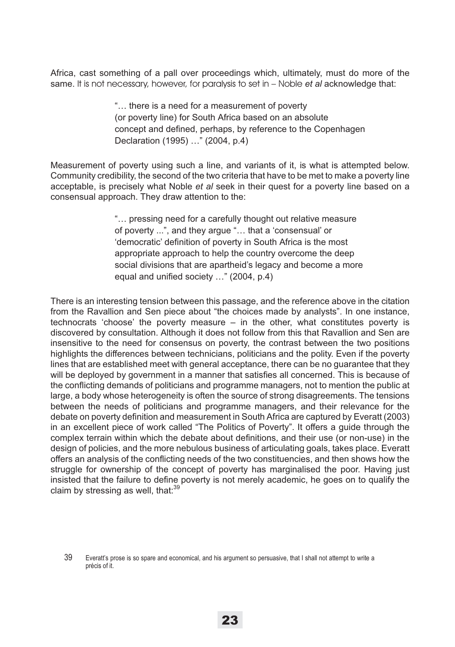Africa, cast something of a pall over proceedings which, ultimately, must do more of the same. It is not necessary, however, for paralysis to set in – Noble *et al* acknowledge that:

> "… there is a need for a measurement of poverty (or poverty line) for South Africa based on an absolute concept and defined, perhaps, by reference to the Copenhagen Declaration (1995) …" (2004, p.4)

Measurement of poverty using such a line, and variants of it, is what is attempted below. Community credibility, the second of the two criteria that have to be met to make a poverty line acceptable, is precisely what Noble *et al* seek in their quest for a poverty line based on a consensual approach. They draw attention to the:

> "… pressing need for a carefully thought out relative measure of poverty ...", and they argue "… that a 'consensual' or 'democratic' definition of poverty in South Africa is the most appropriate approach to help the country overcome the deep social divisions that are apartheid's legacy and become a more equal and unified society …" (2004, p.4)

There is an interesting tension between this passage, and the reference above in the citation from the Ravallion and Sen piece about "the choices made by analysts". In one instance, technocrats 'choose' the poverty measure – in the other, what constitutes poverty is discovered by consultation. Although it does not follow from this that Ravallion and Sen are insensitive to the need for consensus on poverty, the contrast between the two positions highlights the differences between technicians, politicians and the polity. Even if the poverty lines that are established meet with general acceptance, there can be no guarantee that they will be deployed by government in a manner that satisfies all concerned. This is because of the conflicting demands of politicians and programme managers, not to mention the public at large, a body whose heterogeneity is often the source of strong disagreements. The tensions between the needs of politicians and programme managers, and their relevance for the debate on poverty definition and measurement in South Africa are captured by Everatt (2003) in an excellent piece of work called "The Politics of Poverty". It offers a guide through the complex terrain within which the debate about definitions, and their use (or non-use) in the design of policies, and the more nebulous business of articulating goals, takes place. Everatt offers an analysis of the conflicting needs of the two constituencies, and then shows how the struggle for ownership of the concept of poverty has marginalised the poor. Having just insisted that the failure to define poverty is not merely academic, he goes on to qualify the claim by stressing as well, that: $39$ 

<sup>39</sup> Everatt's prose is so spare and economical, and his argument so persuasive, that I shall not attempt to write a précis of it.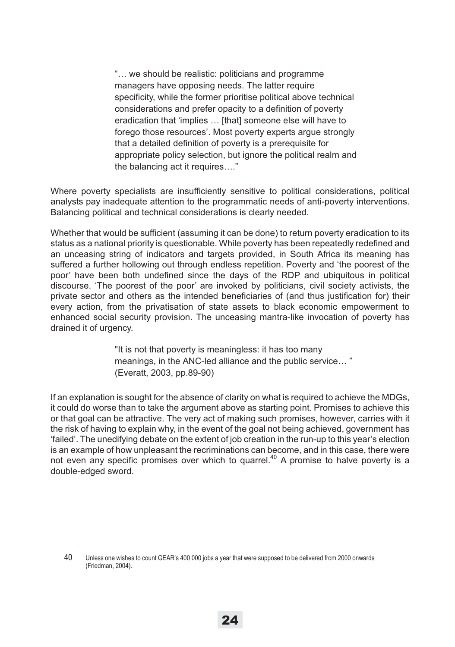"… we should be realistic: politicians and programme managers have opposing needs. The latter require specificity, while the former prioritise political above technical considerations and prefer opacity to a definition of poverty eradication that 'implies … [that] someone else will have to forego those resources'. Most poverty experts argue strongly that a detailed definition of poverty is a prerequisite for appropriate policy selection, but ignore the political realm and the balancing act it requires…."

Where poverty specialists are insufficiently sensitive to political considerations, political analysts pay inadequate attention to the programmatic needs of anti-poverty interventions. Balancing political and technical considerations is clearly needed.

Whether that would be sufficient (assuming it can be done) to return poverty eradication to its status as a national priority is questionable. While poverty has been repeatedly redefined and an unceasing string of indicators and targets provided, in South Africa its meaning has suffered a further hollowing out through endless repetition. Poverty and 'the poorest of the poor' have been both undefined since the days of the RDP and ubiquitous in political discourse. 'The poorest of the poor' are invoked by politicians, civil society activists, the private sector and others as the intended beneficiaries of (and thus justification for) their every action, from the privatisation of state assets to black economic empowerment to enhanced social security provision. The unceasing mantra-like invocation of poverty has drained it of urgency.

> "It is not that poverty is meaningless: it has too many meanings, in the ANC-led alliance and the public service… " (Everatt, 2003, pp.89-90)

If an explanation is sought for the absence of clarity on what is required to achieve the MDGs, it could do worse than to take the argument above as starting point. Promises to achieve this or that goal can be attractive. The very act of making such promises, however, carries with it the risk of having to explain why, in the event of the goal not being achieved, government has 'failed'. The unedifying debate on the extent of job creation in the run-up to this year's election is an example of how unpleasant the recriminations can become, and in this case, there were not even any specific promises over which to quarrel.<sup>40</sup> A promise to halve poverty is a double-edged sword.

<sup>40</sup> Unless one wishes to count GEAR's 400 000 jobs a year that were supposed to be delivered from 2000 onwards (Friedman, 2004).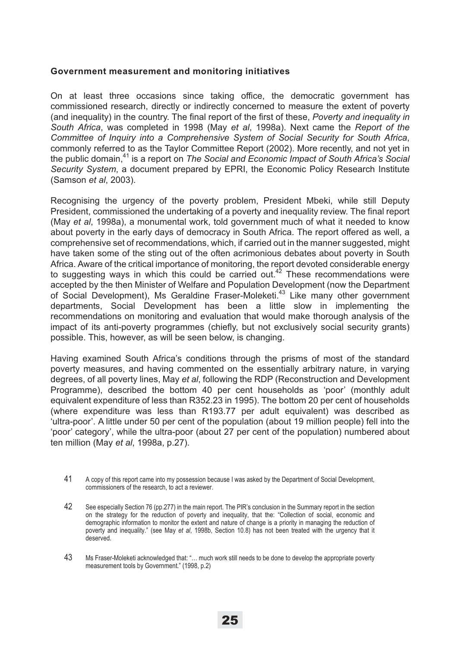#### **Government measurement and monitoring initiatives**

On at least three occasions since taking office, the democratic government has commissioned research, directly or indirectly concerned to measure the extent of poverty (and inequality) in the country. The final report of the first of these, *Poverty and inequality in South Africa*, was completed in 1998 (May *et al*, 1998a). Next came the *Report of the Committee of Inquiry into a Comprehensive System of Social Security for South Africa*, commonly referred to as the Taylor Committee Report (2002). More recently, and not yet in the public domain,<sup>41</sup> is a report on *The Social and Economic Impact of South Africa's Social Security System*, a document prepared by EPRI, the Economic Policy Research Institute (Samson *et al*, 2003).

Recognising the urgency of the poverty problem, President Mbeki, while still Deputy President, commissioned the undertaking of a poverty and inequality review. The final report (May *et al*, 1998a), a monumental work, told government much of what it needed to know about poverty in the early days of democracy in South Africa. The report offered as well, a comprehensive set of recommendations, which, if carried out in the manner suggested, might have taken some of the sting out of the often acrimonious debates about poverty in South Africa. Aware of the critical importance of monitoring, the report devoted considerable energy to suggesting ways in which this could be carried out.<sup>42</sup> These recommendations were accepted by the then Minister of Welfare and Population Development (now the Department of Social Development), Ms Geraldine Fraser-Moleketi.<sup>43</sup> Like many other government departments, Social Development has been a little slow in implementing the recommendations on monitoring and evaluation that would make thorough analysis of the impact of its anti-poverty programmes (chiefly, but not exclusively social security grants) possible. This, however, as will be seen below, is changing.

Having examined South Africa's conditions through the prisms of most of the standard poverty measures, and having commented on the essentially arbitrary nature, in varying degrees, of all poverty lines, May *et al*, following the RDP (Reconstruction and Development Programme), described the bottom 40 per cent households as 'poor' (monthly adult equivalent expenditure of less than R352.23 in 1995). The bottom 20 per cent of households (where expenditure was less than R193.77 per adult equivalent) was described as 'ultra-poor'. A little under 50 per cent of the population (about 19 million people) fell into the 'poor' category', while the ultra-poor (about 27 per cent of the population) numbered about ten million (May *et al*, 1998a, p.27).

- 41 A copy of this report came into my possession because I was asked by the Department of Social Development, commissioners of the research, to act a reviewer.
- 42 See especially Section 76 (pp.277) in the main report. The PIR's conclusion in the Summary report in the section on the strategy for the reduction of poverty and inequality, that the: "Collection of social, economic and demographic information to monitor the extent and nature of change is a priority in managing the reduction of poverty and inequality." (see May *et al*, 1998b, Section 10.8) has not been treated with the urgency that it deserved.
- 43 Ms Fraser-Moleketi acknowledged that: "… much work still needs to be done to develop the appropriate poverty measurement tools by Government." (1998, p.2)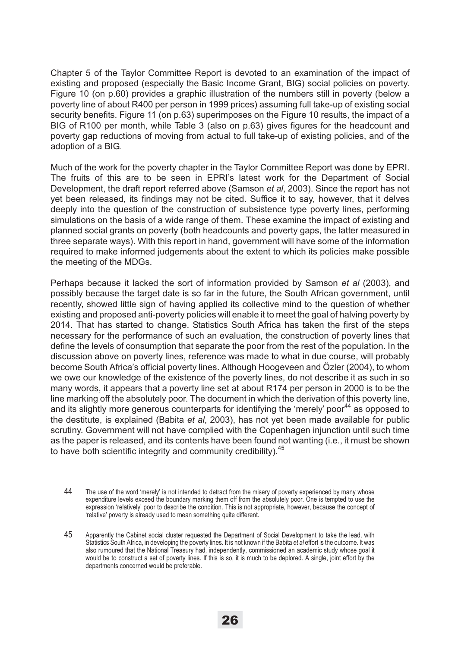Chapter 5 of the Taylor Committee Report is devoted to an examination of the impact of existing and proposed (especially the Basic Income Grant, BIG) social policies on poverty. Figure 10 (on p.60) provides a graphic illustration of the numbers still in poverty (below a poverty line of about R400 per person in 1999 prices) assuming full take-up of existing social security benefits. Figure 11 (on p.63) superimposes on the Figure 10 results, the impact of a BIG of R100 per month, while Table 3 (also on p.63) gives figures for the headcount and poverty gap reductions of moving from actual to full take-up of existing policies, and of the adoption of a BIG.

Much of the work for the poverty chapter in the Taylor Committee Report was done by EPRI. The fruits of this are to be seen in EPRI's latest work for the Department of Social Development, the draft report referred above (Samson *et al*, 2003). Since the report has not yet been released, its findings may not be cited. Suffice it to say, however, that it delves deeply into the question of the construction of subsistence type poverty lines, performing simulations on the basis of a wide range of them. These examine the impact of existing and planned social grants on poverty (both headcounts and poverty gaps, the latter measured in three separate ways). With this report in hand, government will have some of the information required to make informed judgements about the extent to which its policies make possible the meeting of the MDGs.

Perhaps because it lacked the sort of information provided by Samson *et al* (2003), and possibly because the target date is so far in the future, the South African government, until recently, showed little sign of having applied its collective mind to the question of whether existing and proposed anti-poverty policies will enable it to meet the goal of halving poverty by 2014. That has started to change. Statistics South Africa has taken the first of the steps necessary for the performance of such an evaluation, the construction of poverty lines that define the levels of consumption that separate the poor from the rest of the population. In the discussion above on poverty lines, reference was made to what in due course, will probably become South Africa's official poverty lines. Although Hoogeveen and Özler (2004), to whom we owe our knowledge of the existence of the poverty lines, do not describe it as such in so many words, it appears that a poverty line set at about R174 per person in 2000 is to be the line marking off the absolutely poor. The document in which the derivation of this poverty line, and its slightly more generous counterparts for identifying the 'merely' poor<sup>44</sup> as opposed to the destitute, is explained (Babita *et al*, 2003), has not yet been made available for public scrutiny. Government will not have complied with the Copenhagen injunction until such time as the paper is released, and its contents have been found not wanting (i.e., it must be shown to have both scientific integrity and community credibility).<sup>45</sup>

- 44 The use of the word 'merely' is not intended to detract from the misery of poverty experienced by many whose expenditure levels exceed the boundary marking them off from the absolutely poor. One is tempted to use the expression 'relatively' poor to describe the condition. This is not appropriate, however, because the concept of 'relative' poverty is already used to mean something quite different.
- 45 Apparently the Cabinet social cluster requested the Department of Social Development to take the lead, with Statistics South Africa, in developing the poverty lines. It is not known if the Babita *et al* effort is the outcome. It was also rumoured that the National Treasury had, independently, commissioned an academic study whose goal it would be to construct a set of poverty lines. If this is so, it is much to be deplored. A single, joint effort by the departments concerned would be preferable.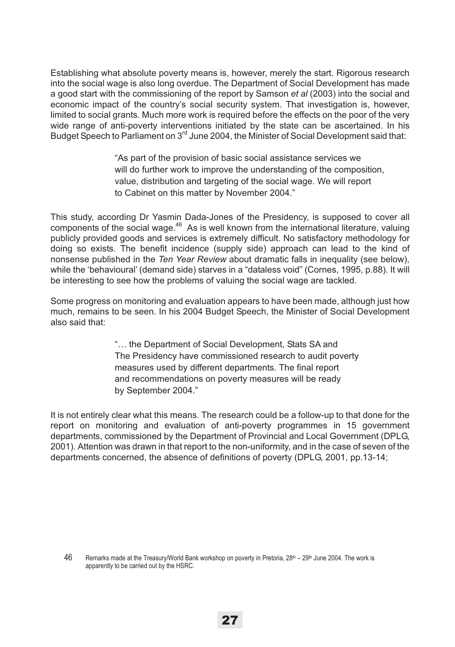Establishing what absolute poverty means is, however, merely the start. Rigorous research into the social wage is also long overdue. The Department of Social Development has made a good start with the commissioning of the report by Samson *et al* (2003) into the social and economic impact of the country's social security system. That investigation is, however, limited to social grants. Much more work is required before the effects on the poor of the very wide range of anti-poverty interventions initiated by the state can be ascertained. In his Budget Speech to Parliament on  $3<sup>rd</sup>$  June 2004, the Minister of Social Development said that:

> "As part of the provision of basic social assistance services we will do further work to improve the understanding of the composition, value, distribution and targeting of the social wage. We will report to Cabinet on this matter by November 2004."

This study, according Dr Yasmin Dada-Jones of the Presidency, is supposed to cover all components of the social wage. $46$  As is well known from the international literature, valuing publicly provided goods and services is extremely difficult. No satisfactory methodology for doing so exists. The benefit incidence (supply side) approach can lead to the kind of nonsense published in the *Ten Year Review* about dramatic falls in inequality (see below), while the 'behavioural' (demand side) starves in a "dataless void" (Cornes, 1995, p.88). It will be interesting to see how the problems of valuing the social wage are tackled.

Some progress on monitoring and evaluation appears to have been made, although just how much, remains to be seen. In his 2004 Budget Speech, the Minister of Social Development also said that:

> "… the Department of Social Development, Stats SA and The Presidency have commissioned research to audit poverty measures used by different departments. The final report and recommendations on poverty measures will be ready by September 2004."

It is not entirely clear what this means. The research could be a follow-up to that done for the report on monitoring and evaluation of anti-poverty programmes in 15 government departments, commissioned by the Department of Provincial and Local Government (DPLG, 2001). Attention was drawn in that report to the non-uniformity, and in the case of seven of the departments concerned, the absence of definitions of poverty (DPLG, 2001, pp.13-14;

<sup>46</sup> Remarks made at the Treasury/World Bank workshop on poverty in Pretoria, 28<sup>th</sup> – 29<sup>th</sup> June 2004. The work is apparently to be carried out by the HSRC.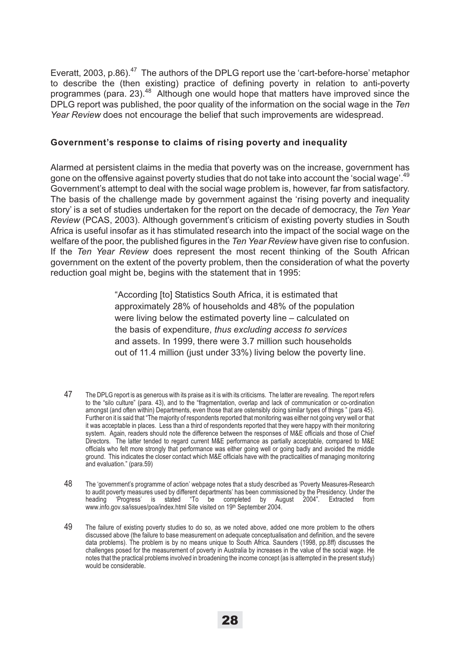Everatt, 2003, p.86).<sup>47</sup> The authors of the DPLG report use the 'cart-before-horse' metaphor to describe the (then existing) practice of defining poverty in relation to anti-poverty programmes (para. 23).48 Although one would hope that matters have improved since the DPLG report was published, the poor quality of the information on the social wage in the *Ten Year Review* does not encourage the belief that such improvements are widespread.

#### **Government's response to claims of rising poverty and inequality**

Alarmed at persistent claims in the media that poverty was on the increase, government has gone on the offensive against poverty studies that do not take into account the 'social wage'.<sup>49</sup> Government's attempt to deal with the social wage problem is, however, far from satisfactory. The basis of the challenge made by government against the 'rising poverty and inequality story' is a set of studies undertaken for the report on the decade of democracy, the *Ten Year Review* (PCAS, 2003). Although government's criticism of existing poverty studies in South Africa is useful insofar as it has stimulated research into the impact of the social wage on the welfare of the poor, the published figures in the *Ten Year Review* have given rise to confusion. If the *Ten Year Review* does represent the most recent thinking of the South African government on the extent of the poverty problem, then the consideration of what the poverty reduction goal might be, begins with the statement that in 1995:

> "According [to] Statistics South Africa, it is estimated that approximately 28% of households and 48% of the population were living below the estimated poverty line – calculated on the basis of expenditure, *thus excluding access to services* and assets. In 1999, there were 3.7 million such households out of 11.4 million (just under 33%) living below the poverty line.

- 47 The DPLG report is as generous with its praise as it is with its criticisms. The latter are revealing. The report refers to the "silo culture" (para. 43), and to the "fragmentation, overlap and lack of communication or co-ordination amongst (and often within) Departments, even those that are ostensibly doing similar types of things " (para 45). Further on it is said that "The majority of respondents reported that monitoring was either not going very well or that it was acceptable in places. Less than a third of respondents reported that they were happy with their monitoring system. Again, readers should note the difference between the responses of M&E officials and those of Chief Directors. The latter tended to regard current M&E performance as partially acceptable, compared to M&E officials who felt more strongly that performance was either going well or going badly and avoided the middle ground. This indicates the closer contact which M&E officials have with the practicalities of managing monitoring and evaluation." (para.59)
- 48 The 'government's programme of action' webpage notes that a study described as 'Poverty Measures-Research to audit poverty measures used by different departments' has been commissioned by the Presidency. Under the heading 'Progress' is stated "To be completed by August 2004". Extracted from www.info.gov.sa/issues/poa/index.html Site visited on 19th September 2004.
- 49 The failure of existing poverty studies to do so, as we noted above, added one more problem to the others discussed above (the failure to base measurement on adequate conceptualisation and definition, and the severe data problems). The problem is by no means unique to South Africa. Saunders (1998, pp.8ff) discusses the challenges posed for the measurement of poverty in Australia by increases in the value of the social wage. He notes that the practical problems involved in broadening the income concept (as is attempted in the present study) would be considerable.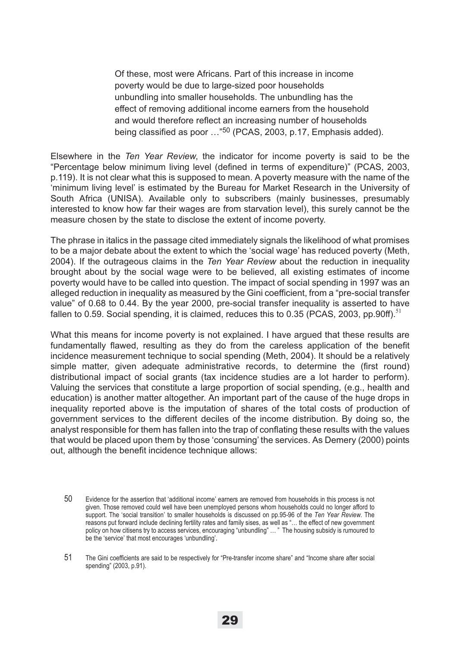Of these, most were Africans. Part of this increase in income poverty would be due to large-sized poor households unbundling into smaller households. The unbundling has the effect of removing additional income earners from the household and would therefore reflect an increasing number of households being classified as poor ..."<sup>50</sup> (PCAS, 2003, p.17, Emphasis added).

Elsewhere in the *Ten Year Review*, the indicator for income poverty is said to be the "Percentage below minimum living level (defined in terms of expenditure)" (PCAS, 2003, p.119). It is not clear what this is supposed to mean. A poverty measure with the name of the 'minimum living level' is estimated by the Bureau for Market Research in the University of South Africa (UNISA). Available only to subscribers (mainly businesses, presumably interested to know how far their wages are from starvation level), this surely cannot be the measure chosen by the state to disclose the extent of income poverty.

The phrase in italics in the passage cited immediately signals the likelihood of what promises to be a major debate about the extent to which the 'social wage' has reduced poverty (Meth, 2004). If the outrageous claims in the *Ten Year Review* about the reduction in inequality brought about by the social wage were to be believed, all existing estimates of income poverty would have to be called into question. The impact of social spending in 1997 was an alleged reduction in inequality as measured by the Gini coefficient, from a "pre-social transfer value" of 0.68 to 0.44. By the year 2000, pre-social transfer inequality is asserted to have fallen to 0.59. Social spending, it is claimed, reduces this to 0.35 (PCAS, 2003, pp.90ff).<sup>51</sup>

What this means for income poverty is not explained. I have argued that these results are fundamentally flawed, resulting as they do from the careless application of the benefit incidence measurement technique to social spending (Meth, 2004). It should be a relatively simple matter, given adequate administrative records, to determine the (first round) distributional impact of social grants (tax incidence studies are a lot harder to perform). Valuing the services that constitute a large proportion of social spending, (e.g., health and education) is another matter altogether. An important part of the cause of the huge drops in inequality reported above is the imputation of shares of the total costs of production of government services to the different deciles of the income distribution. By doing so, the analyst responsible for them has fallen into the trap of conflating these results with the values that would be placed upon them by those 'consuming' the services. As Demery (2000) points out, although the benefit incidence technique allows:

<sup>50</sup> Evidence for the assertion that 'additional income' earners are removed from households in this process is not given. Those removed could well have been unemployed persons whom households could no longer afford to support. The 'social transition' to smaller households is discussed on pp.95-96 of the *Ten Year Review*. The reasons put forward include declining fertility rates and family sises, as well as "… the effect of new government policy on how citisens try to access services, encouraging "unbundling" … " The housing subsidy is rumoured to be the 'service' that most encourages 'unbundling'.

<sup>51</sup> The Gini coefficients are said to be respectively for "Pre-transfer income share" and "Income share after social spending" (2003, p.91).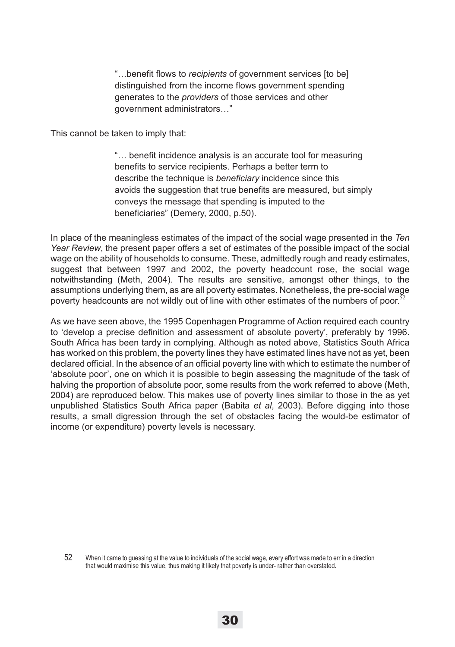"…benefit flows to *recipients* of government services [to be] distinguished from the income flows government spending generates to the *providers* of those services and other government administrators…"

This cannot be taken to imply that:

"… benefit incidence analysis is an accurate tool for measuring benefits to service recipients. Perhaps a better term to describe the technique is *beneficiary* incidence since this avoids the suggestion that true benefits are measured, but simply conveys the message that spending is imputed to the beneficiaries" (Demery, 2000, p.50).

In place of the meaningless estimates of the impact of the social wage presented in the *Ten Year Review*, the present paper offers a set of estimates of the possible impact of the social wage on the ability of households to consume. These, admittedly rough and ready estimates, suggest that between 1997 and 2002, the poverty headcount rose, the social wage notwithstanding (Meth, 2004). The results are sensitive, amongst other things, to the assumptions underlying them, as are all poverty estimates. Nonetheless, the pre-social wage poverty headcounts are not wildly out of line with other estimates of the numbers of poor.<sup>5</sup>

As we have seen above, the 1995 Copenhagen Programme of Action required each country to 'develop a precise definition and assessment of absolute poverty', preferably by 1996. South Africa has been tardy in complying. Although as noted above, Statistics South Africa has worked on this problem, the poverty lines they have estimated lines have not as yet, been declared official. In the absence of an official poverty line with which to estimate the number of 'absolute poor', one on which it is possible to begin assessing the magnitude of the task of halving the proportion of absolute poor, some results from the work referred to above (Meth, 2004) are reproduced below. This makes use of poverty lines similar to those in the as yet unpublished Statistics South Africa paper (Babita *et al*, 2003). Before digging into those results, a small digression through the set of obstacles facing the would-be estimator of income (or expenditure) poverty levels is necessary.

52 When it came to guessing at the value to individuals of the social wage, every effort was made to err in a direction that would maximise this value, thus making it likely that poverty is under- rather than overstated.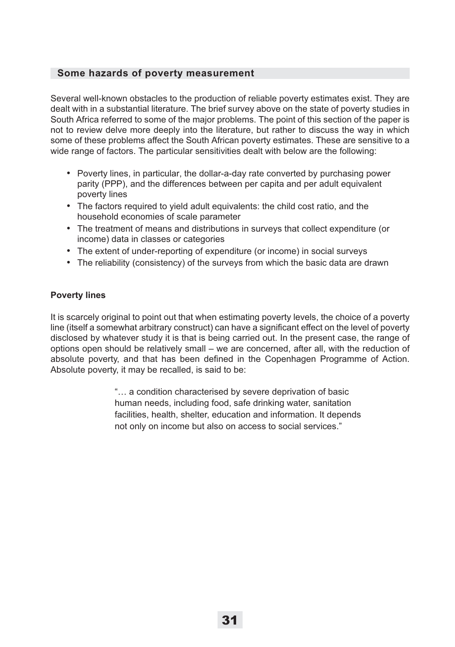### **Some hazards of poverty measurement**

Several well-known obstacles to the production of reliable poverty estimates exist. They are dealt with in a substantial literature. The brief survey above on the state of poverty studies in South Africa referred to some of the major problems. The point of this section of the paper is not to review delve more deeply into the literature, but rather to discuss the way in which some of these problems affect the South African poverty estimates. These are sensitive to a wide range of factors. The particular sensitivities dealt with below are the following:

- Poverty lines, in particular, the dollar-a-day rate converted by purchasing power parity (PPP), and the differences between per capita and per adult equivalent poverty lines
- The factors required to yield adult equivalents: the child cost ratio, and the household economies of scale parameter
- The treatment of means and distributions in surveys that collect expenditure (or income) data in classes or categories
- The extent of under-reporting of expenditure (or income) in social surveys
- The reliability (consistency) of the surveys from which the basic data are drawn

### **Poverty lines**

It is scarcely original to point out that when estimating poverty levels, the choice of a poverty line (itself a somewhat arbitrary construct) can have a significant effect on the level of poverty disclosed by whatever study it is that is being carried out. In the present case, the range of options open should be relatively small – we are concerned, after all, with the reduction of absolute poverty, and that has been defined in the Copenhagen Programme of Action. Absolute poverty, it may be recalled, is said to be:

> "… a condition characterised by severe deprivation of basic human needs, including food, safe drinking water, sanitation facilities, health, shelter, education and information. It depends not only on income but also on access to social services."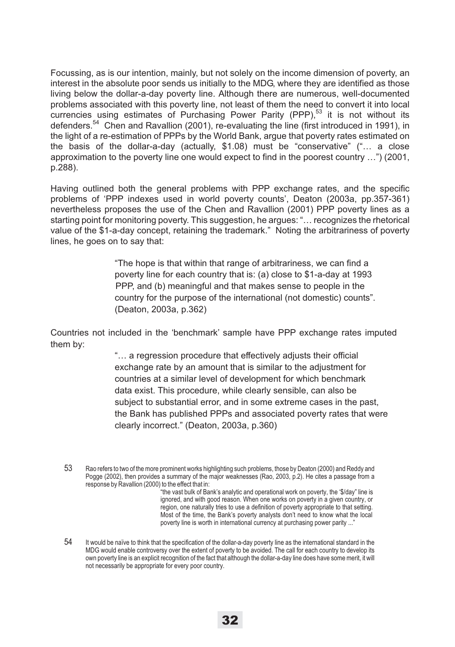Focussing, as is our intention, mainly, but not solely on the income dimension of poverty, an interest in the absolute poor sends us initially to the MDG, where they are identified as those living below the dollar-a-day poverty line. Although there are numerous, well-documented problems associated with this poverty line, not least of them the need to convert it into local currencies using estimates of Purchasing Power Parity (PPP),<sup>53</sup> it is not without its defenders.54 Chen and Ravallion (2001), re-evaluating the line (first introduced in 1991), in the light of a re-estimation of PPPs by the World Bank, argue that poverty rates estimated on the basis of the dollar-a-day (actually, \$1.08) must be "conservative" ("… a close approximation to the poverty line one would expect to find in the poorest country …") (2001, p.288).

Having outlined both the general problems with PPP exchange rates, and the specific problems of 'PPP indexes used in world poverty counts', Deaton (2003a, pp.357-361) nevertheless proposes the use of the Chen and Ravallion (2001) PPP poverty lines as a starting point for monitoring poverty. This suggestion, he argues: "… recognizes the rhetorical value of the \$1-a-day concept, retaining the trademark." Noting the arbitrariness of poverty lines, he goes on to say that:

> "The hope is that within that range of arbitrariness, we can find a poverty line for each country that is: (a) close to \$1-a-day at 1993 PPP, and (b) meaningful and that makes sense to people in the country for the purpose of the international (not domestic) counts". (Deaton, 2003a, p.362)

Countries not included in the 'benchmark' sample have PPP exchange rates imputed them by:

> "… a regression procedure that effectively adjusts their official exchange rate by an amount that is similar to the adjustment for countries at a similar level of development for which benchmark data exist. This procedure, while clearly sensible, can also be subject to substantial error, and in some extreme cases in the past, the Bank has published PPPs and associated poverty rates that were clearly incorrect." (Deaton, 2003a, p.360)

53 Rao refers to two of the more prominent works highlighting such problems, those by Deaton (2000) and Reddy and Pogge (2002), then provides a summary of the major weaknesses (Rao, 2003, p.2). He cites a passage from a response by Ravallion (2000) to the effect that in:

"the vast bulk of Bank's analytic and operational work on poverty, the '\$/day" line is ignored, and with good reason. When one works on poverty in a given country, or region, one naturally tries to use a definition of poverty appropriate to that setting. Most of the time, the Bank's poverty analysts don't need to know what the local poverty line is worth in international currency at purchasing power parity ..."

54 It would be naïve to think that the specification of the dollar-a-day poverty line as the international standard in the MDG would enable controversy over the extent of poverty to be avoided. The call for each country to develop its own poverty line is an explicit recognition of the fact that although the dollar-a-day line does have some merit, it will not necessarily be appropriate for every poor country.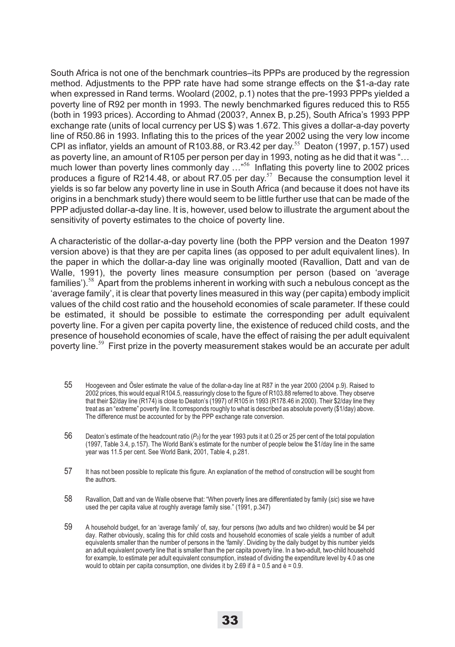South Africa is not one of the benchmark countries–its PPPs are produced by the regression method. Adjustments to the PPP rate have had some strange effects on the \$1-a-day rate when expressed in Rand terms. Woolard (2002, p.1) notes that the pre-1993 PPPs yielded a poverty line of R92 per month in 1993. The newly benchmarked figures reduced this to R55 (both in 1993 prices). According to Ahmad (2003?, Annex B, p.25), South Africa's 1993 PPP exchange rate (units of local currency per US \$) was 1.672. This gives a dollar-a-day poverty line of R50.86 in 1993. Inflating this to the prices of the year 2002 using the very low income CPI as inflator, yields an amount of R103.88, or R3.42 per day.<sup>55</sup> Deaton (1997, p.157) used as poverty line, an amount of R105 per person per day in 1993, noting as he did that it was "… much lower than poverty lines commonly day ..."<sup>56</sup> Inflating this poverty line to 2002 prices produces a figure of R214.48, or about R7.05 per day.<sup>57</sup> Because the consumption level it yields is so far below any poverty line in use in South Africa (and because it does not have its origins in a benchmark study) there would seem to be little further use that can be made of the PPP adjusted dollar-a-day line. It is, however, used below to illustrate the argument about the sensitivity of poverty estimates to the choice of poverty line.

A characteristic of the dollar-a-day poverty line (both the PPP version and the Deaton 1997 version above) is that they are per capita lines (as opposed to per adult equivalent lines). In the paper in which the dollar-a-day line was originally mooted (Ravallion, Datt and van de Walle, 1991), the poverty lines measure consumption per person (based on 'average families').<sup>58</sup> Apart from the problems inherent in working with such a nebulous concept as the 'average family', it is clear that poverty lines measured in this way (per capita) embody implicit values of the child cost ratio and the household economies of scale parameter. If these could be estimated, it should be possible to estimate the corresponding per adult equivalent poverty line. For a given per capita poverty line, the existence of reduced child costs, and the presence of household economies of scale, have the effect of raising the per adult equivalent poverty line.<sup>59</sup> First prize in the poverty measurement stakes would be an accurate per adult

- 55 Hoogeveen and Ösler estimate the value of the dollar-a-day line at R87 in the year 2000 (2004 p.9). Raised to 2002 prices, this would equal R104.5, reassuringly close to the figure of R103.88 referred to above. They observe that their \$2/day line (R174) is close to Deaton's (1997) of R105 in 1993 (R178.46 in 2000). Their \$2/day line they treat as an "extreme" poverty line. It corresponds roughly to what is described as absolute poverty (\$1/day) above. The difference must be accounted for by the PPP exchange rate conversion.
- 56 Deaton's estimate of the headcount ratio (*P0*) for the year 1993 puts it at 0.25 or 25 per cent of the total population (1997, Table 3.4, p.157). The World Bank's estimate for the number of people below the \$1/day line in the same year was 11.5 per cent. See World Bank, 2001, Table 4, p.281.
- 57 It has not been possible to replicate this figure. An explanation of the method of construction will be sought from the authors.
- 58 Ravallion, Datt and van de Walle observe that: "When poverty lines are differentiated by family (*sic*) sise we have used the per capita value at roughly average family sise." (1991, p.347)
- 59 A household budget, for an 'average family' of, say, four persons (two adults and two children) would be \$4 per day. Rather obviously, scaling this for child costs and household economies of scale yields a number of adult equivalents smaller than the number of persons in the 'family'. Dividing by the daily budget by this number yields an adult equivalent poverty line that is smaller than the per capita poverty line. In a two-adult, two-child household for example, to estimate per adult equivalent consumption, instead of dividing the expenditure level by 4.0 as one would to obtain per capita consumption, one divides it by 2.69 if  $\acute{a}$  = 0.5 and  $\grave{e}$  = 0.9.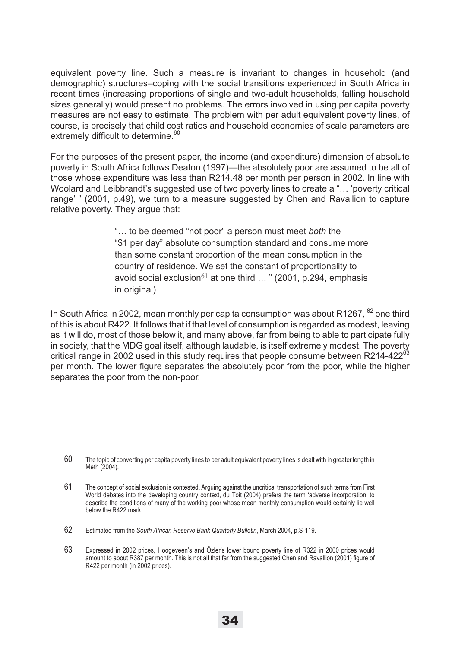equivalent poverty line. Such a measure is invariant to changes in household (and demographic) structures–coping with the social transitions experienced in South Africa in recent times (increasing proportions of single and two-adult households, falling household sizes generally) would present no problems. The errors involved in using per capita poverty measures are not easy to estimate. The problem with per adult equivalent poverty lines, of course, is precisely that child cost ratios and household economies of scale parameters are extremely difficult to determine.<sup>60</sup>

For the purposes of the present paper, the income (and expenditure) dimension of absolute poverty in South Africa follows Deaton (1997)—the absolutely poor are assumed to be all of those whose expenditure was less than R214.48 per month per person in 2002. In line with Woolard and Leibbrandt's suggested use of two poverty lines to create a "… 'poverty critical range' " (2001, p.49), we turn to a measure suggested by Chen and Ravallion to capture relative poverty. They argue that:

> "… to be deemed "not poor" a person must meet *both* the "\$1 per day" absolute consumption standard and consume more than some constant proportion of the mean consumption in the country of residence. We set the constant of proportionality to avoid social exclusion<sup>61</sup> at one third  $\ldots$  " (2001, p.294, emphasis in original)

In South Africa in 2002, mean monthly per capita consumption was about R1267,  $62$  one third of this is about R422. It follows that if that level of consumption is regarded as modest, leaving as it will do, most of those below it, and many above, far from being to able to participate fully in society, that the MDG goal itself, although laudable, is itself extremely modest. The poverty critical range in 2002 used in this study requires that people consume between R214-422 $^{63}$ per month. The lower figure separates the absolutely poor from the poor, while the higher separates the poor from the non-poor.

<sup>60</sup> The topic of converting per capita poverty lines to per adult equivalent poverty lines is dealt with in greater length in Meth (2004).

<sup>61</sup> The concept of social exclusion is contested. Arguing against the uncritical transportation of such terms from First World debates into the developing country context, du Toit (2004) prefers the term 'adverse incorporation' to describe the conditions of many of the working poor whose mean monthly consumption would certainly lie well below the R422 mark.

<sup>62</sup> Estimated from the *South African Reserve Bank Quarterly Bulletin*, March 2004, p.S-119.

<sup>63</sup> Expressed in 2002 prices, Hoogeveen's and Özler's lower bound poverty line of R322 in 2000 prices would amount to about R387 per month. This is not all that far from the suggested Chen and Ravallion (2001) figure of R422 per month (in 2002 prices).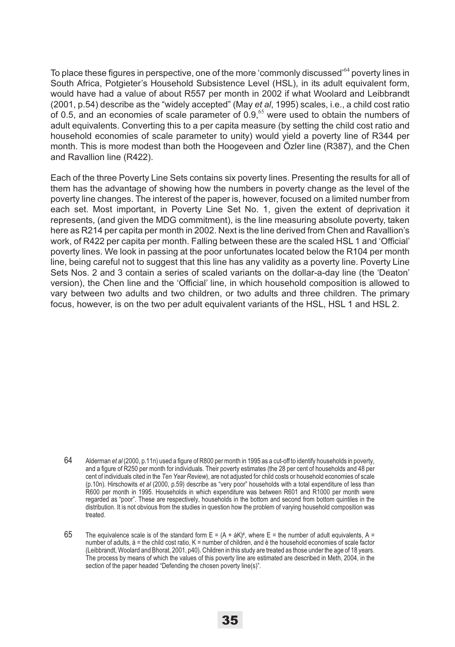To place these figures in perspective, one of the more 'commonly discussed'<sup>64</sup> poverty lines in South Africa, Potgieter's Household Subsistence Level (HSL), in its adult equivalent form, would have had a value of about R557 per month in 2002 if what Woolard and Leibbrandt (2001, p.54) describe as the "widely accepted" (May *et al*, 1995) scales, i.e., a child cost ratio of 0.5, and an economies of scale parameter of  $0.9,$ <sup>65</sup> were used to obtain the numbers of adult equivalents. Converting this to a per capita measure (by setting the child cost ratio and household economies of scale parameter to unity) would yield a poverty line of R344 per month. This is more modest than both the Hoogeveen and Özler line (R387), and the Chen and Ravallion line (R422).

Each of the three Poverty Line Sets contains six poverty lines. Presenting the results for all of them has the advantage of showing how the numbers in poverty change as the level of the poverty line changes. The interest of the paper is, however, focused on a limited number from each set. Most important, in Poverty Line Set No. 1, given the extent of deprivation it represents, (and given the MDG commitment), is the line measuring absolute poverty, taken here as R214 per capita per month in 2002. Next is the line derived from Chen and Ravallion's work, of R422 per capita per month. Falling between these are the scaled HSL 1 and 'Official' poverty lines. We look in passing at the poor unfortunates located below the R104 per month line, being careful not to suggest that this line has any validity as a poverty line. Poverty Line Sets Nos. 2 and 3 contain a series of scaled variants on the dollar-a-day line (the 'Deaton' version), the Chen line and the 'Official' line, in which household composition is allowed to vary between two adults and two children, or two adults and three children. The primary focus, however, is on the two per adult equivalent variants of the HSL, HSL 1 and HSL 2.

<sup>64</sup> Alderman *et al* (2000, p.11n) used a figure of R800 per month in 1995 as a cut-off to identify households in poverty, and a figure of R250 per month for individuals. Their poverty estimates (the 28 per cent of households and 48 per cent of individuals cited in the *Ten Year Review*), are not adjusted for child costs or household economies of scale (p.10n). Hirschowits *et al* (2000, p.59) describe as "very poor" households with a total expenditure of less than R600 per month in 1995. Households in which expenditure was between R601 and R1000 per month were regarded as "poor". These are respectively, households in the bottom and second from bottom quintiles in the distribution. It is not obvious from the studies in question how the problem of varying household composition was treated.

<sup>65</sup> The equivalence scale is of the standard form  $E = (A + \dot{a}K)^{\circ}$ , where  $E =$  the number of adult equivalents, A = number of adults, á = the child cost ratio, K = number of children, and è the household economies of scale factor (Leibbrandt, Woolard and Bhorat, 2001, p40). Children in this study are treated as those under the age of 18 years. The process by means of which the values of this poverty line are estimated are described in Meth, 2004, in the section of the paper headed "Defending the chosen poverty line(s)".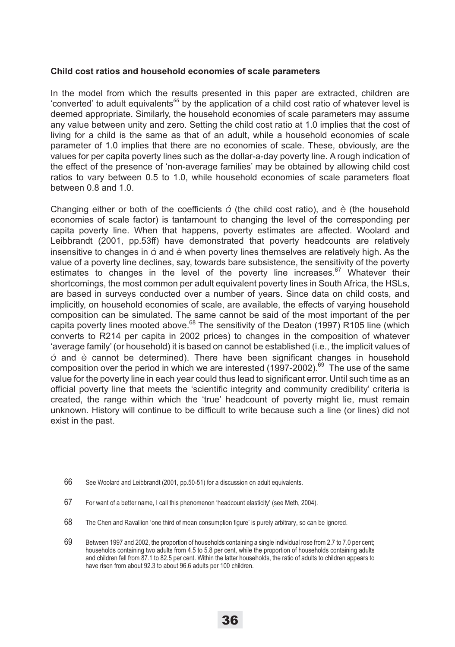#### **Child cost ratios and household economies of scale parameters**

In the model from which the results presented in this paper are extracted, children are 'converted' to adult equivalents<sup>66</sup> by the application of a child cost ratio of whatever level is deemed appropriate. Similarly, the household economies of scale parameters may assume any value between unity and zero. Setting the child cost ratio at 1.0 implies that the cost of living for a child is the same as that of an adult, while a household economies of scale parameter of 1.0 implies that there are no economies of scale. These, obviously, are the values for per capita poverty lines such as the dollar-a-day poverty line. A rough indication of the effect of the presence of 'non-average families' may be obtained by allowing child cost ratios to vary between 0.5 to 1.0, while household economies of scale parameters float between 0.8 and 1.0.

Changing either or both of the coefficients *á* (the child cost ratio), and *è* (the household economies of scale factor) is tantamount to changing the level of the corresponding per capita poverty line. When that happens, poverty estimates are affected. Woolard and Leibbrandt (2001, pp.53ff) have demonstrated that poverty headcounts are relatively insensitive to changes in *á* and *è* when poverty lines themselves are relatively high. As the value of a poverty line declines, say, towards bare subsistence, the sensitivity of the poverty estimates to changes in the level of the poverty line increases.<sup>67</sup> Whatever their shortcomings, the most common per adult equivalent poverty lines in South Africa, the HSLs, are based in surveys conducted over a number of years. Since data on child costs, and implicitly, on household economies of scale, are available, the effects of varying household composition can be simulated. The same cannot be said of the most important of the per capita poverty lines mooted above.<sup>68</sup> The sensitivity of the Deaton (1997) R105 line (which converts to R214 per capita in 2002 prices) to changes in the composition of whatever 'average family' (or household) it is based on cannot be established (i.e., the implicit values of *á* and *è* cannot be determined). There have been significant changes in household composition over the period in which we are interested (1997-2002).<sup>69</sup> The use of the same value for the poverty line in each year could thus lead to significant error. Until such time as an official poverty line that meets the 'scientific integrity and community credibility' criteria is created, the range within which the 'true' headcount of poverty might lie, must remain unknown. History will continue to be difficult to write because such a line (or lines) did not exist in the past.

- 66 See Woolard and Leibbrandt (2001, pp.50-51) for a discussion on adult equivalents.
- 67 For want of a better name, I call this phenomenon 'headcount elasticity' (see Meth, 2004).
- 68 The Chen and Ravallion 'one third of mean consumption figure' is purely arbitrary, so can be ignored.
- 69 Between 1997 and 2002, the proportion of households containing a single individual rose from 2.7 to 7.0 per cent; households containing two adults from 4.5 to 5.8 per cent, while the proportion of households containing adults and children fell from 87.1 to 82.5 per cent. Within the latter households, the ratio of adults to children appears to have risen from about 92.3 to about 96.6 adults per 100 children.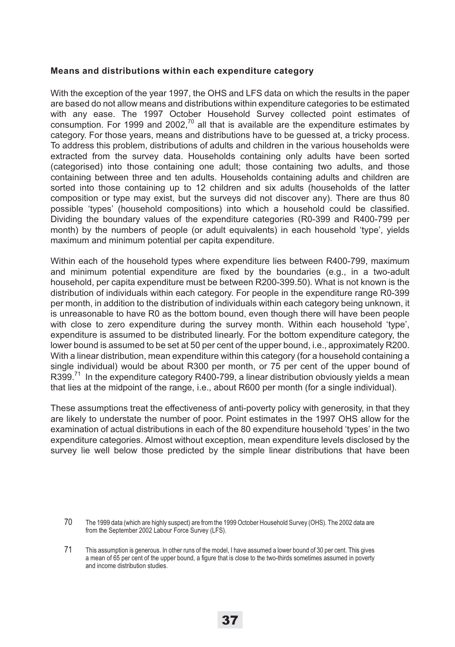#### **Means and distributions within each expenditure category**

With the exception of the year 1997, the OHS and LFS data on which the results in the paper are based do not allow means and distributions within expenditure categories to be estimated with any ease. The 1997 October Household Survey collected point estimates of consumption. For 1999 and 2002, $70$  all that is available are the expenditure estimates by category. For those years, means and distributions have to be guessed at, a tricky process. To address this problem, distributions of adults and children in the various households were extracted from the survey data. Households containing only adults have been sorted (categorised) into those containing one adult; those containing two adults, and those containing between three and ten adults. Households containing adults and children are sorted into those containing up to 12 children and six adults (households of the latter composition or type may exist, but the surveys did not discover any). There are thus 80 possible 'types' (household compositions) into which a household could be classified. Dividing the boundary values of the expenditure categories (R0-399 and R400-799 per month) by the numbers of people (or adult equivalents) in each household 'type', yields maximum and minimum potential per capita expenditure.

Within each of the household types where expenditure lies between R400-799, maximum and minimum potential expenditure are fixed by the boundaries (e.g., in a two-adult household, per capita expenditure must be between R200-399.50). What is not known is the distribution of individuals within each category. For people in the expenditure range R0-399 per month, in addition to the distribution of individuals within each category being unknown, it is unreasonable to have R0 as the bottom bound, even though there will have been people with close to zero expenditure during the survey month. Within each household 'type', expenditure is assumed to be distributed linearly. For the bottom expenditure category, the lower bound is assumed to be set at 50 per cent of the upper bound, i.e., approximately R200. With a linear distribution, mean expenditure within this category (for a household containing a single individual) would be about R300 per month, or 75 per cent of the upper bound of  $R399<sup>71</sup>$  In the expenditure category R400-799, a linear distribution obviously yields a mean that lies at the midpoint of the range, i.e., about R600 per month (for a single individual).

These assumptions treat the effectiveness of anti-poverty policy with generosity, in that they are likely to understate the number of poor. Point estimates in the 1997 OHS allow for the examination of actual distributions in each of the 80 expenditure household 'types' in the two expenditure categories. Almost without exception, mean expenditure levels disclosed by the survey lie well below those predicted by the simple linear distributions that have been

<sup>70</sup> The 1999 data (which are highly suspect) are from the 1999 October Household Survey (OHS). The 2002 data are from the September 2002 Labour Force Survey (LFS).

<sup>71</sup> This assumption is generous. In other runs of the model, I have assumed a lower bound of 30 per cent. This gives a mean of 65 per cent of the upper bound, a figure that is close to the two-thirds sometimes assumed in poverty and income distribution studies.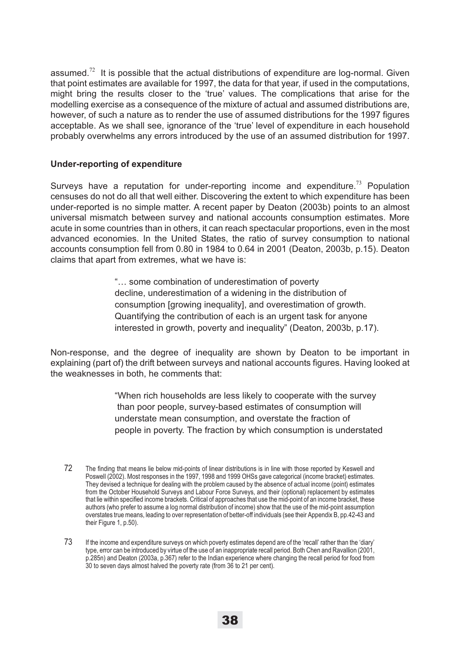assumed.<sup>72</sup> It is possible that the actual distributions of expenditure are log-normal. Given that point estimates are available for 1997, the data for that year, if used in the computations, might bring the results closer to the 'true' values. The complications that arise for the modelling exercise as a consequence of the mixture of actual and assumed distributions are, however, of such a nature as to render the use of assumed distributions for the 1997 figures acceptable. As we shall see, ignorance of the 'true' level of expenditure in each household probably overwhelms any errors introduced by the use of an assumed distribution for 1997.

### **Under-reporting of expenditure**

Surveys have a reputation for under-reporting income and expenditure.<sup>73</sup> Population censuses do not do all that well either. Discovering the extent to which expenditure has been under-reported is no simple matter. A recent paper by Deaton (2003b) points to an almost universal mismatch between survey and national accounts consumption estimates. More acute in some countries than in others, it can reach spectacular proportions, even in the most advanced economies. In the United States, the ratio of survey consumption to national accounts consumption fell from 0.80 in 1984 to 0.64 in 2001 (Deaton, 2003b, p.15). Deaton claims that apart from extremes, what we have is:

> "… some combination of underestimation of poverty decline, underestimation of a widening in the distribution of consumption [growing inequality], and overestimation of growth. Quantifying the contribution of each is an urgent task for anyone interested in growth, poverty and inequality" (Deaton, 2003b, p.17).

Non-response, and the degree of inequality are shown by Deaton to be important in explaining (part of) the drift between surveys and national accounts figures. Having looked at the weaknesses in both, he comments that:

> "When rich households are less likely to cooperate with the survey than poor people, survey-based estimates of consumption will understate mean consumption, and overstate the fraction of people in poverty. The fraction by which consumption is understated

<sup>72</sup> The finding that means lie below mid-points of linear distributions is in line with those reported by Keswell and Poswell (2002). Most responses in the 1997, 1998 and 1999 OHSs gave categorical (income bracket) estimates. They devised a technique for dealing with the problem caused by the absence of actual income (point) estimates from the October Household Surveys and Labour Force Surveys, and their (optional) replacement by estimates that lie within specified income brackets. Critical of approaches that use the mid-point of an income bracket, these authors (who prefer to assume a log normal distribution of income) show that the use of the mid-point assumption overstates true means, leading to over representation of better-off individuals (see their Appendix B, pp.42-43 and their Figure 1, p.50).

<sup>73</sup> If the income and expenditure surveys on which poverty estimates depend are of the 'recall' rather than the 'diary' type, error can be introduced by virtue of the use of an inappropriate recall period. Both Chen and Ravallion (2001, p.285n) and Deaton (2003a, p.367) refer to the Indian experience where changing the recall period for food from 30 to seven days almost halved the poverty rate (from 36 to 21 per cent).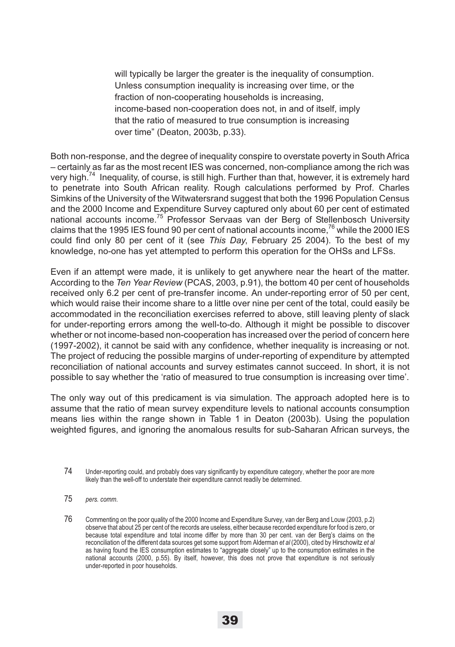will typically be larger the greater is the inequality of consumption. Unless consumption inequality is increasing over time, or the fraction of non-cooperating households is increasing, income-based non-cooperation does not, in and of itself, imply that the ratio of measured to true consumption is increasing over time" (Deaton, 2003b, p.33).

Both non-response, and the degree of inequality conspire to overstate poverty in South Africa – certainly as far as the most recent IES was concerned, non-compliance among the rich was very high.<sup>74</sup> Inequality, of course, is still high. Further than that, however, it is extremely hard to penetrate into South African reality. Rough calculations performed by Prof. Charles Simkins of the University of the Witwatersrand suggest that both the 1996 Population Census and the 2000 Income and Expenditure Survey captured only about 60 per cent of estimated national accounts income.75 Professor Servaas van der Berg of Stellenbosch University claims that the 1995 IES found 90 per cent of national accounts income,<sup>76</sup> while the 2000 IES could find only 80 per cent of it (see *This Day*, February 25 2004). To the best of my knowledge, no-one has yet attempted to perform this operation for the OHSs and LFSs.

Even if an attempt were made, it is unlikely to get anywhere near the heart of the matter. According to the *Ten Year Review* (PCAS, 2003, p.91), the bottom 40 per cent of households received only 6.2 per cent of pre-transfer income. An under-reporting error of 50 per cent, which would raise their income share to a little over nine per cent of the total, could easily be accommodated in the reconciliation exercises referred to above, still leaving plenty of slack for under-reporting errors among the well-to-do. Although it might be possible to discover whether or not income-based non-cooperation has increased over the period of concern here (1997-2002), it cannot be said with any confidence, whether inequality is increasing or not. The project of reducing the possible margins of under-reporting of expenditure by attempted reconciliation of national accounts and survey estimates cannot succeed. In short, it is not possible to say whether the 'ratio of measured to true consumption is increasing over time'.

The only way out of this predicament is via simulation. The approach adopted here is to assume that the ratio of mean survey expenditure levels to national accounts consumption means lies within the range shown in Table 1 in Deaton (2003b). Using the population weighted figures, and ignoring the anomalous results for sub-Saharan African surveys, the

75 *pers. comm*.

76 Commenting on the poor quality of the 2000 Income and Expenditure Survey, van der Berg and Louw (2003, p.2) observe that about 25 per cent of the records are useless, either because recorded expenditure for food is zero, or because total expenditure and total income differ by more than 30 per cent. van der Berg's claims on the reconciliation of the different data sources get some support from Alderman *et al* (2000), cited by Hirschowitz *et al* as having found the IES consumption estimates to "aggregate closely" up to the consumption estimates in the national accounts (2000, p.55). By itself, however, this does not prove that expenditure is not seriously under-reported in poor households.

<sup>74</sup> Under-reporting could, and probably does vary significantly by expenditure category, whether the poor are more likely than the well-off to understate their expenditure cannot readily be determined.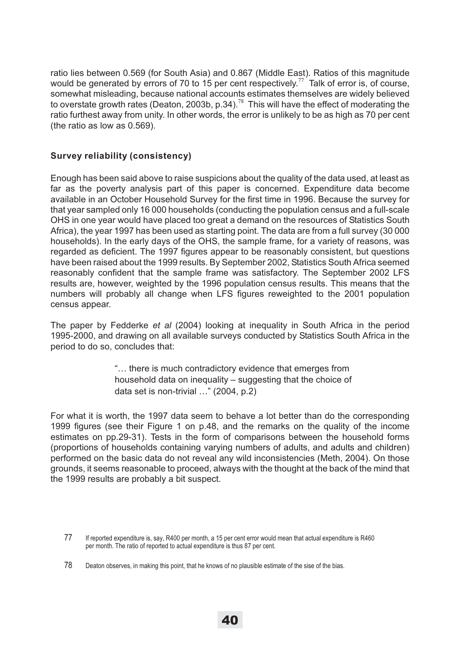ratio lies between 0.569 (for South Asia) and 0.867 (Middle East). Ratios of this magnitude would be generated by errors of 70 to 15 per cent respectively.<sup>77</sup> Talk of error is, of course, somewhat misleading, because national accounts estimates themselves are widely believed to overstate growth rates (Deaton, 2003b, p.34).<sup>78</sup> This will have the effect of moderating the ratio furthest away from unity. In other words, the error is unlikely to be as high as 70 per cent (the ratio as low as 0.569).

### **Survey reliability (consistency)**

Enough has been said above to raise suspicions about the quality of the data used, at least as far as the poverty analysis part of this paper is concerned. Expenditure data become available in an October Household Survey for the first time in 1996. Because the survey for that year sampled only 16 000 households (conducting the population census and a full-scale OHS in one year would have placed too great a demand on the resources of Statistics South Africa), the year 1997 has been used as starting point. The data are from a full survey (30 000 households). In the early days of the OHS, the sample frame, for a variety of reasons, was regarded as deficient. The 1997 figures appear to be reasonably consistent, but questions have been raised about the 1999 results. By September 2002, Statistics South Africa seemed reasonably confident that the sample frame was satisfactory. The September 2002 LFS results are, however, weighted by the 1996 population census results. This means that the numbers will probably all change when LFS figures reweighted to the 2001 population census appear.

The paper by Fedderke *et al* (2004) looking at inequality in South Africa in the period 1995-2000, and drawing on all available surveys conducted by Statistics South Africa in the period to do so, concludes that:

> "… there is much contradictory evidence that emerges from household data on inequality – suggesting that the choice of data set is non-trivial …" (2004, p.2)

For what it is worth, the 1997 data seem to behave a lot better than do the corresponding 1999 figures (see their Figure 1 on p.48, and the remarks on the quality of the income estimates on pp.29-31). Tests in the form of comparisons between the household forms (proportions of households containing varying numbers of adults, and adults and children) performed on the basic data do not reveal any wild inconsistencies (Meth, 2004). On those grounds, it seems reasonable to proceed, always with the thought at the back of the mind that the 1999 results are probably a bit suspect.

<sup>77</sup> If reported expenditure is, say, R400 per month, a 15 per cent error would mean that actual expenditure is R460 per month. The ratio of reported to actual expenditure is thus 87 per cent.

<sup>78</sup> Deaton observes, in making this point, that he knows of no plausible estimate of the sise of the bias.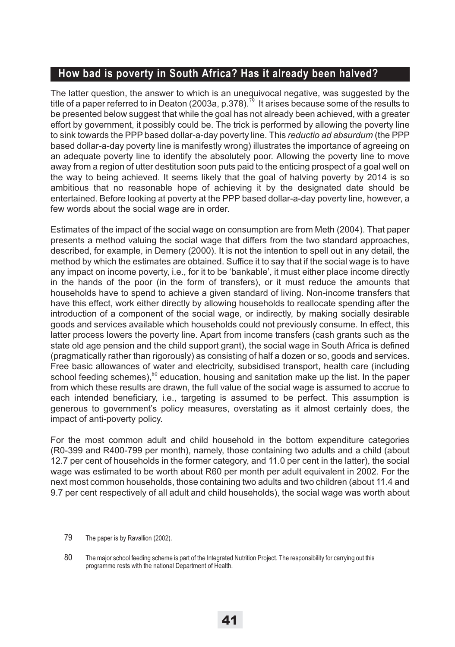# **How bad is poverty in South Africa? Has it already been halved?**

The latter question, the answer to which is an unequivocal negative, was suggested by the title of a paper referred to in Deaton (2003a, p.378).<sup>79</sup> It arises because some of the results to be presented below suggest that while the goal has not already been achieved, with a greater effort by government, it possibly could be. The trick is performed by allowing the poverty line to sink towards the PPP based dollar-a-day poverty line. This *reductio ad absurdum* (the PPP based dollar-a-day poverty line is manifestly wrong) illustrates the importance of agreeing on an adequate poverty line to identify the absolutely poor. Allowing the poverty line to move away from a region of utter destitution soon puts paid to the enticing prospect of a goal well on the way to being achieved. It seems likely that the goal of halving poverty by 2014 is so ambitious that no reasonable hope of achieving it by the designated date should be entertained. Before looking at poverty at the PPP based dollar-a-day poverty line, however, a few words about the social wage are in order.

Estimates of the impact of the social wage on consumption are from Meth (2004). That paper presents a method valuing the social wage that differs from the two standard approaches, described, for example, in Demery (2000). It is not the intention to spell out in any detail, the method by which the estimates are obtained. Suffice it to say that if the social wage is to have any impact on income poverty, i.e., for it to be 'bankable', it must either place income directly in the hands of the poor (in the form of transfers), or it must reduce the amounts that households have to spend to achieve a given standard of living. Non-income transfers that have this effect, work either directly by allowing households to reallocate spending after the introduction of a component of the social wage, or indirectly, by making socially desirable goods and services available which households could not previously consume. In effect, this latter process lowers the poverty line. Apart from income transfers (cash grants such as the state old age pension and the child support grant), the social wage in South Africa is defined (pragmatically rather than rigorously) as consisting of half a dozen or so, goods and services. Free basic allowances of water and electricity, subsidised transport, health care (including school feeding schemes),<sup>80</sup> education, housing and sanitation make up the list. In the paper from which these results are drawn, the full value of the social wage is assumed to accrue to each intended beneficiary, i.e., targeting is assumed to be perfect. This assumption is generous to government's policy measures, overstating as it almost certainly does, the impact of anti-poverty policy.

For the most common adult and child household in the bottom expenditure categories (R0-399 and R400-799 per month), namely, those containing two adults and a child (about 12.7 per cent of households in the former category, and 11.0 per cent in the latter), the social wage was estimated to be worth about R60 per month per adult equivalent in 2002. For the next most common households, those containing two adults and two children (about 11.4 and 9.7 per cent respectively of all adult and child households), the social wage was worth about

<sup>79</sup> The paper is by Ravallion (2002).

<sup>80</sup> The major school feeding scheme is part of the Integrated Nutrition Project. The responsibility for carrying out this programme rests with the national Department of Health.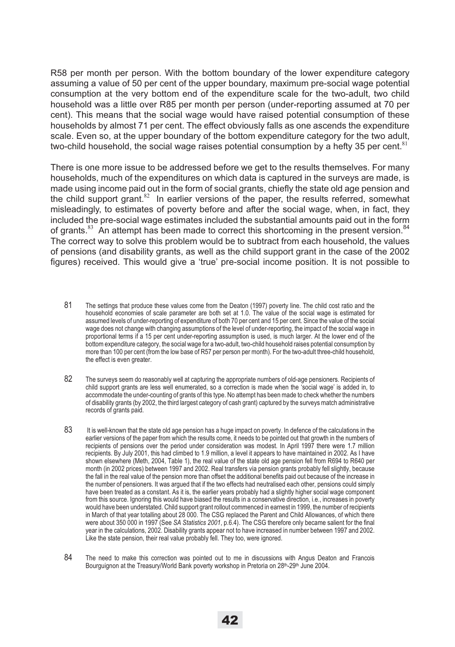R58 per month per person. With the bottom boundary of the lower expenditure category assuming a value of 50 per cent of the upper boundary, maximum pre-social wage potential consumption at the very bottom end of the expenditure scale for the two-adult, two child household was a little over R85 per month per person (under-reporting assumed at 70 per cent). This means that the social wage would have raised potential consumption of these households by almost 71 per cent. The effect obviously falls as one ascends the expenditure scale. Even so, at the upper boundary of the bottom expenditure category for the two adult, two-child household, the social wage raises potential consumption by a hefty 35 per cent. $81$ 

There is one more issue to be addressed before we get to the results themselves. For many households, much of the expenditures on which data is captured in the surveys are made, is made using income paid out in the form of social grants, chiefly the state old age pension and the child support grant. $82$  In earlier versions of the paper, the results referred, somewhat misleadingly, to estimates of poverty before and after the social wage, when, in fact, they included the pre-social wage estimates included the substantial amounts paid out in the form of grants. $83$  An attempt has been made to correct this shortcoming in the present version.  $84$ The correct way to solve this problem would be to subtract from each household, the values of pensions (and disability grants, as well as the child support grant in the case of the 2002 figures) received. This would give a 'true' pre-social income position. It is not possible to

- 81 The settings that produce these values come from the Deaton (1997) poverty line. The child cost ratio and the household economies of scale parameter are both set at 1.0. The value of the social wage is estimated for assumed levels of under-reporting of expenditure of both 70 per cent and 15 per cent. Since the value of the social wage does not change with changing assumptions of the level of under-reporting, the impact of the social wage in proportional terms if a 15 per cent under-reporting assumption is used, is much larger. At the lower end of the bottom expenditure category, the social wage for a two-adult, two-child household raises potential consumption by more than 100 per cent (from the low base of R57 per person per month). For the two-adult three-child household, the effect is even greater.
- 82 The surveys seem do reasonably well at capturing the appropriate numbers of old-age pensioners. Recipients of child support grants are less well enumerated, so a correction is made when the 'social wage' is added in, to accommodate the under-counting of grants of this type. No attempt has been made to check whether the numbers of disability grants (by 2002, the third largest category of cash grant) captured by the surveys match administrative records of grants paid.
- 83 It is well-known that the state old age pension has a huge impact on poverty. In defence of the calculations in the earlier versions of the paper from which the results come, it needs to be pointed out that growth in the numbers of recipients of pensions over the period under consideration was modest. In April 1997 there were 1.7 million recipients. By July 2001, this had climbed to 1.9 million, a level it appears to have maintained in 2002. As I have shown elsewhere (Meth, 2004, Table 1), the real value of the state old age pension fell from R694 to R640 per month (in 2002 prices) between 1997 and 2002. Real transfers via pension grants probably fell slightly, because the fall in the real value of the pension more than offset the additional benefits paid out because of the increase in the number of pensioners. It was argued that if the two effects had neutralised each other, pensions could simply have been treated as a constant. As it is, the earlier years probably had a slightly higher social wage component from this source. Ignoring this would have biased the results in a conservative direction, i.e., increases in poverty would have been understated. Child support grant rollout commenced in earnest in 1999, the number of recipients in March of that year totalling about 28 000. The CSG replaced the Parent and Child Allowances, of which there were about 350 000 in 1997 (See *SA Statistics 2001*, p.6.4). The CSG therefore only became salient for the final year in the calculations, 2002. Disability grants appear not to have increased in number between 1997 and 2002. Like the state pension, their real value probably fell. They too, were ignored.
- 84 The need to make this correction was pointed out to me in discussions with Angus Deaton and Francois Bourguignon at the Treasury/World Bank poverty workshop in Pretoria on 28th-29th June 2004.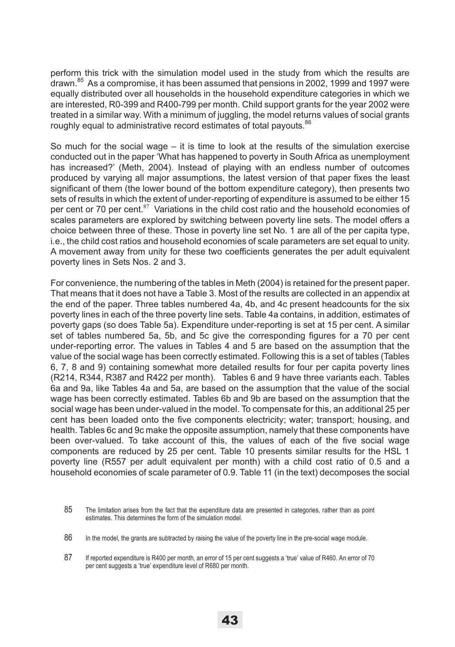perform this trick with the simulation model used in the study from which the results are drawn. $85$  As a compromise, it has been assumed that pensions in 2002, 1999 and 1997 were equally distributed over all households in the household expenditure categories in which we are interested, R0-399 and R400-799 per month. Child support grants for the year 2002 were treated in a similar way. With a minimum of juggling, the model returns values of social grants roughly equal to administrative record estimates of total payouts.<sup>86</sup>

So much for the social wage  $-$  it is time to look at the results of the simulation exercise conducted out in the paper 'What has happened to poverty in South Africa as unemployment has increased?' (Meth, 2004). Instead of playing with an endless number of outcomes produced by varying all major assumptions, the latest version of that paper fixes the least significant of them (the lower bound of the bottom expenditure category), then presents two sets of results in which the extent of under-reporting of expenditure is assumed to be either 15 per cent or 70 per cent.<sup>87</sup> Variations in the child cost ratio and the household economies of scales parameters are explored by switching between poverty line sets. The model offers a choice between three of these. Those in poverty line set No. 1 are all of the per capita type, i.e., the child cost ratios and household economies of scale parameters are set equal to unity. A movement away from unity for these two coefficients generates the per adult equivalent poverty lines in Sets Nos. 2 and 3.

For convenience, the numbering of the tables in Meth (2004) is retained for the present paper. That means that it does not have a Table 3. Most of the results are collected in an appendix at the end of the paper. Three tables numbered 4a, 4b, and 4c present headcounts for the six poverty lines in each of the three poverty line sets. Table 4a contains, in addition, estimates of poverty gaps (so does Table 5a). Expenditure under-reporting is set at 15 per cent. A similar set of tables numbered 5a, 5b, and 5c give the corresponding figures for a 70 per cent under-reporting error. The values in Tables 4 and 5 are based on the assumption that the value of the social wage has been correctly estimated. Following this is a set of tables (Tables 6, 7, 8 and 9) containing somewhat more detailed results for four per capita poverty lines (R214, R344, R387 and R422 per month). Tables 6 and 9 have three variants each. Tables 6a and 9a, like Tables 4a and 5a, are based on the assumption that the value of the social wage has been correctly estimated. Tables 6b and 9b are based on the assumption that the social wage has been under-valued in the model. To compensate for this, an additional 25 per cent has been loaded onto the five components electricity; water; transport; housing, and health. Tables 6c and 9c make the opposite assumption, namely that these components have been over-valued. To take account of this, the values of each of the five social wage components are reduced by 25 per cent. Table 10 presents similar results for the HSL 1 poverty line (R557 per adult equivalent per month) with a child cost ratio of 0.5 and a household economies of scale parameter of 0.9. Table 11 (in the text) decomposes the social

<sup>85</sup> The limitation arises from the fact that the expenditure data are presented in categories, rather than as point estimates. This determines the form of the simulation model.

<sup>86</sup> In the model, the grants are subtracted by raising the value of the poverty line in the pre-social wage module.

<sup>87</sup> If reported expenditure is R400 per month, an error of 15 per cent suggests a 'true' value of R460. An error of 70 per cent suggests a 'true' expenditure level of R680 per month.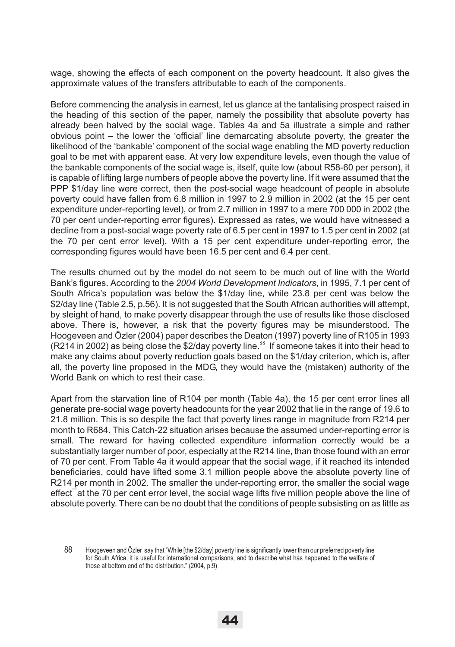wage, showing the effects of each component on the poverty headcount. It also gives the approximate values of the transfers attributable to each of the components.

Before commencing the analysis in earnest, let us glance at the tantalising prospect raised in the heading of this section of the paper, namely the possibility that absolute poverty has already been halved by the social wage. Tables 4a and 5a illustrate a simple and rather obvious point – the lower the 'official' line demarcating absolute poverty, the greater the likelihood of the 'bankable' component of the social wage enabling the MD poverty reduction goal to be met with apparent ease. At very low expenditure levels, even though the value of the bankable components of the social wage is, itself, quite low (about R58-60 per person), it is capable of lifting large numbers of people above the poverty line. If it were assumed that the PPP \$1/day line were correct, then the post-social wage headcount of people in absolute poverty could have fallen from 6.8 million in 1997 to 2.9 million in 2002 (at the 15 per cent expenditure under-reporting level), or from 2.7 million in 1997 to a mere 700 000 in 2002 (the 70 per cent under-reporting error figures). Expressed as rates, we would have witnessed a decline from a post-social wage poverty rate of 6.5 per cent in 1997 to 1.5 per cent in 2002 (at the 70 per cent error level). With a 15 per cent expenditure under-reporting error, the corresponding figures would have been 16.5 per cent and 6.4 per cent.

The results churned out by the model do not seem to be much out of line with the World Bank's figures. According to the *2004 World Development Indicators*, in 1995, 7.1 per cent of South Africa's population was below the \$1/day line, while 23.8 per cent was below the \$2/day line (Table 2.5, p.56). It is not suggested that the South African authorities will attempt, by sleight of hand, to make poverty disappear through the use of results like those disclosed above. There is, however, a risk that the poverty figures may be misunderstood. The Hoogeveen and Özler (2004) paper describes the Deaton (1997) poverty line of R105 in 1993 (R214 in 2002) as being close the \$2/day poverty line.<sup>88</sup> If someone takes it into their head to make any claims about poverty reduction goals based on the \$1/day criterion, which is, after all, the poverty line proposed in the MDG, they would have the (mistaken) authority of the World Bank on which to rest their case.

Apart from the starvation line of R104 per month (Table 4a), the 15 per cent error lines all generate pre-social wage poverty headcounts for the year 2002 that lie in the range of 19.6 to 21.8 million. This is so despite the fact that poverty lines range in magnitude from R214 per month to R684. This Catch-22 situation arises because the assumed under-reporting error is small. The reward for having collected expenditure information correctly would be a substantially larger number of poor, especially at the R214 line, than those found with an error of 70 per cent. From Table 4a it would appear that the social wage, if it reached its intended beneficiaries, could have lifted some 3.1 million people above the absolute poverty line of R214 per month in 2002. The smaller the under-reporting error, the smaller the social wage effect at the 70 per cent error level, the social wage lifts five million people above the line of absolute poverty. There can be no doubt that the conditions of people subsisting on as little as

<sup>88</sup> Hoogeveen and Özler say that "While [the \$2/day] poverty line is significantly lower than our preferred poverty line for South Africa, it is useful for international comparisons, and to describe what has happened to the welfare of those at bottom end of the distribution." (2004, p.9)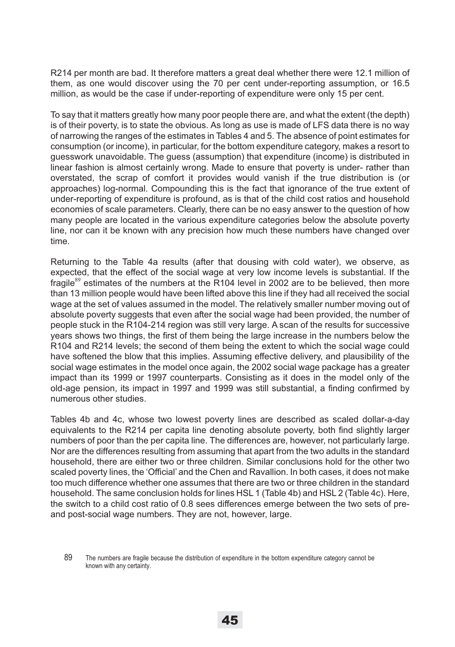R214 per month are bad. It therefore matters a great deal whether there were 12.1 million of them, as one would discover using the 70 per cent under-reporting assumption, or 16.5 million, as would be the case if under-reporting of expenditure were only 15 per cent.

To say that it matters greatly how many poor people there are, and what the extent (the depth) is of their poverty, is to state the obvious. As long as use is made of LFS data there is no way of narrowing the ranges of the estimates in Tables 4 and 5. The absence of point estimates for consumption (or income), in particular, for the bottom expenditure category, makes a resort to guesswork unavoidable. The guess (assumption) that expenditure (income) is distributed in linear fashion is almost certainly wrong. Made to ensure that poverty is under- rather than overstated, the scrap of comfort it provides would vanish if the true distribution is (or approaches) log-normal. Compounding this is the fact that ignorance of the true extent of under-reporting of expenditure is profound, as is that of the child cost ratios and household economies of scale parameters. Clearly, there can be no easy answer to the question of how many people are located in the various expenditure categories below the absolute poverty line, nor can it be known with any precision how much these numbers have changed over time.

Returning to the Table 4a results (after that dousing with cold water), we observe, as expected, that the effect of the social wage at very low income levels is substantial. If the fragile $^{89}$  estimates of the numbers at the R104 level in 2002 are to be believed, then more than 13 million people would have been lifted above this line if they had all received the social wage at the set of values assumed in the model. The relatively smaller number moving out of absolute poverty suggests that even after the social wage had been provided, the number of people stuck in the R104-214 region was still very large. A scan of the results for successive years shows two things, the first of them being the large increase in the numbers below the R104 and R214 levels; the second of them being the extent to which the social wage could have softened the blow that this implies. Assuming effective delivery, and plausibility of the social wage estimates in the model once again, the 2002 social wage package has a greater impact than its 1999 or 1997 counterparts. Consisting as it does in the model only of the old-age pension, its impact in 1997 and 1999 was still substantial, a finding confirmed by numerous other studies.

Tables 4b and 4c, whose two lowest poverty lines are described as scaled dollar-a-day equivalents to the R214 per capita line denoting absolute poverty, both find slightly larger numbers of poor than the per capita line. The differences are, however, not particularly large. Nor are the differences resulting from assuming that apart from the two adults in the standard household, there are either two or three children. Similar conclusions hold for the other two scaled poverty lines, the 'Official' and the Chen and Ravallion. In both cases, it does not make too much difference whether one assumes that there are two or three children in the standard household. The same conclusion holds for lines HSL 1 (Table 4b) and HSL 2 (Table 4c). Here, the switch to a child cost ratio of 0.8 sees differences emerge between the two sets of preand post-social wage numbers. They are not, however, large.

<sup>89</sup> The numbers are fragile because the distribution of expenditure in the bottom expenditure category cannot be known with any certainty.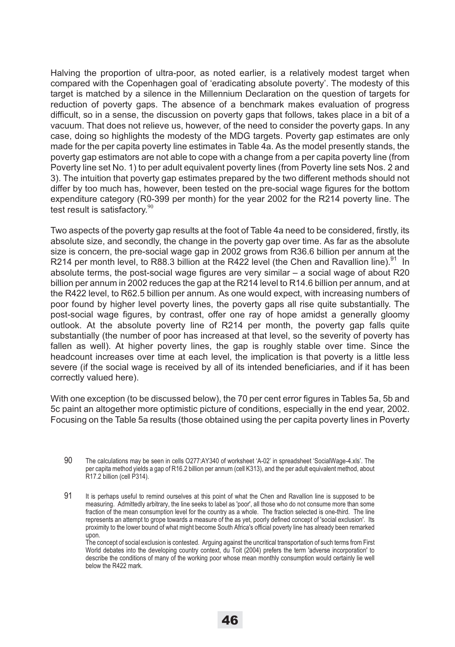Halving the proportion of ultra-poor, as noted earlier, is a relatively modest target when compared with the Copenhagen goal of 'eradicating absolute poverty'. The modesty of this target is matched by a silence in the Millennium Declaration on the question of targets for reduction of poverty gaps. The absence of a benchmark makes evaluation of progress difficult, so in a sense, the discussion on poverty gaps that follows, takes place in a bit of a vacuum. That does not relieve us, however, of the need to consider the poverty gaps. In any case, doing so highlights the modesty of the MDG targets. Poverty gap estimates are only made for the per capita poverty line estimates in Table 4a. As the model presently stands, the poverty gap estimators are not able to cope with a change from a per capita poverty line (from Poverty line set No. 1) to per adult equivalent poverty lines (from Poverty line sets Nos. 2 and 3). The intuition that poverty gap estimates prepared by the two different methods should not differ by too much has, however, been tested on the pre-social wage figures for the bottom expenditure category (R0-399 per month) for the year 2002 for the R214 poverty line. The test result is satisfactory. $90$ 

Two aspects of the poverty gap results at the foot of Table 4a need to be considered, firstly, its absolute size, and secondly, the change in the poverty gap over time. As far as the absolute size is concern, the pre-social wage gap in 2002 grows from R36.6 billion per annum at the R214 per month level, to R88.3 billion at the R422 level (the Chen and Ravallion line).<sup>91</sup> In absolute terms, the post-social wage figures are very similar – a social wage of about R20 billion per annum in 2002 reduces the gap at the R214 level to R14.6 billion per annum, and at the R422 level, to R62.5 billion per annum. As one would expect, with increasing numbers of poor found by higher level poverty lines, the poverty gaps all rise quite substantially. The post-social wage figures, by contrast, offer one ray of hope amidst a generally gloomy outlook. At the absolute poverty line of R214 per month, the poverty gap falls quite substantially (the number of poor has increased at that level, so the severity of poverty has fallen as well). At higher poverty lines, the gap is roughly stable over time. Since the headcount increases over time at each level, the implication is that poverty is a little less severe (if the social wage is received by all of its intended beneficiaries, and if it has been correctly valued here).

With one exception (to be discussed below), the 70 per cent error figures in Tables 5a, 5b and 5c paint an altogether more optimistic picture of conditions, especially in the end year, 2002. Focusing on the Table 5a results (those obtained using the per capita poverty lines in Poverty

- 90 The calculations may be seen in cells O277:AY340 of worksheet 'A-02' in spreadsheet 'SocialWage-4.xls'. The per capita method yields a gap of R16.2 billion per annum (cell K313), and the per adult equivalent method, about R17.2 billion (cell P314).
- 91 It is perhaps useful to remind ourselves at this point of what the Chen and Ravallion line is supposed to be measuring. Admittedly arbitrary, the line seeks to label as 'poor', all those who do not consume more than some fraction of the mean consumption level for the country as a whole. The fraction selected is one-third. The line represents an attempt to grope towards a measure of the as yet, poorly defined concept of 'social exclusion'. Its proximity to the lower bound of what might become South Africa's official poverty line has already been remarked upon.

The concept of social exclusion is contested. Arguing against the uncritical transportation of such terms from First World debates into the developing country context, du Toit (2004) prefers the term 'adverse incorporation' to describe the conditions of many of the working poor whose mean monthly consumption would certainly lie well below the R422 mark.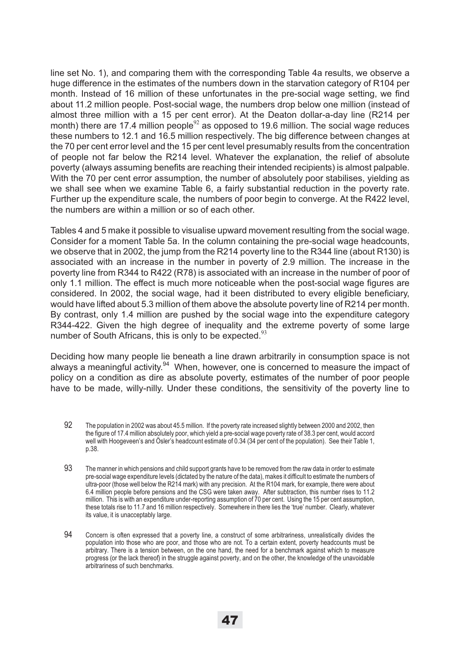line set No. 1), and comparing them with the corresponding Table 4a results, we observe a huge difference in the estimates of the numbers down in the starvation category of R104 per month. Instead of 16 million of these unfortunates in the pre-social wage setting, we find about 11.2 million people. Post-social wage, the numbers drop below one million (instead of almost three million with a 15 per cent error). At the Deaton dollar-a-day line (R214 per month) there are 17.4 million people $92$  as opposed to 19.6 million. The social wage reduces these numbers to 12.1 and 16.5 million respectively. The big difference between changes at the 70 per cent error level and the 15 per cent level presumably results from the concentration of people not far below the R214 level. Whatever the explanation, the relief of absolute poverty (always assuming benefits are reaching their intended recipients) is almost palpable. With the 70 per cent error assumption, the number of absolutely poor stabilises, yielding as we shall see when we examine Table 6, a fairly substantial reduction in the poverty rate. Further up the expenditure scale, the numbers of poor begin to converge. At the R422 level, the numbers are within a million or so of each other.

Tables 4 and 5 make it possible to visualise upward movement resulting from the social wage. Consider for a moment Table 5a. In the column containing the pre-social wage headcounts, we observe that in 2002, the jump from the R214 poverty line to the R344 line (about R130) is associated with an increase in the number in poverty of 2.9 million. The increase in the poverty line from R344 to R422 (R78) is associated with an increase in the number of poor of only 1.1 million. The effect is much more noticeable when the post-social wage figures are considered. In 2002, the social wage, had it been distributed to every eligible beneficiary, would have lifted about 5.3 million of them above the absolute poverty line of R214 per month. By contrast, only 1.4 million are pushed by the social wage into the expenditure category R344-422. Given the high degree of inequality and the extreme poverty of some large number of South Africans, this is only to be expected. $93$ 

Deciding how many people lie beneath a line drawn arbitrarily in consumption space is not always a meaningful activity.<sup>94</sup> When, however, one is concerned to measure the impact of policy on a condition as dire as absolute poverty, estimates of the number of poor people have to be made, willy-nilly. Under these conditions, the sensitivity of the poverty line to

- 92 The population in 2002 was about 45.5 million. If the poverty rate increased slightly between 2000 and 2002, then the figure of 17.4 million absolutely poor, which yield a pre-social wage poverty rate of 38.3 per cent, would accord well with Hoogeveen's and Ösler's headcount estimate of 0.34 (34 per cent of the population). See their Table 1, p.38.
- 93 The manner in which pensions and child support grants have to be removed from the raw data in order to estimate pre-social wage expenditure levels (dictated by the nature of the data), makes it difficult to estimate the numbers of ultra-poor (those well below the R214 mark) with any precision. At the R104 mark, for example, there were about 6.4 million people before pensions and the CSG were taken away. After subtraction, this number rises to 11.2 million. This is with an expenditure under-reporting assumption of 70 per cent. Using the 15 per cent assumption, these totals rise to 11.7 and 16 million respectively. Somewhere in there lies the 'true' number. Clearly, whatever its value, it is unacceptably large.
- 94 Concern is often expressed that a poverty line, a construct of some arbitrariness, unrealistically divides the population into those who are poor, and those who are not. To a certain extent, poverty headcounts must be arbitrary. There is a tension between, on the one hand, the need for a benchmark against which to measure progress (or the lack thereof) in the struggle against poverty, and on the other, the knowledge of the unavoidable arbitrariness of such benchmarks.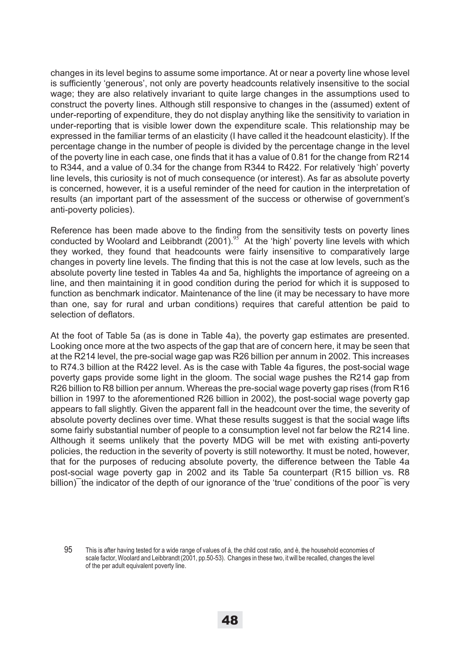changes in its level begins to assume some importance. At or near a poverty line whose level is sufficiently 'generous', not only are poverty headcounts relatively insensitive to the social wage; they are also relatively invariant to quite large changes in the assumptions used to construct the poverty lines. Although still responsive to changes in the (assumed) extent of under-reporting of expenditure, they do not display anything like the sensitivity to variation in under-reporting that is visible lower down the expenditure scale. This relationship may be expressed in the familiar terms of an elasticity (I have called it the headcount elasticity). If the percentage change in the number of people is divided by the percentage change in the level of the poverty line in each case, one finds that it has a value of 0.81 for the change from R214 to R344, and a value of 0.34 for the change from R344 to R422. For relatively 'high' poverty line levels, this curiosity is not of much consequence (or interest). As far as absolute poverty is concerned, however, it is a useful reminder of the need for caution in the interpretation of results (an important part of the assessment of the success or otherwise of government's anti-poverty policies).

Reference has been made above to the finding from the sensitivity tests on poverty lines conducted by Woolard and Leibbrandt  $(2001).^{95}$  At the 'high' poverty line levels with which they worked, they found that headcounts were fairly insensitive to comparatively large changes in poverty line levels. The finding that this is not the case at low levels, such as the absolute poverty line tested in Tables 4a and 5a, highlights the importance of agreeing on a line, and then maintaining it in good condition during the period for which it is supposed to function as benchmark indicator. Maintenance of the line (it may be necessary to have more than one, say for rural and urban conditions) requires that careful attention be paid to selection of deflators.

At the foot of Table 5a (as is done in Table 4a), the poverty gap estimates are presented. Looking once more at the two aspects of the gap that are of concern here, it may be seen that at the R214 level, the pre-social wage gap was R26 billion per annum in 2002. This increases to R74.3 billion at the R422 level. As is the case with Table 4a figures, the post-social wage poverty gaps provide some light in the gloom. The social wage pushes the R214 gap from R26 billion to R8 billion per annum. Whereas the pre-social wage poverty gap rises (from R16 billion in 1997 to the aforementioned R26 billion in 2002), the post-social wage poverty gap appears to fall slightly. Given the apparent fall in the headcount over the time, the severity of absolute poverty declines over time. What these results suggest is that the social wage lifts some fairly substantial number of people to a consumption level not far below the R214 line. Although it seems unlikely that the poverty MDG will be met with existing anti-poverty policies, the reduction in the severity of poverty is still noteworthy. It must be noted, however, that for the purposes of reducing absolute poverty, the difference between the Table 4a post-social wage poverty gap in 2002 and its Table 5a counterpart (R15 billion vs. R8 billion) the indicator of the depth of our ignorance of the 'true' conditions of the poor is very

95 This is after having tested for a wide range of values of á, the child cost ratio, and è, the household economies of scale factor, Woolard and Leibbrandt (2001, pp.50-53). Changes in these two, it will be recalled, changes the level of the per adult equivalent poverty line.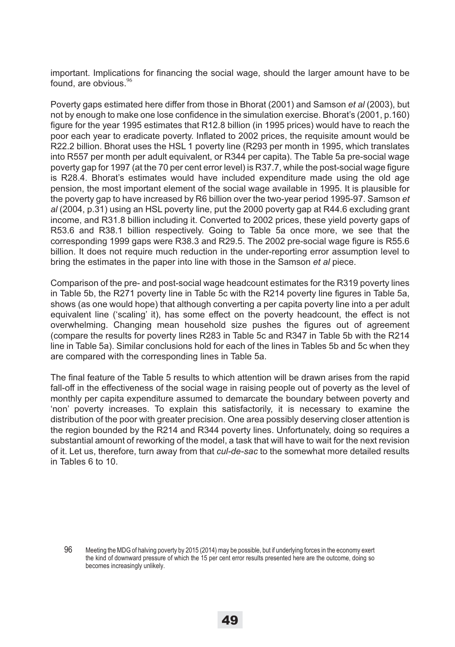important. Implications for financing the social wage, should the larger amount have to be found, are obvious. $96$ 

Poverty gaps estimated here differ from those in Bhorat (2001) and Samson *et al* (2003), but not by enough to make one lose confidence in the simulation exercise. Bhorat's (2001, p.160) figure for the year 1995 estimates that R12.8 billion (in 1995 prices) would have to reach the poor each year to eradicate poverty. Inflated to 2002 prices, the requisite amount would be R22.2 billion. Bhorat uses the HSL 1 poverty line (R293 per month in 1995, which translates into R557 per month per adult equivalent, or R344 per capita). The Table 5a pre-social wage poverty gap for 1997 (at the 70 per cent error level) is R37.7, while the post-social wage figure is R28.4. Bhorat's estimates would have included expenditure made using the old age pension, the most important element of the social wage available in 1995. It is plausible for the poverty gap to have increased by R6 billion over the two-year period 1995-97. Samson *et al* (2004, p.31) using an HSL poverty line, put the 2000 poverty gap at R44.6 excluding grant income, and R31.8 billion including it. Converted to 2002 prices, these yield poverty gaps of R53.6 and R38.1 billion respectively. Going to Table 5a once more, we see that the corresponding 1999 gaps were R38.3 and R29.5. The 2002 pre-social wage figure is R55.6 billion. It does not require much reduction in the under-reporting error assumption level to bring the estimates in the paper into line with those in the Samson *et al* piece.

Comparison of the pre- and post-social wage headcount estimates for the R319 poverty lines in Table 5b, the R271 poverty line in Table 5c with the R214 poverty line figures in Table 5a, shows (as one would hope) that although converting a per capita poverty line into a per adult equivalent line ('scaling' it), has some effect on the poverty headcount, the effect is not overwhelming. Changing mean household size pushes the figures out of agreement (compare the results for poverty lines R283 in Table 5c and R347 in Table 5b with the R214 line in Table 5a). Similar conclusions hold for each of the lines in Tables 5b and 5c when they are compared with the corresponding lines in Table 5a.

The final feature of the Table 5 results to which attention will be drawn arises from the rapid fall-off in the effectiveness of the social wage in raising people out of poverty as the level of monthly per capita expenditure assumed to demarcate the boundary between poverty and 'non' poverty increases. To explain this satisfactorily, it is necessary to examine the distribution of the poor with greater precision. One area possibly deserving closer attention is the region bounded by the R214 and R344 poverty lines. Unfortunately, doing so requires a substantial amount of reworking of the model, a task that will have to wait for the next revision of it. Let us, therefore, turn away from that *cul-de-sac* to the somewhat more detailed results in Tables 6 to 10.

<sup>96</sup> Meeting the MDG of halving poverty by 2015 (2014) may be possible, but if underlying forces in the economy exert the kind of downward pressure of which the 15 per cent error results presented here are the outcome, doing so becomes increasingly unlikely.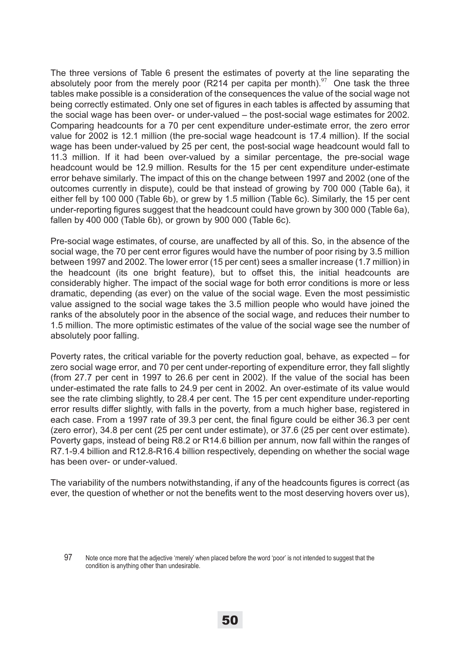The three versions of Table 6 present the estimates of poverty at the line separating the absolutely poor from the merely poor (R214 per capita per month).<sup>97</sup> One task the three tables make possible is a consideration of the consequences the value of the social wage not being correctly estimated. Only one set of figures in each tables is affected by assuming that the social wage has been over- or under-valued – the post-social wage estimates for 2002. Comparing headcounts for a 70 per cent expenditure under-estimate error, the zero error value for 2002 is 12.1 million (the pre-social wage headcount is 17.4 million). If the social wage has been under-valued by 25 per cent, the post-social wage headcount would fall to 11.3 million. If it had been over-valued by a similar percentage, the pre-social wage headcount would be 12.9 million. Results for the 15 per cent expenditure under-estimate error behave similarly. The impact of this on the change between 1997 and 2002 (one of the outcomes currently in dispute), could be that instead of growing by 700 000 (Table 6a), it either fell by 100 000 (Table 6b), or grew by 1.5 million (Table 6c). Similarly, the 15 per cent under-reporting figures suggest that the headcount could have grown by 300 000 (Table 6a), fallen by 400 000 (Table 6b), or grown by 900 000 (Table 6c).

Pre-social wage estimates, of course, are unaffected by all of this. So, in the absence of the social wage, the 70 per cent error figures would have the number of poor rising by 3.5 million between 1997 and 2002. The lower error (15 per cent) sees a smaller increase (1.7 million) in the headcount (its one bright feature), but to offset this, the initial headcounts are considerably higher. The impact of the social wage for both error conditions is more or less dramatic, depending (as ever) on the value of the social wage. Even the most pessimistic value assigned to the social wage takes the 3.5 million people who would have joined the ranks of the absolutely poor in the absence of the social wage, and reduces their number to 1.5 million. The more optimistic estimates of the value of the social wage see the number of absolutely poor falling.

Poverty rates, the critical variable for the poverty reduction goal, behave, as expected – for zero social wage error, and 70 per cent under-reporting of expenditure error, they fall slightly (from 27.7 per cent in 1997 to 26.6 per cent in 2002). If the value of the social has been under-estimated the rate falls to 24.9 per cent in 2002. An over-estimate of its value would see the rate climbing slightly, to 28.4 per cent. The 15 per cent expenditure under-reporting error results differ slightly, with falls in the poverty, from a much higher base, registered in each case. From a 1997 rate of 39.3 per cent, the final figure could be either 36.3 per cent (zero error), 34.8 per cent (25 per cent under estimate), or 37.6 (25 per cent over estimate). Poverty gaps, instead of being R8.2 or R14.6 billion per annum, now fall within the ranges of R7.1-9.4 billion and R12.8-R16.4 billion respectively, depending on whether the social wage has been over- or under-valued.

The variability of the numbers notwithstanding, if any of the headcounts figures is correct (as ever, the question of whether or not the benefits went to the most deserving hovers over us),

<sup>97</sup> Note once more that the adjective 'merely' when placed before the word 'poor' is not intended to suggest that the condition is anything other than undesirable.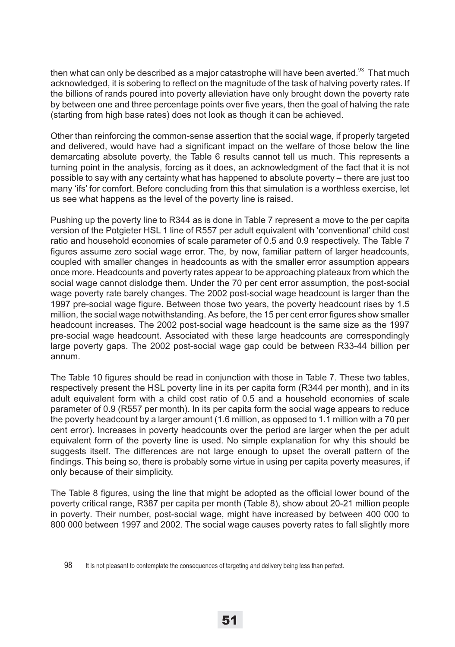then what can only be described as a major catastrophe will have been averted. $98$  That much acknowledged, it is sobering to reflect on the magnitude of the task of halving poverty rates. If the billions of rands poured into poverty alleviation have only brought down the poverty rate by between one and three percentage points over five years, then the goal of halving the rate (starting from high base rates) does not look as though it can be achieved.

Other than reinforcing the common-sense assertion that the social wage, if properly targeted and delivered, would have had a significant impact on the welfare of those below the line demarcating absolute poverty, the Table 6 results cannot tell us much. This represents a turning point in the analysis, forcing as it does, an acknowledgment of the fact that it is not possible to say with any certainty what has happened to absolute poverty – there are just too many 'ifs' for comfort. Before concluding from this that simulation is a worthless exercise, let us see what happens as the level of the poverty line is raised.

Pushing up the poverty line to R344 as is done in Table 7 represent a move to the per capita version of the Potgieter HSL 1 line of R557 per adult equivalent with 'conventional' child cost ratio and household economies of scale parameter of 0.5 and 0.9 respectively. The Table 7 figures assume zero social wage error. The, by now, familiar pattern of larger headcounts, coupled with smaller changes in headcounts as with the smaller error assumption appears once more. Headcounts and poverty rates appear to be approaching plateaux from which the social wage cannot dislodge them. Under the 70 per cent error assumption, the post-social wage poverty rate barely changes. The 2002 post-social wage headcount is larger than the 1997 pre-social wage figure. Between those two years, the poverty headcount rises by 1.5 million, the social wage notwithstanding. As before, the 15 per cent error figures show smaller headcount increases. The 2002 post-social wage headcount is the same size as the 1997 pre-social wage headcount. Associated with these large headcounts are correspondingly large poverty gaps. The 2002 post-social wage gap could be between R33-44 billion per annum.

The Table 10 figures should be read in conjunction with those in Table 7. These two tables, respectively present the HSL poverty line in its per capita form (R344 per month), and in its adult equivalent form with a child cost ratio of 0.5 and a household economies of scale parameter of 0.9 (R557 per month). In its per capita form the social wage appears to reduce the poverty headcount by a larger amount (1.6 million, as opposed to 1.1 million with a 70 per cent error). Increases in poverty headcounts over the period are larger when the per adult equivalent form of the poverty line is used. No simple explanation for why this should be suggests itself. The differences are not large enough to upset the overall pattern of the findings. This being so, there is probably some virtue in using per capita poverty measures, if only because of their simplicity.

The Table 8 figures, using the line that might be adopted as the official lower bound of the poverty critical range, R387 per capita per month (Table 8), show about 20-21 million people in poverty. Their number, post-social wage, might have increased by between 400 000 to 800 000 between 1997 and 2002. The social wage causes poverty rates to fall slightly more

<sup>98</sup> It is not pleasant to contemplate the consequences of targeting and delivery being less than perfect.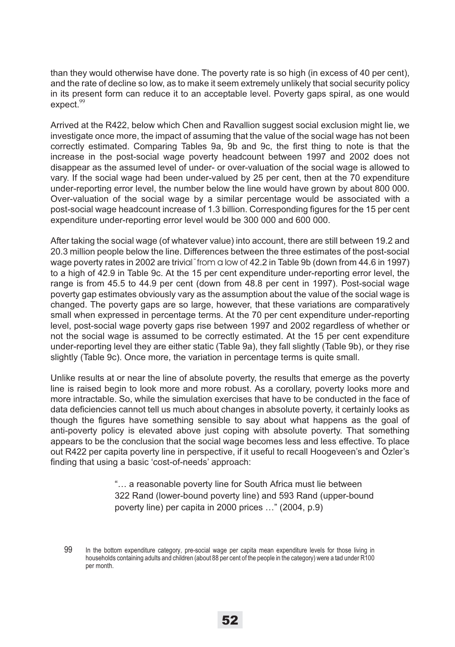than they would otherwise have done. The poverty rate is so high (in excess of 40 per cent), and the rate of decline so low, as to make it seem extremely unlikely that social security policy in its present form can reduce it to an acceptable level. Poverty gaps spiral, as one would  $expect.<sup>99</sup>$ 

Arrived at the R422, below which Chen and Ravallion suggest social exclusion might lie, we investigate once more, the impact of assuming that the value of the social wage has not been correctly estimated. Comparing Tables 9a, 9b and 9c, the first thing to note is that the increase in the post-social wage poverty headcount between 1997 and 2002 does not disappear as the assumed level of under- or over-valuation of the social wage is allowed to vary. If the social wage had been under-valued by 25 per cent, then at the 70 expenditure under-reporting error level, the number below the line would have grown by about 800 000. Over-valuation of the social wage by a similar percentage would be associated with a post-social wage headcount increase of 1.3 billion. Corresponding figures for the 15 per cent expenditure under-reporting error level would be 300 000 and 600 000.

After taking the social wage (of whatever value) into account, there are still between 19.2 and 20.3 million people below the line. Differences between the three estimates of the post-social wage poverty rates in 2002 are trivial¯from a low of 42.2 in Table 9b (down from 44.6 in 1997) to a high of 42.9 in Table 9c. At the 15 per cent expenditure under-reporting error level, the range is from 45.5 to 44.9 per cent (down from 48.8 per cent in 1997). Post-social wage poverty gap estimates obviously vary as the assumption about the value of the social wage is changed. The poverty gaps are so large, however, that these variations are comparatively small when expressed in percentage terms. At the 70 per cent expenditure under-reporting level, post-social wage poverty gaps rise between 1997 and 2002 regardless of whether or not the social wage is assumed to be correctly estimated. At the 15 per cent expenditure under-reporting level they are either static (Table 9a), they fall slightly (Table 9b), or they rise slightly (Table 9c). Once more, the variation in percentage terms is quite small.

Unlike results at or near the line of absolute poverty, the results that emerge as the poverty line is raised begin to look more and more robust. As a corollary, poverty looks more and more intractable. So, while the simulation exercises that have to be conducted in the face of data deficiencies cannot tell us much about changes in absolute poverty, it certainly looks as though the figures have something sensible to say about what happens as the goal of anti-poverty policy is elevated above just coping with absolute poverty. That something appears to be the conclusion that the social wage becomes less and less effective. To place out R422 per capita poverty line in perspective, if it useful to recall Hoogeveen's and Özler's finding that using a basic 'cost-of-needs' approach:

> "… a reasonable poverty line for South Africa must lie between 322 Rand (lower-bound poverty line) and 593 Rand (upper-bound poverty line) per capita in 2000 prices …" (2004, p.9)

<sup>99</sup> In the bottom expenditure category, pre-social wage per capita mean expenditure levels for those living in households containing adults and children (about 88 per cent of the people in the category) were a tad under R100 per month.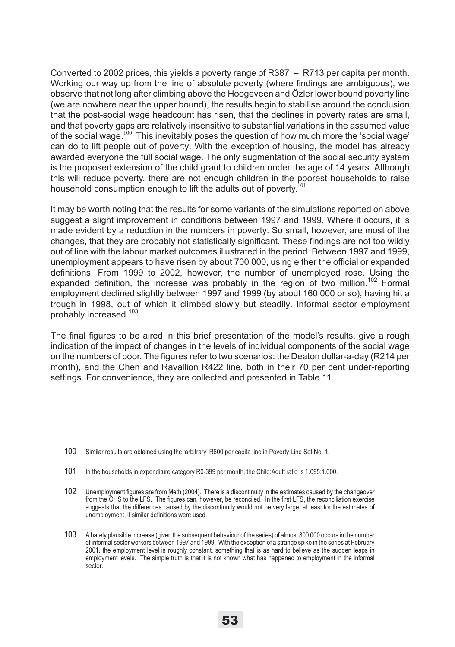Converted to 2002 prices, this yields a poverty range of R387 – R713 per capita per month. Working our way up from the line of absolute poverty (where findings are ambiguous), we observe that not long after climbing above the Hoogeveen and Özler lower bound poverty line (we are nowhere near the upper bound), the results begin to stabilise around the conclusion that the post-social wage headcount has risen, that the declines in poverty rates are small, and that poverty gaps are relatively insensitive to substantial variations in the assumed value of the social wage.<sup>100</sup> This inevitably poses the question of how much more the 'social wage' can do to lift people out of poverty. With the exception of housing, the model has already awarded everyone the full social wage. The only augmentation of the social security system is the proposed extension of the child grant to children under the age of 14 years. Although this will reduce poverty, there are not enough children in the poorest households to raise household consumption enough to lift the adults out of poverty.<sup>101</sup>

It may be worth noting that the results for some variants of the simulations reported on above suggest a slight improvement in conditions between 1997 and 1999. Where it occurs, it is made evident by a reduction in the numbers in poverty. So small, however, are most of the changes, that they are probably not statistically significant. These findings are not too wildly out of line with the labour market outcomes illustrated in the period. Between 1997 and 1999, unemployment appears to have risen by about 700 000, using either the official or expanded definitions. From 1999 to 2002, however, the number of unemployed rose. Using the expanded definition, the increase was probably in the region of two million.<sup>102</sup> Formal employment declined slightly between 1997 and 1999 (by about 160 000 or so), having hit a trough in 1998, out of which it climbed slowly but steadily. Informal sector employment probably increased.103

The final figures to be aired in this brief presentation of the model's results, give a rough indication of the impact of changes in the levels of individual components of the social wage on the numbers of poor. The figures refer to two scenarios: the Deaton dollar-a-day (R214 per month), and the Chen and Ravallion R422 line, both in their 70 per cent under-reporting settings. For convenience, they are collected and presented in Table 11.

- 100 Similar results are obtained using the 'arbitrary' R600 per capita line in Poverty Line Set No. 1.
- 101 In the households in expenditure category R0-399 per month, the Child:Adult ratio is 1.095:1.000.
- 102 Unemployment figures are from Meth (2004). There is a discontinuity in the estimates caused by the changeover from the OHS to the LFS. The figures can, however, be reconciled. In the first LFS, the reconciliation exercise suggests that the differences caused by the discontinuity would not be very large, at least for the estimates of unemployment, if similar definitions were used.
- 103 A barely plausible increase (given the subsequent behaviour of the series) of almost 800 000 occurs in the number of informal sector workers between 1997 and 1999. With the exception of a strange spike in the series at February 2001, the employment level is roughly constant, something that is as hard to believe as the sudden leaps in employment levels. The simple truth is that it is not known what has happened to employment in the informal sector.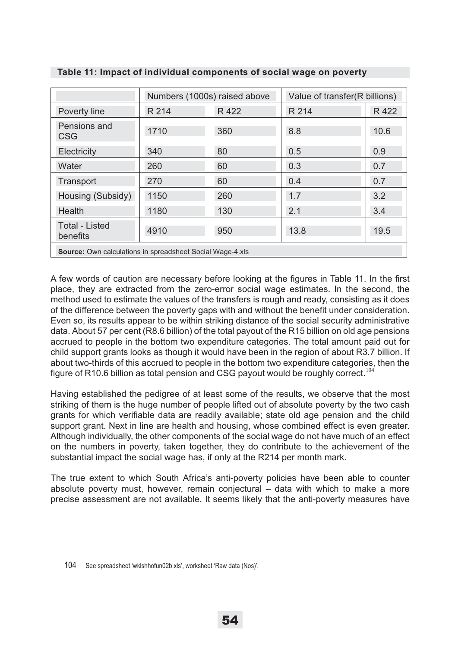|                                                                  | Numbers (1000s) raised above |       | Value of transfer(R billions) |       |
|------------------------------------------------------------------|------------------------------|-------|-------------------------------|-------|
| Poverty line                                                     | R 214                        | R 422 | R 214                         | R 422 |
| Pensions and<br><b>CSG</b>                                       | 1710                         | 360   | 8.8                           | 10.6  |
| Electricity                                                      | 340                          | 80    | 0.5                           | 0.9   |
| Water                                                            | 260                          | 60    | 0.3                           | 0.7   |
| Transport                                                        | 270                          | 60    | 0.4                           | 0.7   |
| Housing (Subsidy)                                                | 1150                         | 260   | 1.7                           | 3.2   |
| Health                                                           | 1180                         | 130   | 2.1                           | 3.4   |
| <b>Total - Listed</b><br>benefits                                | 4910                         | 950   | 13.8                          | 19.5  |
| <b>Source:</b> Own calculations in spreadsheet Social Wage-4.xls |                              |       |                               |       |

### **Table 11: Impact of individual components of social wage on poverty**

A few words of caution are necessary before looking at the figures in Table 11. In the first place, they are extracted from the zero-error social wage estimates. In the second, the method used to estimate the values of the transfers is rough and ready, consisting as it does of the difference between the poverty gaps with and without the benefit under consideration. Even so, its results appear to be within striking distance of the social security administrative data. About 57 per cent (R8.6 billion) of the total payout of the R15 billion on old age pensions accrued to people in the bottom two expenditure categories. The total amount paid out for child support grants looks as though it would have been in the region of about R3.7 billion. If about two-thirds of this accrued to people in the bottom two expenditure categories, then the figure of R10.6 billion as total pension and CSG payout would be roughly correct.<sup>104</sup>

Having established the pedigree of at least some of the results, we observe that the most striking of them is the huge number of people lifted out of absolute poverty by the two cash grants for which verifiable data are readily available; state old age pension and the child support grant. Next in line are health and housing, whose combined effect is even greater. Although individually, the other components of the social wage do not have much of an effect on the numbers in poverty, taken together, they do contribute to the achievement of the substantial impact the social wage has, if only at the R214 per month mark.

The true extent to which South Africa's anti-poverty policies have been able to counter absolute poverty must, however, remain conjectural – data with which to make a more precise assessment are not available. It seems likely that the anti-poverty measures have

<sup>104</sup> See spreadsheet 'wklshhofun02b.xls', worksheet 'Raw data (Nos)'.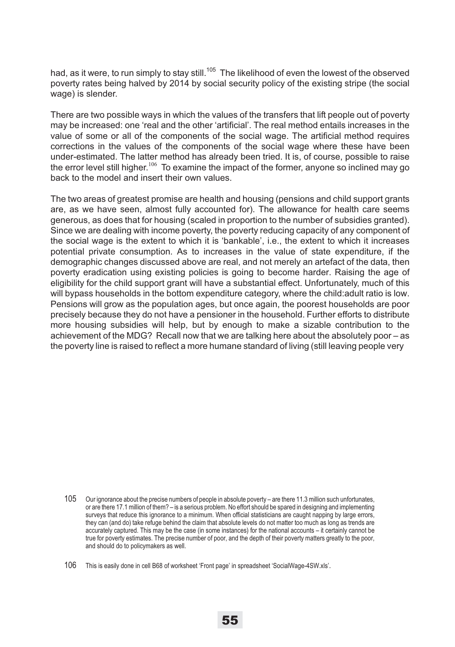had, as it were, to run simply to stay still.<sup>105</sup> The likelihood of even the lowest of the observed poverty rates being halved by 2014 by social security policy of the existing stripe (the social wage) is slender.

There are two possible ways in which the values of the transfers that lift people out of poverty may be increased: one 'real and the other 'artificial'. The real method entails increases in the value of some or all of the components of the social wage. The artificial method requires corrections in the values of the components of the social wage where these have been under-estimated. The latter method has already been tried. It is, of course, possible to raise the error level still higher.<sup>106</sup> To examine the impact of the former, anyone so inclined may go back to the model and insert their own values.

The two areas of greatest promise are health and housing (pensions and child support grants are, as we have seen, almost fully accounted for). The allowance for health care seems generous, as does that for housing (scaled in proportion to the number of subsidies granted). Since we are dealing with income poverty, the poverty reducing capacity of any component of the social wage is the extent to which it is 'bankable', i.e., the extent to which it increases potential private consumption. As to increases in the value of state expenditure, if the demographic changes discussed above are real, and not merely an artefact of the data, then poverty eradication using existing policies is going to become harder. Raising the age of eligibility for the child support grant will have a substantial effect. Unfortunately, much of this will bypass households in the bottom expenditure category, where the child:adult ratio is low. Pensions will grow as the population ages, but once again, the poorest households are poor precisely because they do not have a pensioner in the household. Further efforts to distribute more housing subsidies will help, but by enough to make a sizable contribution to the achievement of the MDG? Recall now that we are talking here about the absolutely poor – as the poverty line is raised to reflect a more humane standard of living (still leaving people very

<sup>105</sup> Our ignorance about the precise numbers of people in absolute poverty – are there 11.3 million such unfortunates, or are there 17.1 million of them? – is a serious problem. No effort should be spared in designing and implementing surveys that reduce this ignorance to a minimum. When official statisticians are caught napping by large errors, they can (and do) take refuge behind the claim that absolute levels do not matter too much as long as trends are accurately captured. This may be the case (in some instances) for the national accounts – it certainly cannot be true for poverty estimates. The precise number of poor, and the depth of their poverty matters greatly to the poor, and should do to policymakers as well.

<sup>106</sup> This is easily done in cell B68 of worksheet 'Front page' in spreadsheet 'SocialWage-4SW.xls'.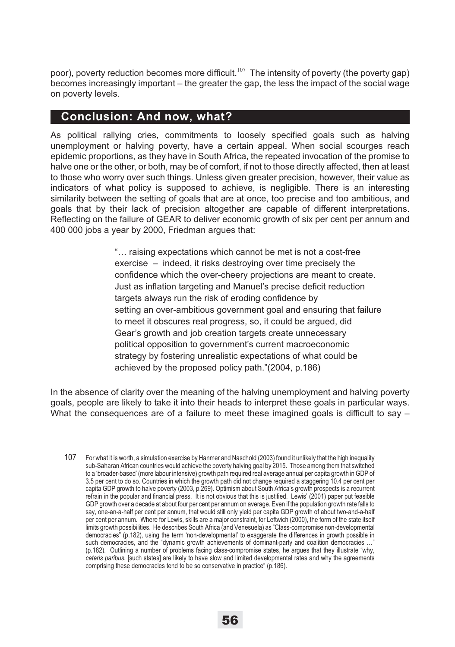poor), poverty reduction becomes more difficult.<sup>107</sup> The intensity of poverty (the poverty gap) becomes increasingly important – the greater the gap, the less the impact of the social wage on poverty levels.

## **Conclusion: And now, what?**

As political rallying cries, commitments to loosely specified goals such as halving unemployment or halving poverty, have a certain appeal. When social scourges reach epidemic proportions, as they have in South Africa, the repeated invocation of the promise to halve one or the other, or both, may be of comfort, if not to those directly affected, then at least to those who worry over such things. Unless given greater precision, however, their value as indicators of what policy is supposed to achieve, is negligible. There is an interesting similarity between the setting of goals that are at once, too precise and too ambitious, and goals that by their lack of precision altogether are capable of different interpretations. Reflecting on the failure of GEAR to deliver economic growth of six per cent per annum and 400 000 jobs a year by 2000, Friedman argues that:

> "… raising expectations which cannot be met is not a cost-free exercise – indeed, it risks destroying over time precisely the confidence which the over-cheery projections are meant to create. Just as inflation targeting and Manuel's precise deficit reduction targets always run the risk of eroding confidence by setting an over-ambitious government goal and ensuring that failure to meet it obscures real progress, so, it could be argued, did Gear's growth and job creation targets create unnecessary political opposition to government's current macroeconomic strategy by fostering unrealistic expectations of what could be achieved by the proposed policy path."(2004, p.186)

In the absence of clarity over the meaning of the halving unemployment and halving poverty goals, people are likely to take it into their heads to interpret these goals in particular ways. What the consequences are of a failure to meet these imagined goals is difficult to say  $-$ 

107 For what it is worth, a simulation exercise by Hanmer and Naschold (2003) found it unlikely that the high inequality sub-Saharan African countries would achieve the poverty halving goal by 2015. Those among them that switched to a 'broader-based' (more labour intensive) growth path required real average annual per capita growth in GDP of 3.5 per cent to do so. Countries in which the growth path did not change required a staggering 10.4 per cent per capita GDP growth to halve poverty (2003, p.269). Optimism about South Africa's growth prospects is a recurrent refrain in the popular and financial press. It is not obvious that this is justified. Lewis' (2001) paper put feasible GDP growth over a decade at about four per cent per annum on average. Even if the population growth rate falls to say, one-an-a-half per cent per annum, that would still only yield per capita GDP growth of about two-and-a-half per cent per annum. Where for Lewis, skills are a major constraint, for Leftwich (2000), the form of the state itself limits growth possibilities. He describes South Africa (and Venesuela) as "Class-compromise non-developmental democracies" (p.182), using the term 'non-developmental' to exaggerate the differences in growth possible in such democracies, and the "dynamic growth achievements of dominant-party and coalition democracies ..." (p.182). Outlining a number of problems facing class-compromise states, he argues that they illustrate "why, *ceteris paribus*, [such states] are likely to have slow and limited developmental rates and why the agreements comprising these democracies tend to be so conservative in practice" (p.186).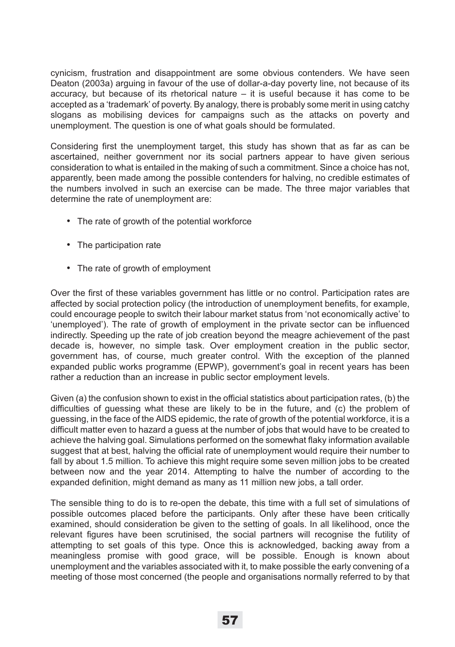cynicism, frustration and disappointment are some obvious contenders. We have seen Deaton (2003a) arguing in favour of the use of dollar-a-day poverty line, not because of its accuracy, but because of its rhetorical nature – it is useful because it has come to be accepted as a 'trademark' of poverty. By analogy, there is probably some merit in using catchy slogans as mobilising devices for campaigns such as the attacks on poverty and unemployment. The question is one of what goals should be formulated.

Considering first the unemployment target, this study has shown that as far as can be ascertained, neither government nor its social partners appear to have given serious consideration to what is entailed in the making of such a commitment. Since a choice has not, apparently, been made among the possible contenders for halving, no credible estimates of the numbers involved in such an exercise can be made. The three major variables that determine the rate of unemployment are:

- The rate of growth of the potential workforce
- The participation rate
- The rate of growth of employment

Over the first of these variables government has little or no control. Participation rates are affected by social protection policy (the introduction of unemployment benefits, for example, could encourage people to switch their labour market status from 'not economically active' to 'unemployed'). The rate of growth of employment in the private sector can be influenced indirectly. Speeding up the rate of job creation beyond the meagre achievement of the past decade is, however, no simple task. Over employment creation in the public sector, government has, of course, much greater control. With the exception of the planned expanded public works programme (EPWP), government's goal in recent years has been rather a reduction than an increase in public sector employment levels.

Given (a) the confusion shown to exist in the official statistics about participation rates, (b) the difficulties of guessing what these are likely to be in the future, and (c) the problem of guessing, in the face of the AIDS epidemic, the rate of growth of the potential workforce, it is a difficult matter even to hazard a guess at the number of jobs that would have to be created to achieve the halving goal. Simulations performed on the somewhat flaky information available suggest that at best, halving the official rate of unemployment would require their number to fall by about 1.5 million. To achieve this might require some seven million jobs to be created between now and the year 2014. Attempting to halve the number of according to the expanded definition, might demand as many as 11 million new jobs, a tall order.

The sensible thing to do is to re-open the debate, this time with a full set of simulations of possible outcomes placed before the participants. Only after these have been critically examined, should consideration be given to the setting of goals. In all likelihood, once the relevant figures have been scrutinised, the social partners will recognise the futility of attempting to set goals of this type. Once this is acknowledged, backing away from a meaningless promise with good grace, will be possible. Enough is known about unemployment and the variables associated with it, to make possible the early convening of a meeting of those most concerned (the people and organisations normally referred to by that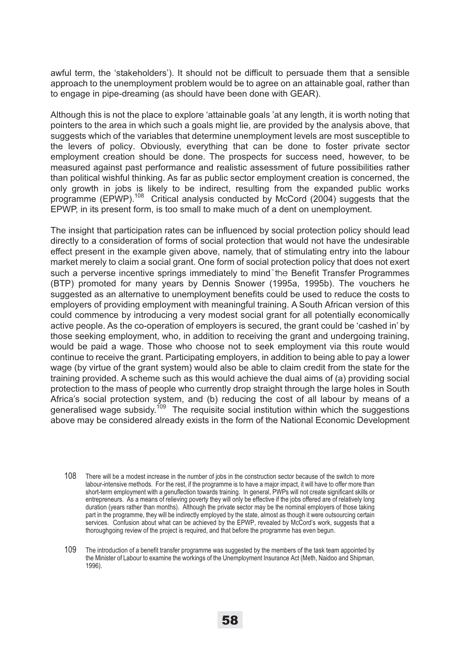awful term, the 'stakeholders'). It should not be difficult to persuade them that a sensible approach to the unemployment problem would be to agree on an attainable goal, rather than to engage in pipe-dreaming (as should have been done with GEAR).

Although this is not the place to explore 'attainable goals 'at any length, it is worth noting that pointers to the area in which such a goals might lie, are provided by the analysis above, that suggests which of the variables that determine unemployment levels are most susceptible to the levers of policy. Obviously, everything that can be done to foster private sector employment creation should be done. The prospects for success need, however, to be measured against past performance and realistic assessment of future possibilities rather than political wishful thinking. As far as public sector employment creation is concerned, the only growth in jobs is likely to be indirect, resulting from the expanded public works programme (EPWP).<sup>108</sup> Critical analysis conducted by McCord (2004) suggests that the EPWP, in its present form, is too small to make much of a dent on unemployment.

The insight that participation rates can be influenced by social protection policy should lead directly to a consideration of forms of social protection that would not have the undesirable effect present in the example given above, namely, that of stimulating entry into the labour market merely to claim a social grant. One form of social protection policy that does not exert such a perverse incentive springs immediately to mind the Benefit Transfer Programmes (BTP) promoted for many years by Dennis Snower (1995a, 1995b). The vouchers he suggested as an alternative to unemployment benefits could be used to reduce the costs to employers of providing employment with meaningful training. A South African version of this could commence by introducing a very modest social grant for all potentially economically active people. As the co-operation of employers is secured, the grant could be 'cashed in' by those seeking employment, who, in addition to receiving the grant and undergoing training, would be paid a wage. Those who choose not to seek employment via this route would continue to receive the grant. Participating employers, in addition to being able to pay a lower wage (by virtue of the grant system) would also be able to claim credit from the state for the training provided. A scheme such as this would achieve the dual aims of (a) providing social protection to the mass of people who currently drop straight through the large holes in South Africa's social protection system, and (b) reducing the cost of all labour by means of a generalised wage subsidy.109 The requisite social institution within which the suggestions above may be considered already exists in the form of the National Economic Development

- 108 There will be a modest increase in the number of jobs in the construction sector because of the switch to more labour-intensive methods. For the rest, if the programme is to have a major impact, it will have to offer more than short-term employment with a genuflection towards training. In general, PWPs will not create significant skills or entrepreneurs. As a means of relieving poverty they will only be effective if the jobs offered are of relatively long duration (years rather than months). Although the private sector may be the nominal employers of those taking part in the programme, they will be indirectly employed by the state, almost as though it were outsourcing certain services. Confusion about what can be achieved by the EPWP, revealed by McCord's work, suggests that a thoroughgoing review of the project is required, and that before the programme has even begun.
- 109 The introduction of a benefit transfer programme was suggested by the members of the task team appointed by the Minister of Labour to examine the workings of the Unemployment Insurance Act (Meth, Naidoo and Shipman, 1996).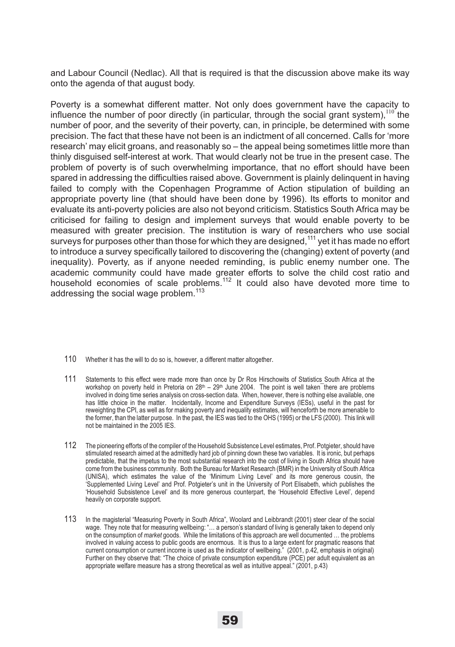and Labour Council (Nedlac). All that is required is that the discussion above make its way onto the agenda of that august body.

Poverty is a somewhat different matter. Not only does government have the capacity to influence the number of poor directly (in particular, through the social grant system),  $110$  the number of poor, and the severity of their poverty, can, in principle, be determined with some precision. The fact that these have not been is an indictment of all concerned. Calls for 'more research' may elicit groans, and reasonably so – the appeal being sometimes little more than thinly disguised self-interest at work. That would clearly not be true in the present case. The problem of poverty is of such overwhelming importance, that no effort should have been spared in addressing the difficulties raised above. Government is plainly delinquent in having failed to comply with the Copenhagen Programme of Action stipulation of building an appropriate poverty line (that should have been done by 1996). Its efforts to monitor and evaluate its anti-poverty policies are also not beyond criticism. Statistics South Africa may be criticised for failing to design and implement surveys that would enable poverty to be measured with greater precision. The institution is wary of researchers who use social surveys for purposes other than those for which they are designed,  $111$  yet it has made no effort to introduce a survey specifically tailored to discovering the (changing) extent of poverty (and inequality). Poverty, as if anyone needed reminding, is public enemy number one. The academic community could have made greater efforts to solve the child cost ratio and household economies of scale problems.<sup>112</sup> It could also have devoted more time to addressing the social wage problem.<sup>113</sup>

- 110 Whether it has the will to do so is, however, a different matter altogether.
- 111 Statements to this effect were made more than once by Dr Ros Hirschowits of Statistics South Africa at the workshop on poverty held in Pretoria on 28<sup>th</sup> – 29<sup>th</sup> June 2004. The point is well taken<sup>—</sup>there are problems involved in doing time series analysis on cross-section data. When, however, there is nothing else available, one has little choice in the matter. Incidentally, Income and Expenditure Surveys (IESs), useful in the past for reweighting the CPI, as well as for making poverty and inequality estimates, will henceforth be more amenable to the former, than the latter purpose. In the past, the IES was tied to the OHS (1995) or the LFS (2000). This link will not be maintained in the 2005 IES.
- 112 The pioneering efforts of the compiler of the Household Subsistence Level estimates, Prof. Potgieter, should have stimulated research aimed at the admittedly hard job of pinning down these two variables. It is ironic, but perhaps predictable, that the impetus to the most substantial research into the cost of living in South Africa should have come from the business community. Both the Bureau for Market Research (BMR) in the University of South Africa (UNISA), which estimates the value of the 'Minimum Living Level' and its more generous cousin, the 'Supplemented Living Level' and Prof. Potgieter's unit in the University of Port Elisabeth, which publishes the 'Household Subsistence Level' and its more generous counterpart, the 'Household Effective Level', depend heavily on corporate support.
- 113 In the magisterial "Measuring Poverty in South Africa", Woolard and Leibbrandt (2001) steer clear of the social wage. They note that for measuring wellbeing: "... a person's standard of living is generally taken to depend only on the consumption of *market* goods. While the limitations of this approach are well documented … the problems involved in valuing access to public goods are enormous. It is thus to a large extent for pragmatic reasons that current consumption or current income is used as the indicator of wellbeing." (2001, p.42, emphasis in original) Further on they observe that: "The choice of private consumption expenditure (PCE) per adult equivalent as an appropriate welfare measure has a strong theoretical as well as intuitive appeal." (2001, p.43)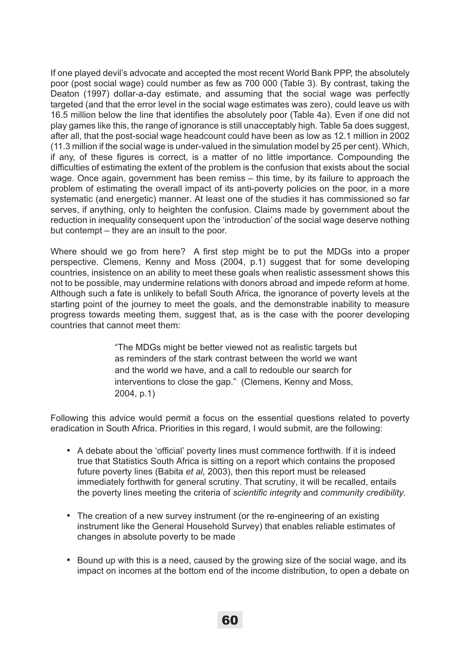If one played devil's advocate and accepted the most recent World Bank PPP, the absolutely poor (post social wage) could number as few as 700 000 (Table 3). By contrast, taking the Deaton (1997) dollar-a-day estimate, and assuming that the social wage was perfectly targeted (and that the error level in the social wage estimates was zero), could leave us with 16.5 million below the line that identifies the absolutely poor (Table 4a). Even if one did not play games like this, the range of ignorance is still unacceptably high. Table 5a does suggest, after all, that the post-social wage headcount could have been as low as 12.1 million in 2002 (11.3 million if the social wage is under-valued in the simulation model by 25 per cent). Which, if any, of these figures is correct, is a matter of no little importance. Compounding the difficulties of estimating the extent of the problem is the confusion that exists about the social wage. Once again, government has been remiss – this time, by its failure to approach the problem of estimating the overall impact of its anti-poverty policies on the poor, in a more systematic (and energetic) manner. At least one of the studies it has commissioned so far serves, if anything, only to heighten the confusion. Claims made by government about the reduction in inequality consequent upon the 'introduction' of the social wage deserve nothing but contempt – they are an insult to the poor.

Where should we go from here? A first step might be to put the MDGs into a proper perspective. Clemens, Kenny and Moss (2004, p.1) suggest that for some developing countries, insistence on an ability to meet these goals when realistic assessment shows this not to be possible, may undermine relations with donors abroad and impede reform at home. Although such a fate is unlikely to befall South Africa, the ignorance of poverty levels at the starting point of the journey to meet the goals, and the demonstrable inability to measure progress towards meeting them, suggest that, as is the case with the poorer developing countries that cannot meet them:

> "The MDGs might be better viewed not as realistic targets but as reminders of the stark contrast between the world we want and the world we have, and a call to redouble our search for interventions to close the gap." (Clemens, Kenny and Moss, 2004, p.1)

Following this advice would permit a focus on the essential questions related to poverty eradication in South Africa. Priorities in this regard, I would submit, are the following:

- A debate about the 'official' poverty lines must commence forthwith. If it is indeed true that Statistics South Africa is sitting on a report which contains the proposed future poverty lines (Babita *et al*, 2003), then this report must be released immediately forthwith for general scrutiny. That scrutiny, it will be recalled, entails the poverty lines meeting the criteria of *scientific integrity* and *community credibility.*
- The creation of a new survey instrument (or the re-engineering of an existing instrument like the General Household Survey) that enables reliable estimates of changes in absolute poverty to be made
- Bound up with this is a need, caused by the growing size of the social wage, and its impact on incomes at the bottom end of the income distribution, to open a debate on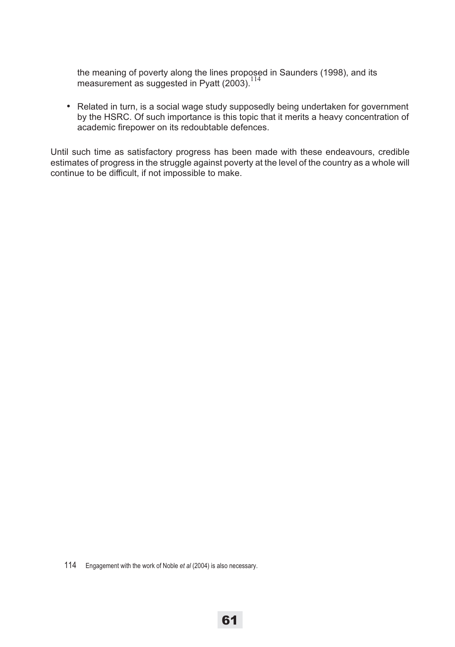the meaning of poverty along the lines proposed in Saunders (1998), and its measurement as suggested in Pyatt (2003).<sup>114</sup>

• Related in turn, is a social wage study supposedly being undertaken for government by the HSRC. Of such importance is this topic that it merits a heavy concentration of academic firepower on its redoubtable defences.

Until such time as satisfactory progress has been made with these endeavours, credible estimates of progress in the struggle against poverty at the level of the country as a whole will continue to be difficult, if not impossible to make.

114 Engagement with the work of Noble *et al* (2004) is also necessary.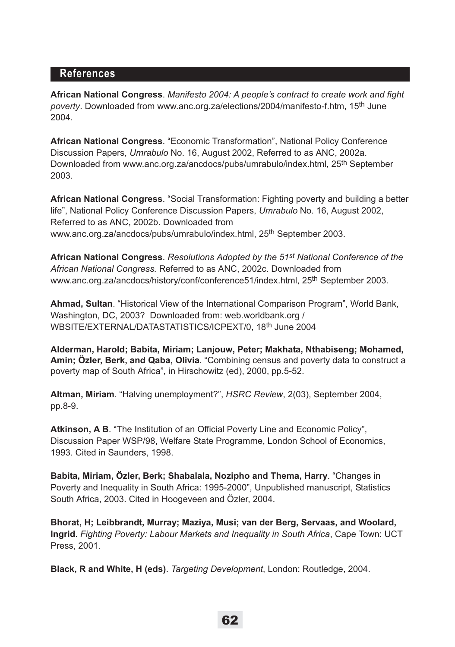### **References**

**African National Congress**. *Manifesto 2004: A people's contract to create work and fight poverty*. Downloaded from www.anc.org.za/elections/2004/manifesto-f.htm, 15th June 2004.

**African National Congress**. "Economic Transformation", National Policy Conference Discussion Papers, *Umrabulo* No. 16, August 2002, Referred to as ANC, 2002a. Downloaded from www.anc.org.za/ancdocs/pubs/umrabulo/index.html, 25<sup>th</sup> September 2003.

**African National Congress**. "Social Transformation: Fighting poverty and building a better life", National Policy Conference Discussion Papers, *Umrabulo* No. 16, August 2002, Referred to as ANC, 2002b. Downloaded from www.anc.org.za/ancdocs/pubs/umrabulo/index.html, 25<sup>th</sup> September 2003.

**African National Congress**. *Resolutions Adopted by the 51st National Conference of the African National Congress.* Referred to as ANC, 2002c. Downloaded from www.anc.org.za/ancdocs/history/conf/conference51/index.html, 25<sup>th</sup> September 2003.

**Ahmad, Sultan**. "Historical View of the International Comparison Program", World Bank, Washington, DC, 2003? Downloaded from: web.worldbank.org / WBSITE/EXTERNAL/DATASTATISTICS/ICPEXT/0, 18th June 2004

**Alderman, Harold; Babita, Miriam; Lanjouw, Peter; Makhata, Nthabiseng; Mohamed, Amin; Özler, Berk, and Qaba, Olivia**. "Combining census and poverty data to construct a poverty map of South Africa", in Hirschowitz (ed), 2000, pp.5-52.

**Altman, Miriam**. "Halving unemployment?", *HSRC Review*, 2(03), September 2004, pp.8-9.

**Atkinson, A B**. "The Institution of an Official Poverty Line and Economic Policy", Discussion Paper WSP/98, Welfare State Programme, London School of Economics, 1993. Cited in Saunders, 1998.

**Babita, Miriam, Özler, Berk; Shabalala, Nozipho and Thema, Harry**. "Changes in Poverty and Inequality in South Africa: 1995-2000", Unpublished manuscript, Statistics South Africa, 2003. Cited in Hoogeveen and Özler, 2004.

**Bhorat, H; Leibbrandt, Murray; Maziya, Musi; van der Berg, Servaas, and Woolard, Ingrid**. *Fighting Poverty: Labour Markets and Inequality in South Africa*, Cape Town: UCT Press, 2001.

**Black, R and White, H (eds)**. *Targeting Development*, London: Routledge, 2004.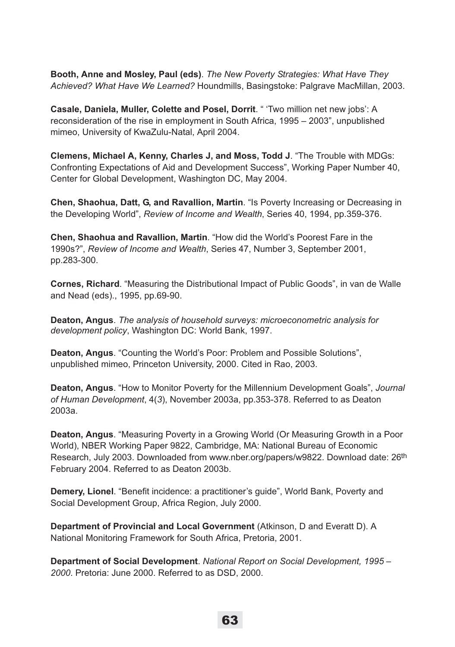**Booth, Anne and Mosley, Paul (eds)**. *The New Poverty Strategies: What Have They Achieved? What Have We Learned?* Houndmills, Basingstoke: Palgrave MacMillan, 2003.

**Casale, Daniela, Muller, Colette and Posel, Dorrit**. " 'Two million net new jobs': A reconsideration of the rise in employment in South Africa, 1995 – 2003", unpublished mimeo, University of KwaZulu-Natal, April 2004.

**Clemens, Michael A, Kenny, Charles J, and Moss, Todd J**. "The Trouble with MDGs: Confronting Expectations of Aid and Development Success", Working Paper Number 40, Center for Global Development, Washington DC, May 2004.

**Chen, Shaohua, Datt, G, and Ravallion, Martin**. "Is Poverty Increasing or Decreasing in the Developing World", *Review of Income and Wealth*, Series 40, 1994, pp.359-376.

**Chen, Shaohua and Ravallion, Martin**. "How did the World's Poorest Fare in the 1990s?", *Review of Income and Wealth*, Series 47, Number 3, September 2001, pp.283-300.

**Cornes, Richard**. "Measuring the Distributional Impact of Public Goods", in van de Walle and Nead (eds)., 1995, pp.69-90.

**Deaton, Angus**. *The analysis of household surveys: microeconometric analysis for development policy*, Washington DC: World Bank, 1997.

**Deaton, Angus**. "Counting the World's Poor: Problem and Possible Solutions", unpublished mimeo, Princeton University, 2000. Cited in Rao, 2003.

**Deaton, Angus**. "How to Monitor Poverty for the Millennium Development Goals", *Journal of Human Development*, 4(*3*), November 2003a, pp.353-378. Referred to as Deaton 2003a.

**Deaton, Angus**. "Measuring Poverty in a Growing World (Or Measuring Growth in a Poor World), NBER Working Paper 9822, Cambridge, MA: National Bureau of Economic Research, July 2003. Downloaded from www.nber.org/papers/w9822. Download date: 26<sup>th</sup> February 2004. Referred to as Deaton 2003b.

**Demery, Lionel**. "Benefit incidence: a practitioner's guide", World Bank, Poverty and Social Development Group, Africa Region, July 2000.

**Department of Provincial and Local Government** (Atkinson, D and Everatt D). A National Monitoring Framework for South Africa, Pretoria, 2001.

**Department of Social Development**. *National Report on Social Development, 1995 – 2000*. Pretoria: June 2000. Referred to as DSD, 2000.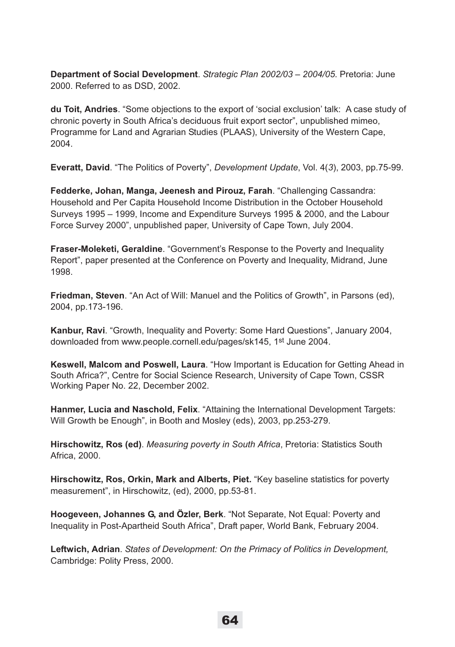**Department of Social Development**. *Strategic Plan 2002/03 – 2004/05*. Pretoria: June 2000. Referred to as DSD, 2002.

**du Toit, Andries**. "Some objections to the export of 'social exclusion' talk: A case study of chronic poverty in South Africa's deciduous fruit export sector", unpublished mimeo, Programme for Land and Agrarian Studies (PLAAS), University of the Western Cape, 2004.

**Everatt, David**. "The Politics of Poverty", *Development Update*, Vol. 4(*3*), 2003, pp.75-99.

**Fedderke, Johan, Manga, Jeenesh and Pirouz, Farah**. "Challenging Cassandra: Household and Per Capita Household Income Distribution in the October Household Surveys 1995 – 1999, Income and Expenditure Surveys 1995 & 2000, and the Labour Force Survey 2000", unpublished paper, University of Cape Town, July 2004.

**Fraser-Moleketi, Geraldine**. "Government's Response to the Poverty and Inequality Report", paper presented at the Conference on Poverty and Inequality, Midrand, June 1998.

**Friedman, Steven**. "An Act of Will: Manuel and the Politics of Growth", in Parsons (ed), 2004, pp.173-196.

**Kanbur, Ravi**. "Growth, Inequality and Poverty: Some Hard Questions", January 2004, downloaded from www.people.cornell.edu/pages/sk145, 1st June 2004.

**Keswell, Malcom and Poswell, Laura**. "How Important is Education for Getting Ahead in South Africa?", Centre for Social Science Research, University of Cape Town, CSSR Working Paper No. 22, December 2002.

**Hanmer, Lucia and Naschold, Felix**. "Attaining the International Development Targets: Will Growth be Enough", in Booth and Mosley (eds), 2003, pp.253-279.

**Hirschowitz, Ros (ed)**. *Measuring poverty in South Africa*, Pretoria: Statistics South Africa, 2000.

**Hirschowitz, Ros, Orkin, Mark and Alberts, Piet.** "Key baseline statistics for poverty measurement", in Hirschowitz, (ed), 2000, pp.53-81.

**Hoogeveen, Johannes G, and Özler, Berk**. "Not Separate, Not Equal: Poverty and Inequality in Post-Apartheid South Africa", Draft paper, World Bank, February 2004.

**Leftwich, Adrian**. *States of Development: On the Primacy of Politics in Development,* Cambridge: Polity Press, 2000.

64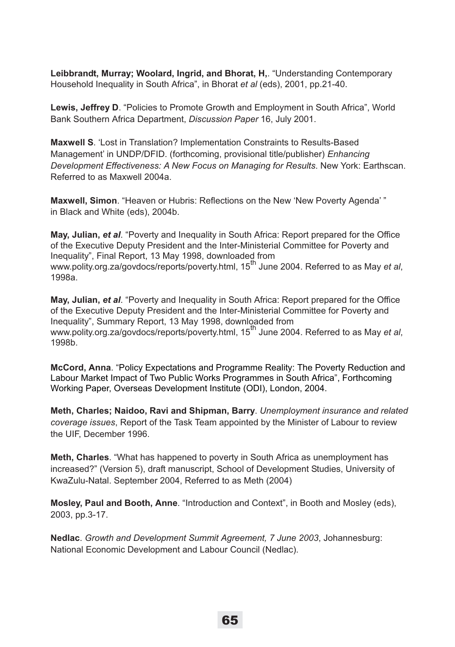**Leibbrandt, Murray; Woolard, Ingrid, and Bhorat, H,**. "Understanding Contemporary Household Inequality in South Africa", in Bhorat *et al* (eds), 2001, pp.21-40.

**Lewis, Jeffrey D**. "Policies to Promote Growth and Employment in South Africa", World Bank Southern Africa Department, *Discussion Paper* 16, July 2001.

**Maxwell S**. 'Lost in Translation? Implementation Constraints to Results-Based Management' in UNDP/DFID. (forthcoming, provisional title/publisher) *Enhancing Development Effectiveness: A New Focus on Managing for Results*. New York: Earthscan. Referred to as Maxwell 2004a.

**Maxwell, Simon**. "Heaven or Hubris: Reflections on the New 'New Poverty Agenda' " in Black and White (eds), 2004b.

**May, Julian,** *et al*. "Poverty and Inequality in South Africa: Report prepared for the Office of the Executive Deputy President and the Inter-Ministerial Committee for Poverty and Inequality", Final Report, 13 May 1998, downloaded from www.polity.org.za/govdocs/reports/poverty.html, 15<sup>th</sup> June 2004. Referred to as May *et al*, 1998a.

**May, Julian,** *et al*. "Poverty and Inequality in South Africa: Report prepared for the Office of the Executive Deputy President and the Inter-Ministerial Committee for Poverty and Inequality", Summary Report, 13 May 1998, downloaded from www.polity.org.za/govdocs/reports/poverty.html, 15th June 2004. Referred to as May *et al*, 1998b.

**McCord, Anna**. "Policy Expectations and Programme Reality: The Poverty Reduction and Labour Market Impact of Two Public Works Programmes in South Africa", Forthcoming Working Paper, Overseas Development Institute (ODI), London, 2004.

**Meth, Charles; Naidoo, Ravi and Shipman, Barry**. *Unemployment insurance and related coverage issues*, Report of the Task Team appointed by the Minister of Labour to review the UIF, December 1996.

**Meth, Charles**. "What has happened to poverty in South Africa as unemployment has increased?" (Version 5), draft manuscript, School of Development Studies, University of KwaZulu-Natal. September 2004, Referred to as Meth (2004)

**Mosley, Paul and Booth, Anne**. "Introduction and Context", in Booth and Mosley (eds), 2003, pp.3-17.

**Nedlac**. *Growth and Development Summit Agreement, 7 June 2003*, Johannesburg: National Economic Development and Labour Council (Nedlac).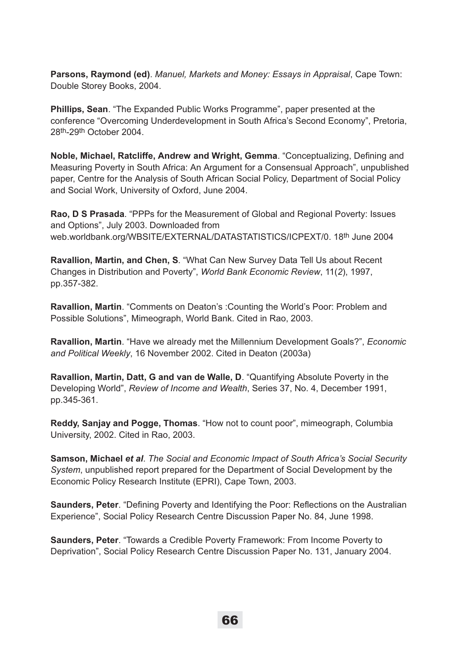**Parsons, Raymond (ed)**. *Manuel, Markets and Money: Essays in Appraisal*, Cape Town: Double Storey Books, 2004.

**Phillips, Sean**. "The Expanded Public Works Programme", paper presented at the conference "Overcoming Underdevelopment in South Africa's Second Economy", Pretoria, 28th-29th October 2004.

**Noble, Michael, Ratcliffe, Andrew and Wright, Gemma**. "Conceptualizing, Defining and Measuring Poverty in South Africa: An Argument for a Consensual Approach", unpublished paper, Centre for the Analysis of South African Social Policy, Department of Social Policy and Social Work, University of Oxford, June 2004.

**Rao, D S Prasada**. "PPPs for the Measurement of Global and Regional Poverty: Issues and Options", July 2003. Downloaded from web.worldbank.org/WBSITE/EXTERNAL/DATASTATISTICS/ICPEXT/0. 18<sup>th</sup> June 2004

**Ravallion, Martin, and Chen, S**. "What Can New Survey Data Tell Us about Recent Changes in Distribution and Poverty", *World Bank Economic Review*, 11(*2*), 1997, pp.357-382.

**Ravallion, Martin**. "Comments on Deaton's :Counting the World's Poor: Problem and Possible Solutions", Mimeograph, World Bank. Cited in Rao, 2003.

**Ravallion, Martin**. "Have we already met the Millennium Development Goals?", *Economic and Political Weekly*, 16 November 2002. Cited in Deaton (2003a)

**Ravallion, Martin, Datt, G and van de Walle, D**. "Quantifying Absolute Poverty in the Developing World", *Review of Income and Wealth*, Series 37, No. 4, December 1991, pp.345-361.

**Reddy, Sanjay and Pogge, Thomas**. "How not to count poor", mimeograph, Columbia University, 2002. Cited in Rao, 2003.

**Samson, Michael** *et al*. *The Social and Economic Impact of South Africa's Social Security System*, unpublished report prepared for the Department of Social Development by the Economic Policy Research Institute (EPRI), Cape Town, 2003.

**Saunders, Peter**. "Defining Poverty and Identifying the Poor: Reflections on the Australian Experience", Social Policy Research Centre Discussion Paper No. 84, June 1998.

**Saunders, Peter**. "Towards a Credible Poverty Framework: From Income Poverty to Deprivation", Social Policy Research Centre Discussion Paper No. 131, January 2004.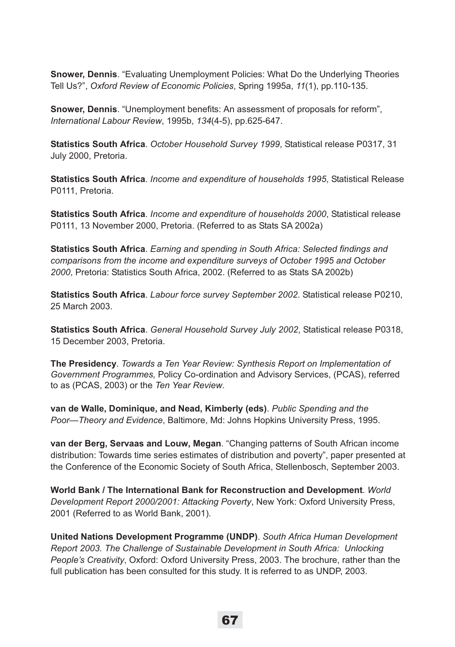**Snower, Dennis**. "Evaluating Unemployment Policies: What Do the Underlying Theories Tell Us?", *Oxford Review of Economic Policies*, Spring 1995a, *11*(1), pp.110-135.

**Snower, Dennis**. "Unemployment benefits: An assessment of proposals for reform", *International Labour Review*, 1995b, *134*(4-5), pp.625-647.

**Statistics South Africa**. *October Household Survey 1999*, Statistical release P0317, 31 July 2000, Pretoria.

**Statistics South Africa**. *Income and expenditure of households 1995*, Statistical Release P0111, Pretoria.

**Statistics South Africa**. *Income and expenditure of households 2000*, Statistical release P0111, 13 November 2000, Pretoria. (Referred to as Stats SA 2002a)

**Statistics South Africa**. *Earning and spending in South Africa: Selected findings and comparisons from the income and expenditure surveys of October 1995 and October 2000*, Pretoria: Statistics South Africa, 2002. (Referred to as Stats SA 2002b)

**Statistics South Africa**. *Labour force survey September 2002*. Statistical release P0210, 25 March 2003.

**Statistics South Africa**. *General Household Survey July 2002*, Statistical release P0318, 15 December 2003, Pretoria.

**The Presidency**. *Towards a Ten Year Review: Synthesis Report on Implementation of Government Programmes,* Policy Co-ordination and Advisory Services, (PCAS), referred to as (PCAS, 2003) or the *Ten Year Review*.

**van de Walle, Dominique, and Nead, Kimberly (eds)**. *Public Spending and the Poor—Theory and Evidence*, Baltimore, Md: Johns Hopkins University Press, 1995.

**van der Berg, Servaas and Louw, Megan**. "Changing patterns of South African income distribution: Towards time series estimates of distribution and poverty", paper presented at the Conference of the Economic Society of South Africa, Stellenbosch, September 2003.

**World Bank / The International Bank for Reconstruction and Development**. *World Development Report 2000/2001: Attacking Poverty*, New York: Oxford University Press, 2001 (Referred to as World Bank, 2001).

**United Nations Development Programme (UNDP)**. *South Africa Human Development Report 2003. The Challenge of Sustainable Development in South Africa: Unlocking People's Creativity*, Oxford: Oxford University Press, 2003. The brochure, rather than the full publication has been consulted for this study. It is referred to as UNDP, 2003.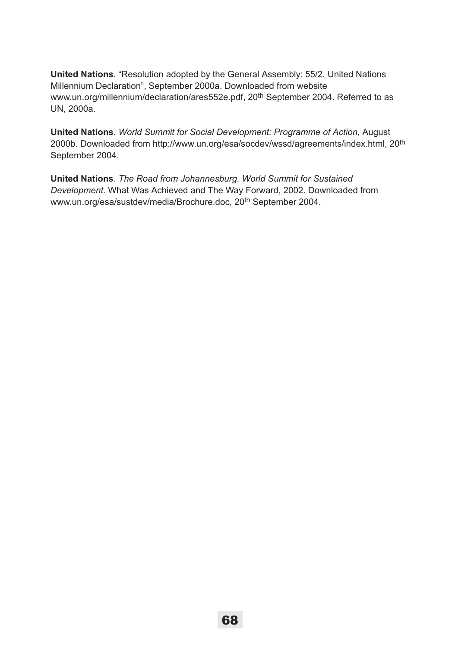**United Nations**. "Resolution adopted by the General Assembly: 55/2. United Nations Millennium Declaration", September 2000a. Downloaded from website www.un.org/millennium/declaration/ares552e.pdf, 20<sup>th</sup> September 2004. Referred to as UN, 2000a.

**United Nations**. *World Summit for Social Development: Programme of Action*, August 2000b. Downloaded from http://www.un.org/esa/socdev/wssd/agreements/index.html, 20th September 2004.

**United Nations**. *The Road from Johannesburg. World Summit for Sustained Development.* What Was Achieved and The Way Forward, 2002. Downloaded from www.un.org/esa/sustdev/media/Brochure.doc, 20th September 2004.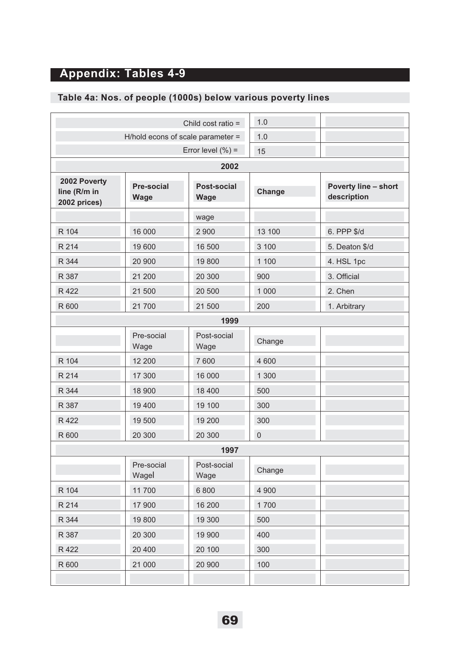# **Appendix: Tables 4-9**

# **Table 4a: Nos. of people (1000s) below various poverty lines**

|                                              |                                  | Child cost ratio =                | 1.0            |                                     |
|----------------------------------------------|----------------------------------|-----------------------------------|----------------|-------------------------------------|
|                                              |                                  | H/hold econs of scale parameter = | 1.0            |                                     |
|                                              |                                  | Error level $(\%)=$               | 15             |                                     |
|                                              |                                  | 2002                              |                |                                     |
| 2002 Poverty<br>line (R/m in<br>2002 prices) | <b>Pre-social</b><br><b>Wage</b> | Post-social<br><b>Wage</b>        | Change         | Poverty line - short<br>description |
|                                              |                                  | wage                              |                |                                     |
| R 104                                        | 16 000                           | 2 9 0 0                           | 13 100         | 6. PPP \$/d                         |
| R 214                                        | 19 600                           | 16 500                            | 3 100          | 5. Deaton \$/d                      |
| R 344                                        | 20 900                           | 19800                             | 1 100          | 4. HSL 1pc                          |
| R 387                                        | 21 200                           | 20 300                            | 900            | 3. Official                         |
| R 422                                        | 21 500                           | 20 500                            | 1 0 0 0        | 2. Chen                             |
| R 600                                        | 21700                            | 21 500                            | 200            | 1. Arbitrary                        |
|                                              |                                  | 1999                              |                |                                     |
|                                              | Pre-social<br>Wage               | Post-social<br>Wage               | Change         |                                     |
| R 104                                        | 12 200                           | 7600                              | 4 600          |                                     |
| R 214                                        | 17 300                           | 16 000                            | 1 300          |                                     |
| R 344                                        | 18 900                           | 18 400                            | 500            |                                     |
| R 387                                        | 19 400                           | 19 100                            | 300            |                                     |
| R 422                                        | 19 500                           | 19 200                            | 300            |                                     |
| R 600                                        | 20 300                           | 20 300                            | $\overline{0}$ |                                     |
|                                              |                                  | 1997                              |                |                                     |
|                                              | Pre-social<br>Wagel              | Post-social<br>Wage               | Change         |                                     |
| R 104                                        | 11700                            | 6 800                             | 4 900          |                                     |
| R 214                                        | 17 900                           | 16 200                            | 1700           |                                     |
| R 344                                        | 19800                            | 19 300                            | 500            |                                     |
| R 387                                        | 20 300                           | 19 900                            | 400            |                                     |
| R 422                                        | 20 400                           | 20 100                            | 300            |                                     |
| R 600                                        | 21 000                           | 20 900                            | 100            |                                     |
|                                              |                                  |                                   |                |                                     |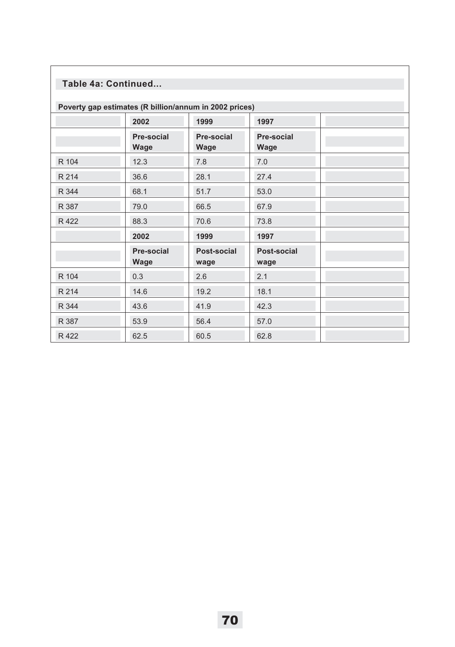# **Table 4a: Continued...**

| Poverty gap estimates (R billion/annum in 2002 prices) |                    |                     |                     |  |  |
|--------------------------------------------------------|--------------------|---------------------|---------------------|--|--|
|                                                        | 2002               | 1999                | 1997                |  |  |
|                                                        | Pre-social<br>Wage | Pre-social<br>Wage  | Pre-social<br>Wage  |  |  |
| R 104                                                  | 12.3               | 7.8                 | 7.0                 |  |  |
| R 214                                                  | 36.6               | 28.1                | 27.4                |  |  |
| R 344                                                  | 68.1               | 51.7                | 53.0                |  |  |
| R 387                                                  | 79.0               | 66.5                | 67.9                |  |  |
| R 422                                                  | 88.3               | 70.6                | 73.8                |  |  |
|                                                        | 2002               | 1999                | 1997                |  |  |
|                                                        | Pre-social<br>Wage | Post-social<br>wage | Post-social<br>wage |  |  |
| R 104                                                  | 0.3                | 2.6                 | 2.1                 |  |  |
| R 214                                                  | 14.6               | 19.2                | 18.1                |  |  |
| R 344                                                  | 43.6               | 41.9                | 42.3                |  |  |
| R 387                                                  | 53.9               | 56.4                | 57.0                |  |  |
| R 422                                                  | 62.5               | 60.5                | 62.8                |  |  |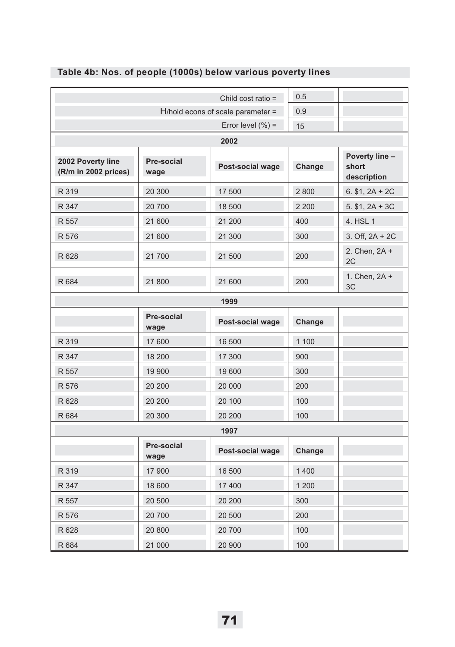|                                           |                           | Child cost ratio =                   | 0.5     |                                        |  |
|-------------------------------------------|---------------------------|--------------------------------------|---------|----------------------------------------|--|
|                                           |                           | $H/h$ old econs of scale parameter = | 0.9     |                                        |  |
|                                           | Error level $(\%) =$      |                                      |         |                                        |  |
|                                           |                           | 2002                                 |         |                                        |  |
| 2002 Poverty line<br>(R/m in 2002 prices) | Pre-social<br>wage        | Post-social wage                     | Change  | Poverty line -<br>short<br>description |  |
| R 319                                     | 20 300                    | 17 500                               | 2800    | $6. $1, 2A + 2C$                       |  |
| R 347                                     | 20700                     | 18 500                               | 2 2 0 0 | $5.$ \$1, $2A + 3C$                    |  |
| R 557                                     | 21 600                    | 21 200                               | 400     | 4. HSL 1                               |  |
| R 576                                     | 21 600                    | 21 300                               | 300     | 3. Off, $2A + 2C$                      |  |
| R 628                                     | 21700                     | 21 500                               | 200     | 2. Chen, 2A +<br>2C                    |  |
| R 684                                     | 21 800                    | 21 600                               | 200     | 1. Chen, 2A +<br>3C                    |  |
|                                           |                           | 1999                                 |         |                                        |  |
|                                           | <b>Pre-social</b><br>wage | Post-social wage                     | Change  |                                        |  |
| R 319                                     | 17 600                    | 16 500                               | 1 100   |                                        |  |
| R 347                                     | 18 200                    | 17 300                               | 900     |                                        |  |
| R 557                                     | 19 900                    | 19600                                | 300     |                                        |  |
| R 576                                     | 20 200                    | 20 000                               | 200     |                                        |  |
| R 628                                     | 20 200                    | 20 100                               | 100     |                                        |  |
| R 684                                     | 20 300                    | 20 200                               | 100     |                                        |  |
|                                           |                           | 1997                                 |         |                                        |  |
|                                           | Pre-social<br>wage        | Post-social wage                     | Change  |                                        |  |
| R 319                                     | 17 900                    | 16 500                               | 1 400   |                                        |  |
| R 347                                     | 18 600                    | 17400                                | 1 200   |                                        |  |
| R 557                                     | 20 500                    | 20 200                               | 300     |                                        |  |
| R 576                                     | 20 700                    | 20 500                               | 200     |                                        |  |
| R 628                                     | 20 800                    | 20 700                               | 100     |                                        |  |
| R 684                                     | 21 000                    | 20 900                               | 100     |                                        |  |

# **Table 4b: Nos. of people (1000s) below various poverty lines**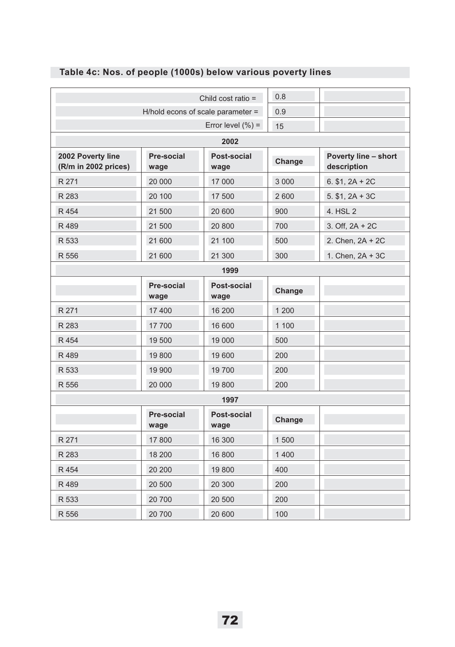|                                           |                                   | Child cost ratio $=$ | 0.8     |                                            |
|-------------------------------------------|-----------------------------------|----------------------|---------|--------------------------------------------|
|                                           |                                   |                      |         |                                            |
|                                           | H/hold econs of scale parameter = |                      | 0.9     |                                            |
|                                           |                                   | Error level $(\%)=$  | 15      |                                            |
|                                           |                                   | 2002                 |         |                                            |
| 2002 Poverty line<br>(R/m in 2002 prices) | Pre-social<br>wage                | Post-social<br>wage  | Change  | <b>Poverty line - short</b><br>description |
| R 271                                     | 20 000                            | 17 000               | 3 0 0 0 | 6. $$1, 2A + 2C$                           |
| R 283                                     | 20 100                            | 17 500               | 2600    | $5. $1, 2A + 3C$                           |
| R 454                                     | 21 500                            | 20 600               | 900     | 4. HSL 2                                   |
| R489                                      | 21 500                            | 20 800               | 700     | 3. Off, $2A + 2C$                          |
| R 533                                     | 21 600                            | 21 100               | 500     | 2. Chen, 2A + 2C                           |
| R 556                                     | 21 600                            | 21 300               | 300     | 1. Chen, 2A + 3C                           |
| 1999                                      |                                   |                      |         |                                            |
|                                           | Pre-social<br>wage                | Post-social<br>wage  | Change  |                                            |
| R 271                                     | 17 400                            | 16 200               | 1 200   |                                            |
| R 283                                     | 17 700                            | 16 600               | 1 100   |                                            |
| R 454                                     | 19 500                            | 19 000               | 500     |                                            |
| R489                                      | 19800                             | 19 600               | 200     |                                            |
| R 533                                     | 19 900                            | 19 700               | 200     |                                            |
| R 556                                     | 20 000                            | 19800                | 200     |                                            |
|                                           |                                   | 1997                 |         |                                            |
|                                           | Pre-social<br>wage                | Post-social<br>wage  | Change  |                                            |
| R 271                                     | 17800                             | 16 300               | 1500    |                                            |
| R 283                                     | 18 200                            | 16 800               | 1400    |                                            |
| R 454                                     | 20 200                            | 19 800               | 400     |                                            |
| R 489                                     | 20 500                            | 20 300               | 200     |                                            |
| R 533                                     | 20 700                            | 20 500               | 200     |                                            |
| R 556                                     | 20 700                            | 20 600               | 100     |                                            |

# **Table 4c: Nos. of people (1000s) below various poverty lines**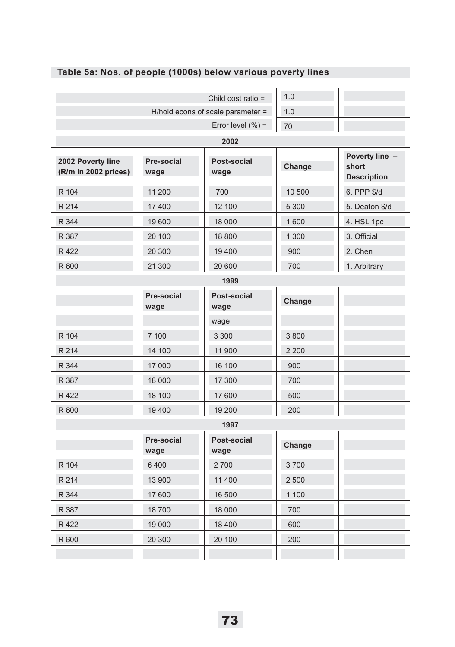| Child cost ratio =                        |                    |                     | 1.0     |                                               |
|-------------------------------------------|--------------------|---------------------|---------|-----------------------------------------------|
| H/hold econs of scale parameter =         |                    |                     | 1.0     |                                               |
|                                           |                    | Error level $(\%)=$ | 70      |                                               |
|                                           |                    | 2002                |         |                                               |
| 2002 Poverty line<br>(R/m in 2002 prices) | Pre-social<br>wage | Post-social<br>wage | Change  | Poverty line -<br>short<br><b>Description</b> |
| R 104                                     | 11 200             | 700                 | 10 500  | 6. PPP \$/d                                   |
| R 214                                     | 17 400             | 12 100              | 5 3 0 0 | 5. Deaton \$/d                                |
| R 344                                     | 19 600             | 18 000              | 1600    | 4. HSL 1pc                                    |
| R 387                                     | 20 100             | 18 800              | 1 300   | 3. Official                                   |
| R 422                                     | 20 300             | 19 400              | 900     | 2. Chen                                       |
| R 600                                     | 21 300             | 20 600              | 700     | 1. Arbitrary                                  |
|                                           |                    | 1999                |         |                                               |
|                                           | Pre-social<br>wage | Post-social<br>wage | Change  |                                               |
|                                           |                    | wage                |         |                                               |
| R 104                                     | 7 100              | 3 3 0 0             | 3800    |                                               |
| R 214                                     | 14 100             | 11 900              | 2 2 0 0 |                                               |
| R 344                                     | 17 000             | 16 100              | 900     |                                               |
| R 387                                     | 18 000             | 17 300              | 700     |                                               |
| R 422                                     | 18 100             | 17 600              | 500     |                                               |
| R 600                                     | 19 400             | 19 200              | 200     |                                               |
|                                           |                    | 1997                |         |                                               |
|                                           | Pre-social<br>wage | Post-social<br>wage | Change  |                                               |
| R 104                                     | 6 4 0 0            | 2700                | 3700    |                                               |
| R 214                                     | 13 900             | 11 400              | 2 500   |                                               |
| R 344                                     | 17 600             | 16 500              | 1 100   |                                               |
| R 387                                     | 18700              | 18 000              | 700     |                                               |
| R 422                                     | 19 000             | 18 400              | 600     |                                               |
| R 600                                     | 20 300             | 20 100              | 200     |                                               |
|                                           |                    |                     |         |                                               |

# **Table 5a: Nos. of people (1000s) below various poverty lines**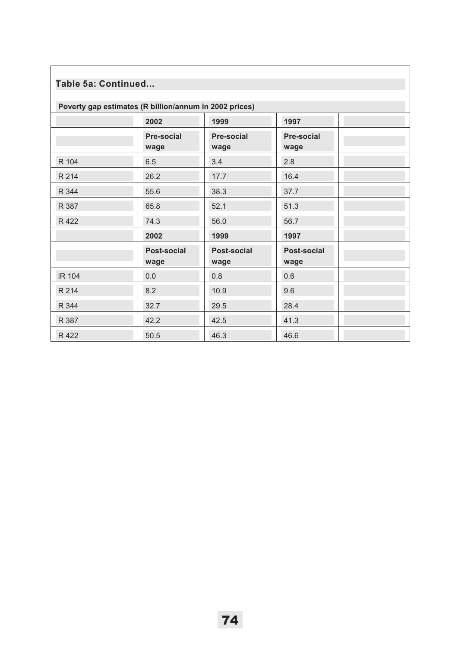# **Table 5a: Continued...**

| Poverty gap estimates (R billion/annum in 2002 prices) |                     |                     |                     |  |  |
|--------------------------------------------------------|---------------------|---------------------|---------------------|--|--|
|                                                        | 2002                | 1999                | 1997                |  |  |
|                                                        | Pre-social<br>wage  | Pre-social<br>wage  | Pre-social<br>wage  |  |  |
| R 104                                                  | 6.5                 | 3.4                 | 2.8                 |  |  |
| R 214                                                  | 26.2                | 17.7                | 16.4                |  |  |
| R 344                                                  | 55.6                | 38.3                | 37.7                |  |  |
| R 387                                                  | 65.8                | 52.1                | 51.3                |  |  |
| R 422                                                  | 74.3                | 56.0                | 56.7                |  |  |
|                                                        | 2002                | 1999                | 1997                |  |  |
|                                                        | Post-social<br>wage | Post-social<br>wage | Post-social<br>wage |  |  |
| <b>IR 104</b>                                          | 0.0                 | 0.8                 | 0.6                 |  |  |
| R 214                                                  | 8.2                 | 10.9                | 9.6                 |  |  |
| R 344                                                  | 32.7                | 29.5                | 28.4                |  |  |
| R 387                                                  | 42.2                | 42.5                | 41.3                |  |  |
| R 422                                                  | 50.5                | 46.3                | 46.6                |  |  |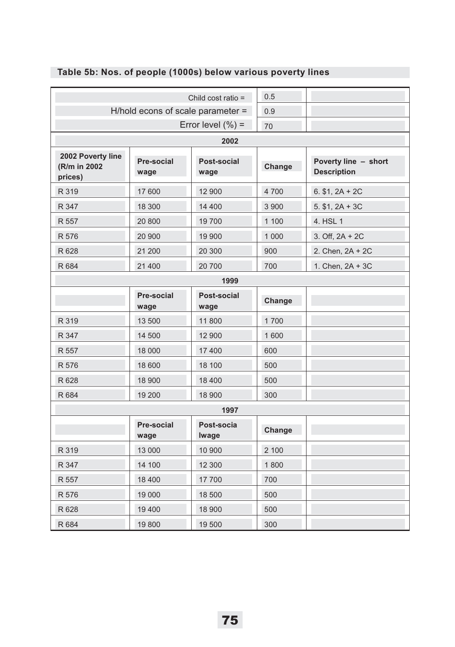|                                              | Child cost ratio =        |                     |         |                                            |
|----------------------------------------------|---------------------------|---------------------|---------|--------------------------------------------|
| H/hold econs of scale parameter =            |                           |                     | 0.9     |                                            |
|                                              | Error level $(\% )$ =     |                     |         |                                            |
|                                              |                           | 2002                |         |                                            |
| 2002 Poverty line<br>(R/m in 2002<br>prices) | <b>Pre-social</b><br>wage | Post-social<br>wage | Change  | Poverty line - short<br><b>Description</b> |
| R 319                                        | 17 600                    | 12 900              | 4700    | $6. $1, 2A + 2C$                           |
| R 347                                        | 18 300                    | 14 400              | 3 900   | $5. $1, 2A + 3C$                           |
| R 557                                        | 20 800                    | 19700               | 1 100   | 4. HSL 1                                   |
| R 576                                        | 20 900                    | 19 900              | 1 0 0 0 | 3. Off, $2A + 2C$                          |
| R 628                                        | 21 200                    | 20 300              | 900     | 2. Chen, 2A + 2C                           |
| R 684                                        | 21 400                    | 20700               | 700     | 1. Chen, 2A + 3C                           |
|                                              |                           | 1999                |         |                                            |
|                                              | <b>Pre-social</b><br>wage | Post-social<br>wage | Change  |                                            |
| R 319                                        | 13 500                    | 11800               | 1700    |                                            |
| R 347                                        | 14 500                    | 12 900              | 1 600   |                                            |
| R 557                                        | 18 000                    | 17 400              | 600     |                                            |
| R 576                                        | 18 600                    | 18 100              | 500     |                                            |
| R 628                                        | 18 900                    | 18 400              | 500     |                                            |
| R 684                                        | 19 200                    | 18 900              | 300     |                                            |
|                                              |                           | 1997                |         |                                            |
|                                              | <b>Pre-social</b><br>wage | Post-socia<br>Iwage | Change  |                                            |
| R 319                                        | 13 000                    | 10 900              | 2 100   |                                            |
| R 347                                        | 14 100                    | 12 300              | 1800    |                                            |
| R 557                                        | 18 400                    | 17700               | 700     |                                            |
| R 576                                        | 19 000                    | 18 500              | 500     |                                            |
| R 628                                        | 19 400                    | 18 900              | 500     |                                            |
| R 684                                        | 19800                     | 19 500              | 300     |                                            |

# **Table 5b: Nos. of people (1000s) below various poverty lines**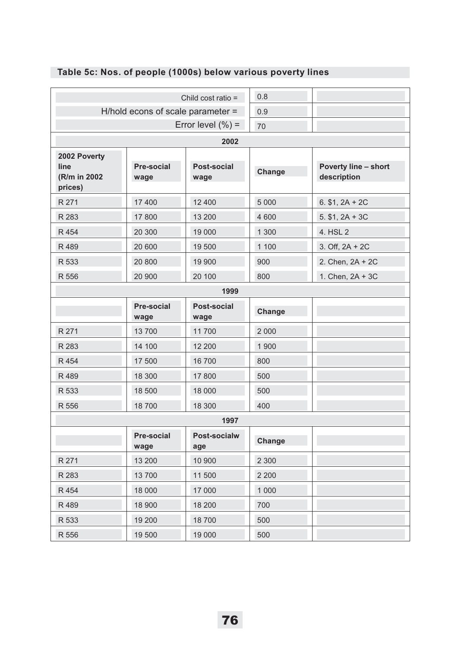|                                                  | Child cost ratio =                |                       |         |                                     |
|--------------------------------------------------|-----------------------------------|-----------------------|---------|-------------------------------------|
|                                                  | H/hold econs of scale parameter = |                       | 0.9     |                                     |
|                                                  |                                   | Error level $(\% )$ = | 70      |                                     |
| 2002                                             |                                   |                       |         |                                     |
| 2002 Poverty<br>line<br>(R/m in 2002)<br>prices) | Pre-social<br>wage                | Post-social<br>wage   | Change  | Poverty line - short<br>description |
| R 271                                            | 17 400                            | 12 400                | 5 0 0 0 | $6. $1, 2A + 2C$                    |
| R 283                                            | 17 800                            | 13 200                | 4 600   | $5.$ \$1, $2A + 3C$                 |
| R 454                                            | 20 300                            | 19 000                | 1 300   | 4. HSL 2                            |
| R 489                                            | 20 600                            | 19 500                | 1 100   | 3. Off, $2A + 2C$                   |
| R 533                                            | 20 800                            | 19 900                | 900     | 2. Chen, 2A + 2C                    |
| R 556                                            | 20 900                            | 20 100                | 800     | 1. Chen, 2A + 3C                    |
|                                                  |                                   | 1999                  |         |                                     |
|                                                  | <b>Pre-social</b><br>wage         | Post-social<br>wage   | Change  |                                     |
| R 271                                            | 13700                             | 11700                 | 2 0 0 0 |                                     |
| R 283                                            | 14 100                            | 12 200                | 1 900   |                                     |
| R 454                                            | 17 500                            | 16 700                | 800     |                                     |
| R 489                                            | 18 300                            | 17 800                | 500     |                                     |
| R 533                                            | 18 500                            | 18 000                | 500     |                                     |
| R 556                                            | 18700                             | 18 300                | 400     |                                     |
|                                                  |                                   | 1997                  |         |                                     |
|                                                  | <b>Pre-social</b><br>wage         | Post-socialw<br>age   | Change  |                                     |
| R 271                                            | 13 200                            | 10 900                | 2 300   |                                     |
| R 283                                            | 13 700                            | 11 500                | 2 2 0 0 |                                     |
| R 454                                            | 18 000                            | 17 000                | 1 000   |                                     |
| R 489                                            | 18 900                            | 18 200                | 700     |                                     |
| R 533                                            | 19 200                            | 18700                 | 500     |                                     |
| R 556                                            | 19 500                            | 19 000                | 500     |                                     |

# **Table 5c: Nos. of people (1000s) below various poverty lines**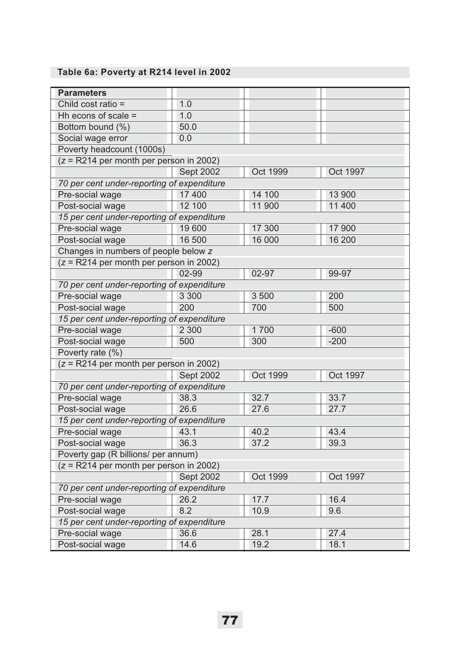#### **Table 6a: Poverty at R214 level in 2002**

| <b>Parameters</b>                                    |                                           |                 |                 |  |  |  |
|------------------------------------------------------|-------------------------------------------|-----------------|-----------------|--|--|--|
| Child cost ratio =                                   | 1.0                                       |                 |                 |  |  |  |
| Hh econs of scale =                                  | 1.0                                       |                 |                 |  |  |  |
| Bottom bound (%)                                     | 50.0                                      |                 |                 |  |  |  |
| Social wage error                                    | 0.0                                       |                 |                 |  |  |  |
| Poverty headcount (1000s)                            |                                           |                 |                 |  |  |  |
| $(z = R214$ per month per person in 2002)            |                                           |                 |                 |  |  |  |
|                                                      | <b>Sept 2002</b>                          | Oct 1999        | Oct 1997        |  |  |  |
| 70 per cent under-reporting of expenditure           |                                           |                 |                 |  |  |  |
| Pre-social wage                                      | 17 400                                    | 14 100          | 13 900          |  |  |  |
| Post-social wage                                     | 12 100                                    | 11 900          | 11 400          |  |  |  |
| 15 per cent under-reporting of expenditure           |                                           |                 |                 |  |  |  |
| Pre-social wage                                      | 19 600                                    | 17 300          | 17 900          |  |  |  |
| Post-social wage                                     | 16 500                                    | 16 000          | 16 200          |  |  |  |
| Changes in numbers of people below z                 |                                           |                 |                 |  |  |  |
| $(z = R214$ per month per person in 2002)            |                                           |                 |                 |  |  |  |
|                                                      | 02-99                                     | 02-97           | 99-97           |  |  |  |
| 70 per cent under-reporting of expenditure           |                                           |                 |                 |  |  |  |
| Pre-social wage                                      | 3 3 0 0                                   | 3 500           | 200             |  |  |  |
| Post-social wage                                     | 200                                       | 700             | 500             |  |  |  |
| 15 per cent under-reporting of expenditure           |                                           |                 |                 |  |  |  |
| Pre-social wage                                      | 2 3 0 0                                   | 1700            | $-600$          |  |  |  |
| Post-social wage                                     | 500                                       | 300             | $-200$          |  |  |  |
| Poverty rate (%)                                     |                                           |                 |                 |  |  |  |
| $(z = \overline{R214}$ per month per person in 2002) |                                           |                 |                 |  |  |  |
|                                                      | <b>Sept 2002</b>                          | <b>Oct 1999</b> | <b>Oct 1997</b> |  |  |  |
| 70 per cent under-reporting of expenditure           |                                           |                 |                 |  |  |  |
| Pre-social wage                                      | 38.3                                      | 32.7            | 33.7            |  |  |  |
| Post-social wage                                     | 26.6                                      | 27.6            | 27.7            |  |  |  |
| 15 per cent under-reporting of expenditure           |                                           |                 |                 |  |  |  |
| Pre-social wage                                      | 43.1                                      | 40.2            | 43.4            |  |  |  |
| Post-social wage                                     | 36.3                                      | 37.2            | 39.3            |  |  |  |
| Poverty gap (R billions/ per annum)                  |                                           |                 |                 |  |  |  |
|                                                      | $(z = R214$ per month per person in 2002) |                 |                 |  |  |  |
|                                                      | Sept 2002                                 | Oct 1999        | Oct 1997        |  |  |  |
| 70 per cent under-reporting of expenditure           |                                           |                 |                 |  |  |  |
| Pre-social wage                                      | 26.2                                      | 17.7            | 16.4            |  |  |  |
| Post-social wage                                     | 8.2                                       | 10.9            | 9.6             |  |  |  |
| 15 per cent under-reporting of expenditure           |                                           |                 |                 |  |  |  |
| Pre-social wage                                      | 36.6                                      | 28.1            | 27.4            |  |  |  |
| Post-social wage                                     | 14.6                                      | 19.2            | 18.1            |  |  |  |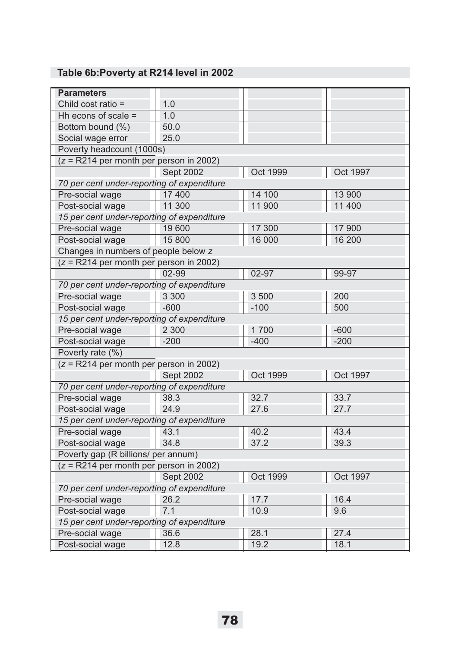# **Table 6b:Poverty at R214 level in 2002**

| <b>Parameters</b>                          |                                     |                 |                 |  |  |
|--------------------------------------------|-------------------------------------|-----------------|-----------------|--|--|
| Child cost ratio =                         | 1.0                                 |                 |                 |  |  |
| Hh econs of scale =                        | 1.0                                 |                 |                 |  |  |
| Bottom bound (%)                           | 50.0                                |                 |                 |  |  |
| Social wage error                          | 25.0                                |                 |                 |  |  |
| Poverty headcount (1000s)                  |                                     |                 |                 |  |  |
| $(z = R214$ per month per person in 2002)  |                                     |                 |                 |  |  |
|                                            | <b>Sept 2002</b>                    | <b>Oct 1999</b> | Oct 1997        |  |  |
| 70 per cent under-reporting of expenditure |                                     |                 |                 |  |  |
| Pre-social wage                            | 17 400                              | 14 100          | 13 900          |  |  |
| Post-social wage                           | 11 300                              | 11 900          | 11 400          |  |  |
| 15 per cent under-reporting of expenditure |                                     |                 |                 |  |  |
| Pre-social wage                            | 19 600                              | 17 300          | 17 900          |  |  |
| Post-social wage                           | 15 800                              | 16 000          | 16 200          |  |  |
| Changes in numbers of people below z       |                                     |                 |                 |  |  |
| $(z = R214$ per month per person in 2002)  |                                     |                 |                 |  |  |
|                                            | $02 - 99$                           | $02 - 97$       | 99-97           |  |  |
| 70 per cent under-reporting of expenditure |                                     |                 |                 |  |  |
| Pre-social wage                            | 3 3 0 0                             | 3 500           | 200             |  |  |
| Post-social wage                           | $-600$                              | $-100$          | 500             |  |  |
| 15 per cent under-reporting of expenditure |                                     |                 |                 |  |  |
| Pre-social wage                            | 2 3 0 0                             | 1700            | $-600$          |  |  |
| Post-social wage                           | $-200$                              | $-400$          | $-200$          |  |  |
| Poverty rate (%)                           |                                     |                 |                 |  |  |
| $(z = R214$ per month per person in 2002)  |                                     |                 |                 |  |  |
|                                            | <b>Sept 2002</b>                    | <b>Oct 1999</b> | <b>Oct 1997</b> |  |  |
| 70 per cent under-reporting of expenditure |                                     |                 |                 |  |  |
| Pre-social wage                            | 38.3                                | 32.7            | 33.7            |  |  |
| Post-social wage                           | 24.9                                | 27.6            | 27.7            |  |  |
| 15 per cent under-reporting of expenditure |                                     |                 |                 |  |  |
| Pre-social wage                            | 43.1                                | 40.2            | 43.4            |  |  |
| Post-social wage                           | 34.8                                | 37.2            | 39.3            |  |  |
|                                            | Poverty gap (R billions/ per annum) |                 |                 |  |  |
| $(z = R214$ per month per person in 2002)  |                                     |                 |                 |  |  |
|                                            | <b>Sept 2002</b>                    | <b>Oct 1999</b> | Oct 1997        |  |  |
| 70 per cent under-reporting of expenditure |                                     |                 |                 |  |  |
| Pre-social wage                            | 26.2                                | 17.7            | 16.4            |  |  |
| Post-social wage                           | 7.1                                 | 10.9            | 9.6             |  |  |
| 15 per cent under-reporting of expenditure |                                     |                 |                 |  |  |
| Pre-social wage                            | 36.6                                | 28.1            | 27.4            |  |  |
| Post-social wage                           | 12.8                                | 19.2            | 18.1            |  |  |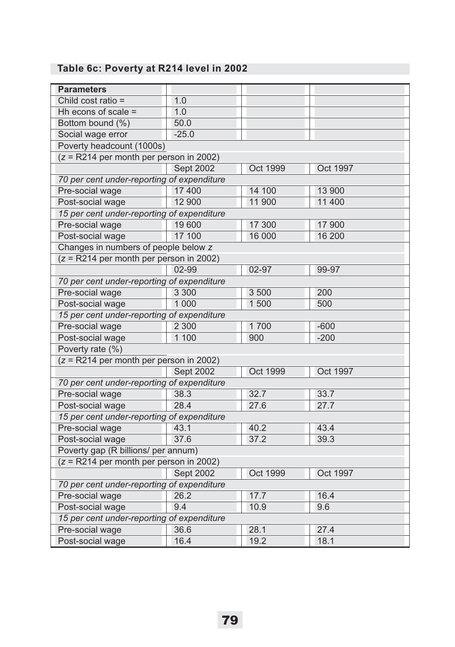# **Table 6c: Poverty at R214 level in 2002**

| <b>Parameters</b>                          |                  |                 |          |  |
|--------------------------------------------|------------------|-----------------|----------|--|
| Child cost ratio =                         | 1.0              |                 |          |  |
| Hh econs of scale =                        | 1.0              |                 |          |  |
| Bottom bound (%)                           | 50.0             |                 |          |  |
| Social wage error                          | $-25.0$          |                 |          |  |
| Poverty headcount (1000s)                  |                  |                 |          |  |
| $(z = R214$ per month per person in 2002)  |                  |                 |          |  |
|                                            | <b>Sept 2002</b> | <b>Oct 1999</b> | Oct 1997 |  |
| 70 per cent under-reporting of expenditure |                  |                 |          |  |
| Pre-social wage                            | 17 400           | 14 100          | 13 900   |  |
| Post-social wage                           | 12 900           | 11 900          | 11 400   |  |
| 15 per cent under-reporting of expenditure |                  |                 |          |  |
| Pre-social wage                            | 19 600           | 17 300          | 17 900   |  |
| Post-social wage                           | 17 100           | 16 000          | 16 200   |  |
| Changes in numbers of people below z       |                  |                 |          |  |
| $(z = R214$ per month per person in 2002)  |                  |                 |          |  |
|                                            | 02-99            | 02-97           | 99-97    |  |
| 70 per cent under-reporting of expenditure |                  |                 |          |  |
| Pre-social wage                            | 3 3 0 0          | 3 500           | 200      |  |
| Post-social wage                           | 1 0 0 0          | 1 500           | 500      |  |
| 15 per cent under-reporting of expenditure |                  |                 |          |  |
| Pre-social wage                            | 2 3 0 0          | 1700            | $-600$   |  |
| Post-social wage                           | 1 100            | 900             | $-200$   |  |
| Poverty rate (%)                           |                  |                 |          |  |
| $(z = R214$ per month per person in 2002)  |                  |                 |          |  |
|                                            | <b>Sept 2002</b> | Oct 1999        | Oct 1997 |  |
| 70 per cent under-reporting of expenditure |                  |                 |          |  |
| Pre-social wage                            | 38.3             | 32.7            | 33.7     |  |
| Post-social wage                           | 28.4             | 27.6            | 27.7     |  |
| 15 per cent under-reporting of expenditure |                  |                 |          |  |
| Pre-social wage                            | 43.1             | 40.2            | 43.4     |  |
| Post-social wage                           | 37.6             | 37.2            | 39.3     |  |
| Poverty gap (R billions/ per annum)        |                  |                 |          |  |
| $(z = R214$ per month per person in 2002)  |                  |                 |          |  |
|                                            | <b>Sept 2002</b> | Oct 1999        | Oct 1997 |  |
| 70 per cent under-reporting of expenditure |                  |                 |          |  |
| Pre-social wage                            | 26.2             | 17.7            | 16.4     |  |
| Post-social wage                           | 9.4              | 10.9            | 9.6      |  |
| 15 per cent under-reporting of expenditure |                  |                 |          |  |
| Pre-social wage                            | 36.6             | 28.1            | 27.4     |  |
| Post-social wage                           | 16.4             | 19.2            | 18.1     |  |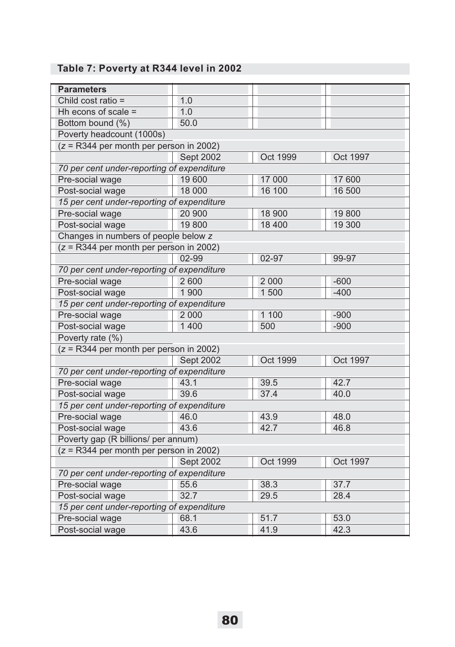# **Table 7: Poverty at R344 level in 2002**

| <b>Parameters</b>                          |                  |                 |          |
|--------------------------------------------|------------------|-----------------|----------|
| Child cost ratio =                         | 1.0              |                 |          |
| Hh econs of scale =                        | 1.0              |                 |          |
| Bottom bound (%)                           | 50.0             |                 |          |
| Poverty headcount (1000s)                  |                  |                 |          |
| $(z = R344$ per month per person in 2002)  |                  |                 |          |
|                                            | <b>Sept 2002</b> | Oct 1999        | Oct 1997 |
| 70 per cent under-reporting of expenditure |                  |                 |          |
| Pre-social wage                            | 19 600           | 17 000          | 17 600   |
| Post-social wage                           | 18 000           | 16 100          | 16 500   |
| 15 per cent under-reporting of expenditure |                  |                 |          |
| Pre-social wage                            | 20 900           | 18 900          | 19800    |
| Post-social wage                           | 19 800           | 18 400          | 19 300   |
| Changes in numbers of people below z       |                  |                 |          |
| $(z = R344$ per month per person in 2002)  |                  |                 |          |
|                                            | 02-99            | 02-97           | 99-97    |
| 70 per cent under-reporting of expenditure |                  |                 |          |
| Pre-social wage                            | 2 600            | 2 0 0 0         | $-600$   |
| Post-social wage                           | 1 900            | 1500            | $-400$   |
| 15 per cent under-reporting of expenditure |                  |                 |          |
| Pre-social wage                            | 2 0 0 0          | 1 100           | $-900$   |
| Post-social wage                           | 1 400            | 500             | $-900$   |
| Poverty rate (%)                           |                  |                 |          |
| $(z = R344$ per month per person in 2002)  |                  |                 |          |
|                                            | <b>Sept 2002</b> | Oct 1999        | Oct 1997 |
| 70 per cent under-reporting of expenditure |                  |                 |          |
| Pre-social wage                            | 43.1             | 39.5            | 42.7     |
| Post-social wage                           | 39.6             | 37.4            | 40.0     |
| 15 per cent under-reporting of expenditure |                  |                 |          |
| Pre-social wage                            | 46.0             | 43.9            | 48.0     |
| Post-social wage                           | 43.6             | 42.7            | 46.8     |
| Poverty gap (R billions/ per annum)        |                  |                 |          |
| $(z = R344$ per month per person in 2002)  |                  |                 |          |
|                                            | <b>Sept 2002</b> | <b>Oct 1999</b> | Oct 1997 |
| 70 per cent under-reporting of expenditure |                  |                 |          |
| Pre-social wage                            | 55.6             | 38.3            | 37.7     |
| Post-social wage                           | 32.7             | 29.5            | 28.4     |
| 15 per cent under-reporting of expenditure |                  |                 |          |
| Pre-social wage                            | 68.1             | 51.7            | 53.0     |
| Post-social wage                           | 43.6             | 41.9            | 42.3     |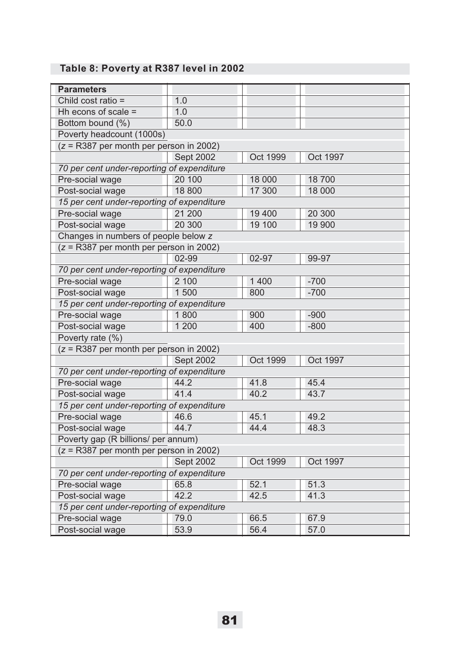# **Table 8: Poverty at R387 level in 2002**

| <b>Parameters</b>                          |           |          |          |  |
|--------------------------------------------|-----------|----------|----------|--|
| Child cost ratio =                         | 1.0       |          |          |  |
| Hh econs of scale =                        | 1.0       |          |          |  |
| Bottom bound (%)                           | 50.0      |          |          |  |
| Poverty headcount (1000s)                  |           |          |          |  |
| $(z = R387$ per month per person in 2002)  |           |          |          |  |
|                                            | Sept 2002 | Oct 1999 | Oct 1997 |  |
| 70 per cent under-reporting of expenditure |           |          |          |  |
| Pre-social wage                            | 20 100    | 18 000   | 18700    |  |
| Post-social wage                           | 18 800    | 17 300   | 18 000   |  |
| 15 per cent under-reporting of expenditure |           |          |          |  |
| Pre-social wage                            | 21 200    | 19 400   | 20 300   |  |
| Post-social wage                           | 20 300    | 19 100   | 19 900   |  |
| Changes in numbers of people below z       |           |          |          |  |
| $(z = R387$ per month per person in 2002)  |           |          |          |  |
|                                            | 02-99     | 02-97    | 99-97    |  |
| 70 per cent under-reporting of expenditure |           |          |          |  |
| Pre-social wage                            | 2 100     | 1 400    | $-700$   |  |
| Post-social wage                           | 1500      | 800      | $-700$   |  |
| 15 per cent under-reporting of expenditure |           |          |          |  |
| Pre-social wage                            | 1800      | 900      | $-900$   |  |
| Post-social wage                           | 1 200     | 400      | $-800$   |  |
| Poverty rate (%)                           |           |          |          |  |
| $(z = R387$ per month per person in 2002)  |           |          |          |  |
|                                            | Sept 2002 | Oct 1999 | Oct 1997 |  |
| 70 per cent under-reporting of expenditure |           |          |          |  |
| Pre-social wage                            | 44.2      | 41.8     | 45.4     |  |
| Post-social wage                           | 41.4      | 40.2     | 43.7     |  |
| 15 per cent under-reporting of expenditure |           |          |          |  |
| Pre-social wage                            | 46.6      | 45.1     | 49.2     |  |
| Post-social wage                           | 44.7      | 44.4     | 48.3     |  |
| Poverty gap (R billions/ per annum)        |           |          |          |  |
| $(z = R387$ per month per person in 2002)  |           |          |          |  |
|                                            | Sept 2002 | Oct 1999 | Oct 1997 |  |
| 70 per cent under-reporting of expenditure |           |          |          |  |
| Pre-social wage                            | 65.8      | 52.1     | 51.3     |  |
| Post-social wage                           | 42.2      | 42.5     | 41.3     |  |
| 15 per cent under-reporting of expenditure |           |          |          |  |
| Pre-social wage                            | 79.0      | 66.5     | 67.9     |  |
| Post-social wage                           | 53.9      | 56.4     | 57.0     |  |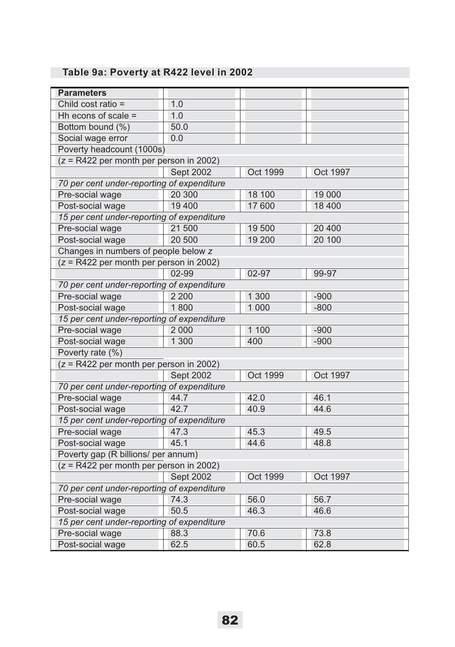# **Table 9a: Poverty at R422 level in 2002**

| <b>Parameters</b>                          |                  |                 |                 |  |
|--------------------------------------------|------------------|-----------------|-----------------|--|
| Child cost ratio =                         | 1.0              |                 |                 |  |
| Hh econs of scale =                        | 1.0              |                 |                 |  |
| Bottom bound (%)                           | 50.0             |                 |                 |  |
| Social wage error                          | 0.0              |                 |                 |  |
| Poverty headcount (1000s)                  |                  |                 |                 |  |
| $(z = R422$ per month per person in 2002)  |                  |                 |                 |  |
|                                            | <b>Sept 2002</b> | Oct 1999        | Oct 1997        |  |
| 70 per cent under-reporting of expenditure |                  |                 |                 |  |
| Pre-social wage                            | 20 300           | 18 100          | 19 000          |  |
| Post-social wage                           | 19 400           | 17 600          | 18 400          |  |
| 15 per cent under-reporting of expenditure |                  |                 |                 |  |
| Pre-social wage                            | 21 500           | 19 500          | 20 400          |  |
| Post-social wage                           | 20 500           | 19 200          | 20 100          |  |
| Changes in numbers of people below z       |                  |                 |                 |  |
| $(z = R422$ per month per person in 2002)  |                  |                 |                 |  |
|                                            | 02-99            | 02-97           | 99-97           |  |
| 70 per cent under-reporting of expenditure |                  |                 |                 |  |
| Pre-social wage                            | 2 2 0 0          | 1 300           | $-900$          |  |
| Post-social wage                           | 1800             | 1 0 0 0         | $-800$          |  |
| 15 per cent under-reporting of expenditure |                  |                 |                 |  |
| Pre-social wage                            | 2 0 0 0          | 1 100           | $-900$          |  |
| Post-social wage                           | 1 300            | 400             | $-900$          |  |
| Poverty rate (%)                           |                  |                 |                 |  |
| $(z = R422$ per month per person in 2002)  |                  |                 |                 |  |
|                                            | <b>Sept 2002</b> | Oct 1999        | <b>Oct 1997</b> |  |
| 70 per cent under-reporting of expenditure |                  |                 |                 |  |
| Pre-social wage                            | 44.7             | 42.0            | 46.1            |  |
| Post-social wage                           | 42.7             | 40.9            | 44.6            |  |
| 15 per cent under-reporting of expenditure |                  |                 |                 |  |
| Pre-social wage                            | 47.3             | 45.3            | 49.5            |  |
| Post-social wage                           | 45.1             | 44.6            | 48.8            |  |
| Poverty gap (R billions/ per annum)        |                  |                 |                 |  |
| $(z = R422$ per month per person in 2002)  |                  |                 |                 |  |
|                                            | Sept 2002        | <b>Oct 1999</b> | Oct 1997        |  |
| 70 per cent under-reporting of expenditure |                  |                 |                 |  |
| Pre-social wage                            | 74.3             | 56.0            | 56.7            |  |
| Post-social wage                           | 50.5             | 46.3            | 46.6            |  |
| 15 per cent under-reporting of expenditure |                  |                 |                 |  |
| Pre-social wage                            | 88.3             | 70.6            | 73.8            |  |
| Post-social wage                           | 62.5             | 60.5            | 62.8            |  |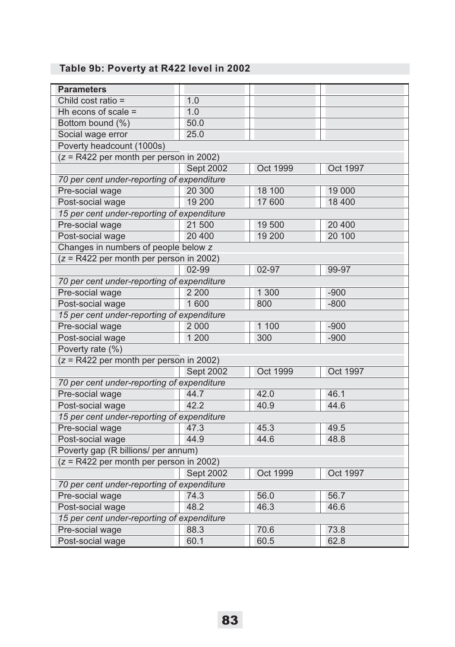# **Table 9b: Poverty at R422 level in 2002**

| <b>Parameters</b>                          |                  |          |                 |  |
|--------------------------------------------|------------------|----------|-----------------|--|
| Child cost ratio =                         | 1.0              |          |                 |  |
| Hh econs of scale =                        | 1.0              |          |                 |  |
| Bottom bound (%)                           | 50.0             |          |                 |  |
| Social wage error                          | 25.0             |          |                 |  |
| Poverty headcount (1000s)                  |                  |          |                 |  |
| $(z = R422$ per month per person in 2002)  |                  |          |                 |  |
|                                            | Sept 2002        | Oct 1999 | Oct 1997        |  |
| 70 per cent under-reporting of expenditure |                  |          |                 |  |
| Pre-social wage                            | 20 300           | 18 100   | 19 000          |  |
| Post-social wage                           | 19 200           | 17 600   | 18 400          |  |
| 15 per cent under-reporting of expenditure |                  |          |                 |  |
| Pre-social wage                            | 21 500           | 19 500   | 20 400          |  |
| Post-social wage                           | 20 400           | 19 200   | 20 100          |  |
| Changes in numbers of people below z       |                  |          |                 |  |
| $(z = R422$ per month per person in 2002)  |                  |          |                 |  |
|                                            | 02-99            | 02-97    | 99-97           |  |
| 70 per cent under-reporting of expenditure |                  |          |                 |  |
| Pre-social wage                            | 2 2 0 0          | 1 300    | $-900$          |  |
| Post-social wage                           | 1 600            | 800      | $-800$          |  |
| 15 per cent under-reporting of expenditure |                  |          |                 |  |
| Pre-social wage                            | 2 0 0 0          | 1 100    | $-900$          |  |
| Post-social wage                           | 1 200            | 300      | $-900$          |  |
| Poverty rate (%)                           |                  |          |                 |  |
| $(z = R422$ per month per person in 2002)  |                  |          |                 |  |
|                                            | <b>Sept 2002</b> | Oct 1999 | <b>Oct 1997</b> |  |
| 70 per cent under-reporting of expenditure |                  |          |                 |  |
| Pre-social wage                            | 44.7             | 42.0     | 46.1            |  |
| Post-social wage                           | 42.2             | 40.9     | 44.6            |  |
| 15 per cent under-reporting of expenditure |                  |          |                 |  |
| Pre-social wage                            | 47.3             | 45.3     | 49.5            |  |
| Post-social wage                           | 44.9             | 44.6     | 48.8            |  |
| Poverty gap (R billions/ per annum)        |                  |          |                 |  |
| $(z = R422$ per month per person in 2002)  |                  |          |                 |  |
|                                            | Sept 2002        | Oct 1999 | Oct 1997        |  |
| 70 per cent under-reporting of expenditure |                  |          |                 |  |
| Pre-social wage                            | 74.3             | 56.0     | 56.7            |  |
| Post-social wage                           | 48.2             | 46.3     | 46.6            |  |
| 15 per cent under-reporting of expenditure |                  |          |                 |  |
| Pre-social wage                            | 88.3             | 70.6     | 73.8            |  |
| Post-social wage                           | 60.1             | 60.5     | 62.8            |  |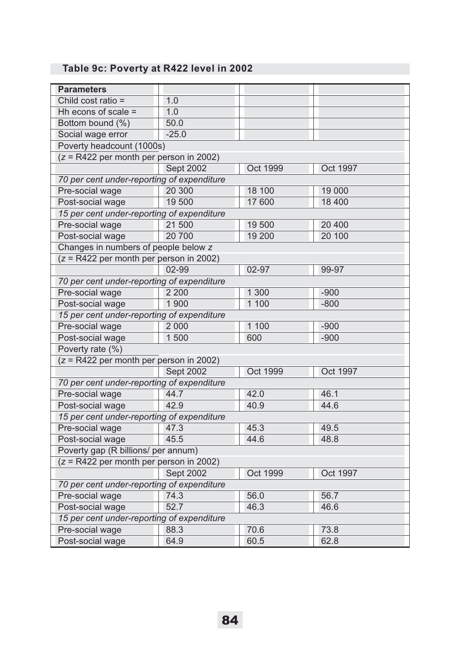# **Table 9c: Poverty at R422 level in 2002**

| <b>Parameters</b>                          |                  |          |          |
|--------------------------------------------|------------------|----------|----------|
| Child cost ratio =                         | 1.0              |          |          |
| Hh econs of scale =                        | 1.0              |          |          |
| Bottom bound (%)                           | 50.0             |          |          |
| Social wage error                          | $-25.0$          |          |          |
| Poverty headcount (1000s)                  |                  |          |          |
| $(z = R422$ per month per person in 2002)  |                  |          |          |
|                                            | <b>Sept 2002</b> | Oct 1999 | Oct 1997 |
| 70 per cent under-reporting of expenditure |                  |          |          |
| Pre-social wage                            | 20 300           | 18 100   | 19 000   |
| Post-social wage                           | 19 500           | 17 600   | 18 400   |
| 15 per cent under-reporting of expenditure |                  |          |          |
| Pre-social wage                            | 21 500           | 19 500   | 20 400   |
| Post-social wage                           | 20 700           | 19 200   | 20 100   |
| Changes in numbers of people below z       |                  |          |          |
| $(z = R422$ per month per person in 2002)  |                  |          |          |
|                                            | 02-99            | 02-97    | 99-97    |
| 70 per cent under-reporting of expenditure |                  |          |          |
| Pre-social wage                            | 2 2 0 0          | 1 300    | $-900$   |
| Post-social wage                           | 1 900            | 1 100    | $-800$   |
| 15 per cent under-reporting of expenditure |                  |          |          |
| Pre-social wage                            | 2 0 0 0          | 1 100    | $-900$   |
| Post-social wage                           | 1500             | 600      | $-900$   |
| Poverty rate (%)                           |                  |          |          |
| $(z = R422$ per month per person in 2002)  |                  |          |          |
|                                            | Sept 2002        | Oct 1999 | Oct 1997 |
| 70 per cent under-reporting of expenditure |                  |          |          |
| Pre-social wage                            | 44.7             | 42.0     | 46.1     |
| Post-social wage                           | 42.9             | 40.9     | 44.6     |
| 15 per cent under-reporting of expenditure |                  |          |          |
| Pre-social wage                            | 47.3             | 45.3     | 49.5     |
| Post-social wage                           | 45.5             | 44.6     | 48.8     |
| Poverty gap (R billions/ per annum)        |                  |          |          |
| $(z = R422$ per month per person in 2002)  |                  |          |          |
|                                            | Sept 2002        | Oct 1999 | Oct 1997 |
| 70 per cent under-reporting of expenditure |                  |          |          |
| Pre-social wage                            | 74.3             | 56.0     | 56.7     |
| Post-social wage                           | 52.7             | 46.3     | 46.6     |
| 15 per cent under-reporting of expenditure |                  |          |          |
| Pre-social wage                            | 88.3             | 70.6     | 73.8     |
| Post-social wage                           | 64.9             | 60.5     | 62.8     |